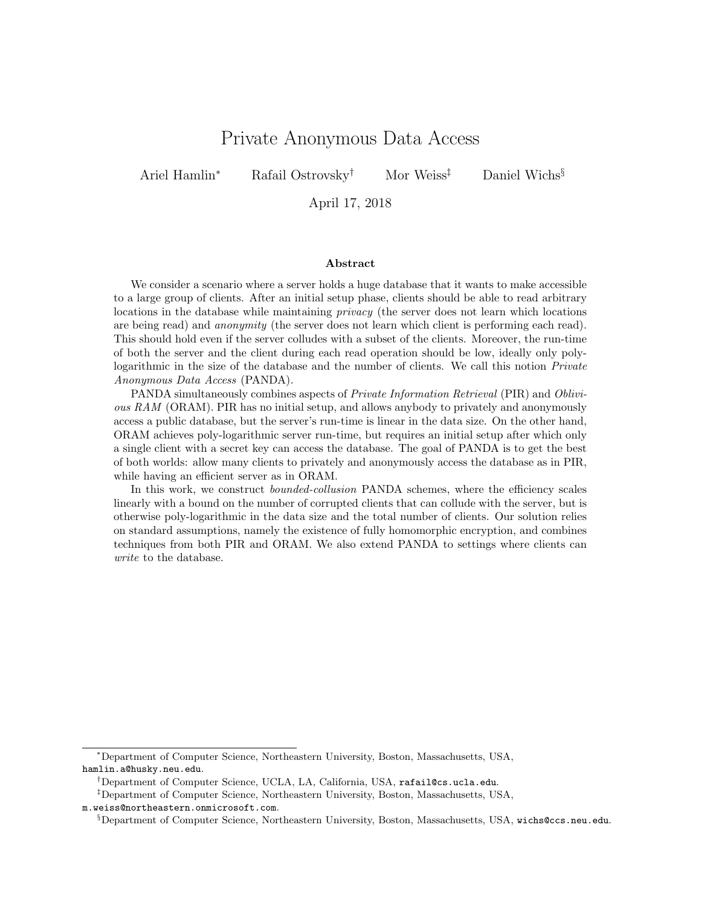# Private Anonymous Data Access

Ariel Hamlin<sup>∗</sup> Rafail Ostrovsky<sup>†</sup> Mor Weiss<sup>‡</sup> Daniel Wichs<sup>§</sup>

April 17, 2018

#### Abstract

We consider a scenario where a server holds a huge database that it wants to make accessible to a large group of clients. After an initial setup phase, clients should be able to read arbitrary locations in the database while maintaining *privacy* (the server does not learn which locations are being read) and anonymity (the server does not learn which client is performing each read). This should hold even if the server colludes with a subset of the clients. Moreover, the run-time of both the server and the client during each read operation should be low, ideally only polylogarithmic in the size of the database and the number of clients. We call this notion *Private* Anonymous Data Access (PANDA).

PANDA simultaneously combines aspects of Private Information Retrieval (PIR) and Oblivious RAM (ORAM). PIR has no initial setup, and allows anybody to privately and anonymously access a public database, but the server's run-time is linear in the data size. On the other hand, ORAM achieves poly-logarithmic server run-time, but requires an initial setup after which only a single client with a secret key can access the database. The goal of PANDA is to get the best of both worlds: allow many clients to privately and anonymously access the database as in PIR, while having an efficient server as in ORAM.

In this work, we construct *bounded-collusion* PANDA schemes, where the efficiency scales linearly with a bound on the number of corrupted clients that can collude with the server, but is otherwise poly-logarithmic in the data size and the total number of clients. Our solution relies on standard assumptions, namely the existence of fully homomorphic encryption, and combines techniques from both PIR and ORAM. We also extend PANDA to settings where clients can write to the database.

<sup>∗</sup>Department of Computer Science, Northeastern University, Boston, Massachusetts, USA, hamlin.a@husky.neu.edu.

<sup>†</sup>Department of Computer Science, UCLA, LA, California, USA, rafail@cs.ucla.edu.

<sup>‡</sup>Department of Computer Science, Northeastern University, Boston, Massachusetts, USA, m.weiss@northeastern.onmicrosoft.com.

<sup>§</sup>Department of Computer Science, Northeastern University, Boston, Massachusetts, USA, wichs@ccs.neu.edu.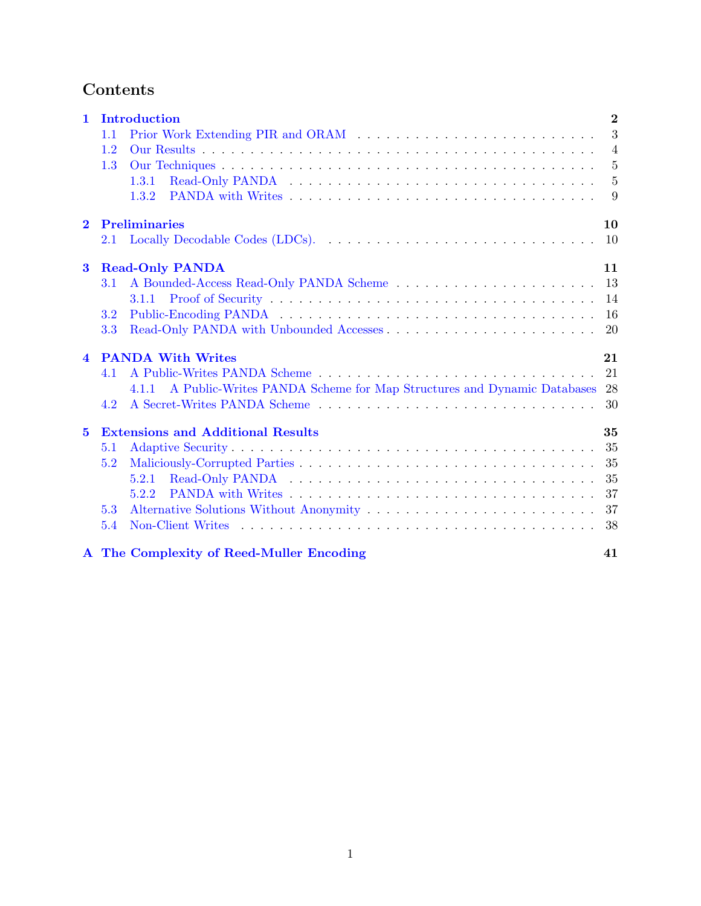# Contents

| 1                       | $\overline{2}$<br><b>Introduction</b> |                                                                                |                |
|-------------------------|---------------------------------------|--------------------------------------------------------------------------------|----------------|
|                         | 1.1                                   |                                                                                | 3              |
|                         | 1.2                                   |                                                                                | $\overline{4}$ |
|                         | 1.3                                   |                                                                                | $\overline{5}$ |
|                         |                                       | 1.3.1                                                                          | $\overline{5}$ |
|                         |                                       | 1.3.2                                                                          | 9              |
| $\mathbf 2$             | <b>Preliminaries</b>                  |                                                                                | 10             |
|                         | 2.1                                   |                                                                                | 10             |
| $\bf{3}$                | <b>Read-Only PANDA</b>                |                                                                                | 11             |
|                         | $3.1\,$                               |                                                                                | 13             |
|                         |                                       |                                                                                | 14             |
|                         | $3.2\,$                               |                                                                                | 16             |
|                         | 3.3                                   |                                                                                | 20             |
| $\overline{\mathbf{4}}$ | <b>PANDA With Writes</b>              |                                                                                | 21             |
|                         | 4.1                                   |                                                                                | 21             |
|                         |                                       | A Public-Writes PANDA Scheme for Map Structures and Dynamic Databases<br>4.1.1 | 28             |
|                         | 4.2                                   |                                                                                | 30             |
| $\bf{5}$                |                                       | <b>Extensions and Additional Results</b>                                       | 35             |
|                         | 5.1                                   |                                                                                | 35             |
|                         | 5.2                                   |                                                                                | 35             |
|                         |                                       | 5.2.1                                                                          | 35             |
|                         |                                       | 5.2.2                                                                          | 37             |
|                         | 5.3                                   |                                                                                | 37             |
|                         | 5.4                                   |                                                                                | 38             |
|                         |                                       | A The Complexity of Reed-Muller Encoding                                       | 41             |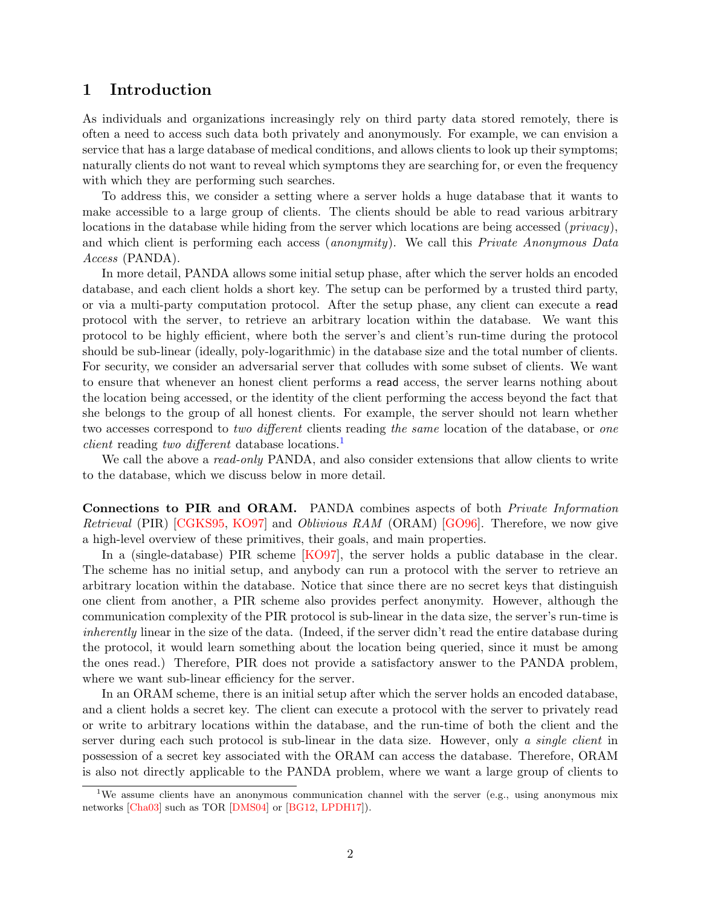# <span id="page-2-0"></span>1 Introduction

As individuals and organizations increasingly rely on third party data stored remotely, there is often a need to access such data both privately and anonymously. For example, we can envision a service that has a large database of medical conditions, and allows clients to look up their symptoms; naturally clients do not want to reveal which symptoms they are searching for, or even the frequency with which they are performing such searches.

To address this, we consider a setting where a server holds a huge database that it wants to make accessible to a large group of clients. The clients should be able to read various arbitrary locations in the database while hiding from the server which locations are being accessed (*privacy*), and which client is performing each access (anonymity). We call this Private Anonymous Data Access (PANDA).

In more detail, PANDA allows some initial setup phase, after which the server holds an encoded database, and each client holds a short key. The setup can be performed by a trusted third party, or via a multi-party computation protocol. After the setup phase, any client can execute a read protocol with the server, to retrieve an arbitrary location within the database. We want this protocol to be highly efficient, where both the server's and client's run-time during the protocol should be sub-linear (ideally, poly-logarithmic) in the database size and the total number of clients. For security, we consider an adversarial server that colludes with some subset of clients. We want to ensure that whenever an honest client performs a read access, the server learns nothing about the location being accessed, or the identity of the client performing the access beyond the fact that she belongs to the group of all honest clients. For example, the server should not learn whether two accesses correspond to two different clients reading the same location of the database, or one *client* reading two different database locations.<sup>[1](#page-2-1)</sup>

We call the above a *read-only* PANDA, and also consider extensions that allow clients to write to the database, which we discuss below in more detail.

Connections to PIR and ORAM. PANDA combines aspects of both Private Information Retrieval (PIR) [\[CGKS95,](#page-39-0) [KO97\]](#page-40-0) and *Oblivious RAM* (ORAM) [\[GO96\]](#page-40-1). Therefore, we now give a high-level overview of these primitives, their goals, and main properties.

In a (single-database) PIR scheme [\[KO97\]](#page-40-0), the server holds a public database in the clear. The scheme has no initial setup, and anybody can run a protocol with the server to retrieve an arbitrary location within the database. Notice that since there are no secret keys that distinguish one client from another, a PIR scheme also provides perfect anonymity. However, although the communication complexity of the PIR protocol is sub-linear in the data size, the server's run-time is inherently linear in the size of the data. (Indeed, if the server didn't read the entire database during the protocol, it would learn something about the location being queried, since it must be among the ones read.) Therefore, PIR does not provide a satisfactory answer to the PANDA problem, where we want sub-linear efficiency for the server.

In an ORAM scheme, there is an initial setup after which the server holds an encoded database, and a client holds a secret key. The client can execute a protocol with the server to privately read or write to arbitrary locations within the database, and the run-time of both the client and the server during each such protocol is sub-linear in the data size. However, only a single client in possession of a secret key associated with the ORAM can access the database. Therefore, ORAM is also not directly applicable to the PANDA problem, where we want a large group of clients to

<span id="page-2-1"></span><sup>&</sup>lt;sup>1</sup>We assume clients have an anonymous communication channel with the server (e.g., using anonymous mix networks [\[Cha03\]](#page-39-1) such as TOR [\[DMS04\]](#page-40-2) or [\[BG12,](#page-39-2) [LPDH17\]](#page-41-1)).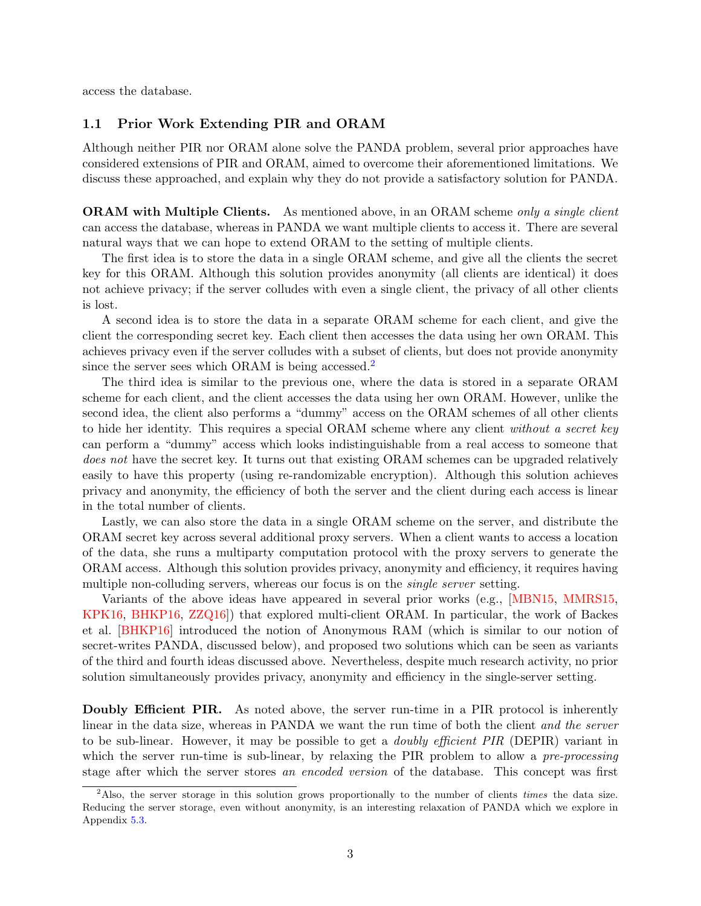access the database.

#### <span id="page-3-0"></span>1.1 Prior Work Extending PIR and ORAM

Although neither PIR nor ORAM alone solve the PANDA problem, several prior approaches have considered extensions of PIR and ORAM, aimed to overcome their aforementioned limitations. We discuss these approached, and explain why they do not provide a satisfactory solution for PANDA.

**ORAM with Multiple Clients.** As mentioned above, in an ORAM scheme only a single client can access the database, whereas in PANDA we want multiple clients to access it. There are several natural ways that we can hope to extend ORAM to the setting of multiple clients.

The first idea is to store the data in a single ORAM scheme, and give all the clients the secret key for this ORAM. Although this solution provides anonymity (all clients are identical) it does not achieve privacy; if the server colludes with even a single client, the privacy of all other clients is lost.

A second idea is to store the data in a separate ORAM scheme for each client, and give the client the corresponding secret key. Each client then accesses the data using her own ORAM. This achieves privacy even if the server colludes with a subset of clients, but does not provide anonymity since the server sees which ORAM is being accessed.<sup>[2](#page-3-1)</sup>

The third idea is similar to the previous one, where the data is stored in a separate ORAM scheme for each client, and the client accesses the data using her own ORAM. However, unlike the second idea, the client also performs a "dummy" access on the ORAM schemes of all other clients to hide her identity. This requires a special ORAM scheme where any client without a secret key can perform a "dummy" access which looks indistinguishable from a real access to someone that does not have the secret key. It turns out that existing ORAM schemes can be upgraded relatively easily to have this property (using re-randomizable encryption). Although this solution achieves privacy and anonymity, the efficiency of both the server and the client during each access is linear in the total number of clients.

Lastly, we can also store the data in a single ORAM scheme on the server, and distribute the ORAM secret key across several additional proxy servers. When a client wants to access a location of the data, she runs a multiparty computation protocol with the proxy servers to generate the ORAM access. Although this solution provides privacy, anonymity and efficiency, it requires having multiple non-colluding servers, whereas our focus is on the *single server* setting.

Variants of the above ideas have appeared in several prior works (e.g., [\[MBN15,](#page-41-2) [MMRS15,](#page-41-3) [KPK16,](#page-40-3) [BHKP16,](#page-39-3) [ZZQ16\]](#page-41-4)) that explored multi-client ORAM. In particular, the work of Backes et al. [\[BHKP16\]](#page-39-3) introduced the notion of Anonymous RAM (which is similar to our notion of secret-writes PANDA, discussed below), and proposed two solutions which can be seen as variants of the third and fourth ideas discussed above. Nevertheless, despite much research activity, no prior solution simultaneously provides privacy, anonymity and efficiency in the single-server setting.

Doubly Efficient PIR. As noted above, the server run-time in a PIR protocol is inherently linear in the data size, whereas in PANDA we want the run time of both the client and the server to be sub-linear. However, it may be possible to get a *doubly efficient PIR* (DEPIR) variant in which the server run-time is sub-linear, by relaxing the PIR problem to allow a *pre-processing* stage after which the server stores an encoded version of the database. This concept was first

<span id="page-3-1"></span><sup>&</sup>lt;sup>2</sup>Also, the server storage in this solution grows proportionally to the number of clients times the data size. Reducing the server storage, even without anonymity, is an interesting relaxation of PANDA which we explore in Appendix [5.3.](#page-37-1)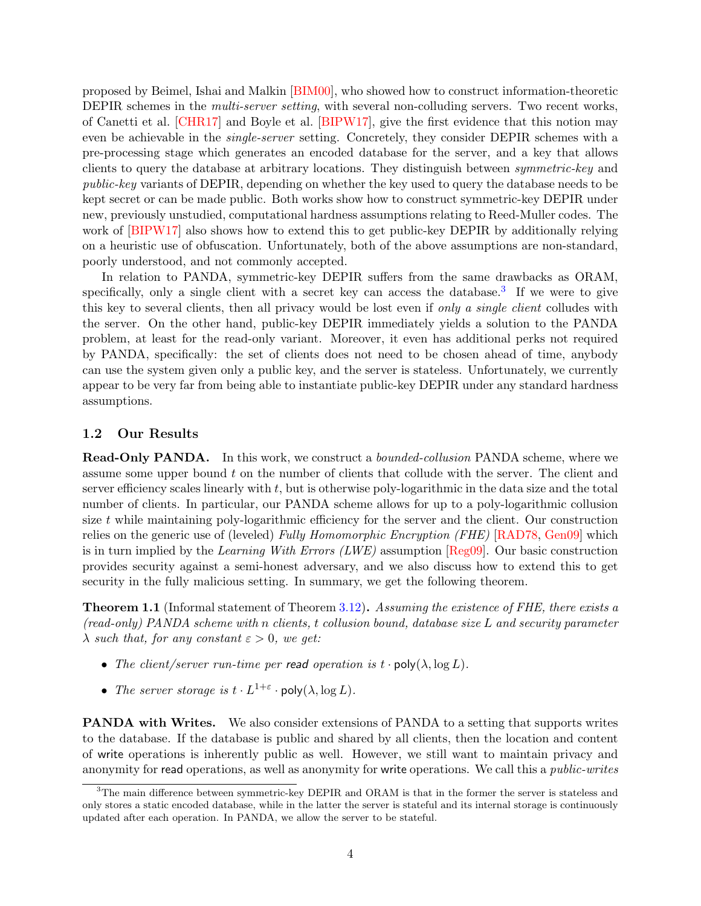proposed by Beimel, Ishai and Malkin [\[BIM00\]](#page-39-4), who showed how to construct information-theoretic DEPIR schemes in the *multi-server setting*, with several non-colluding servers. Two recent works, of Canetti et al. [\[CHR17\]](#page-39-5) and Boyle et al. [\[BIPW17\]](#page-39-6), give the first evidence that this notion may even be achievable in the *single-server* setting. Concretely, they consider DEPIR schemes with a pre-processing stage which generates an encoded database for the server, and a key that allows clients to query the database at arbitrary locations. They distinguish between symmetric-key and public-key variants of DEPIR, depending on whether the key used to query the database needs to be kept secret or can be made public. Both works show how to construct symmetric-key DEPIR under new, previously unstudied, computational hardness assumptions relating to Reed-Muller codes. The work of [\[BIPW17\]](#page-39-6) also shows how to extend this to get public-key DEPIR by additionally relying on a heuristic use of obfuscation. Unfortunately, both of the above assumptions are non-standard, poorly understood, and not commonly accepted.

In relation to PANDA, symmetric-key DEPIR suffers from the same drawbacks as ORAM, specifically, only a single client with a secret key can access the database.<sup>[3](#page-4-1)</sup> If we were to give this key to several clients, then all privacy would be lost even if only a single client colludes with the server. On the other hand, public-key DEPIR immediately yields a solution to the PANDA problem, at least for the read-only variant. Moreover, it even has additional perks not required by PANDA, specifically: the set of clients does not need to be chosen ahead of time, anybody can use the system given only a public key, and the server is stateless. Unfortunately, we currently appear to be very far from being able to instantiate public-key DEPIR under any standard hardness assumptions.

#### <span id="page-4-0"></span>1.2 Our Results

**Read-Only PANDA.** In this work, we construct a *bounded-collusion* PANDA scheme, where we assume some upper bound t on the number of clients that collude with the server. The client and server efficiency scales linearly with  $t$ , but is otherwise poly-logarithmic in the data size and the total number of clients. In particular, our PANDA scheme allows for up to a poly-logarithmic collusion size  $t$  while maintaining poly-logarithmic efficiency for the server and the client. Our construction relies on the generic use of (leveled) Fully Homomorphic Encryption (FHE) [\[RAD78,](#page-41-5) [Gen09\]](#page-40-4) which is in turn implied by the Learning With Errors (LWE) assumption  $[Reg09]$ . Our basic construction provides security against a semi-honest adversary, and we also discuss how to extend this to get security in the fully malicious setting. In summary, we get the following theorem.

**Theorem 1.1** (Informal statement of Theorem [3.12\)](#page-20-1). Assuming the existence of FHE, there exists a (read-only) PANDA scheme with n clients, t collusion bound, database size L and security parameter  $\lambda$  such that, for any constant  $\varepsilon > 0$ , we get:

- The client/server run-time per read operation is  $t \cdot \text{poly}(\lambda, \log L)$ .
- The server storage is  $t \cdot L^{1+\epsilon} \cdot \text{poly}(\lambda, \log L)$ .

PANDA with Writes. We also consider extensions of PANDA to a setting that supports writes to the database. If the database is public and shared by all clients, then the location and content of write operations is inherently public as well. However, we still want to maintain privacy and anonymity for read operations, as well as anonymity for write operations. We call this a *public-writes* 

<span id="page-4-1"></span><sup>&</sup>lt;sup>3</sup>The main difference between symmetric-key DEPIR and ORAM is that in the former the server is stateless and only stores a static encoded database, while in the latter the server is stateful and its internal storage is continuously updated after each operation. In PANDA, we allow the server to be stateful.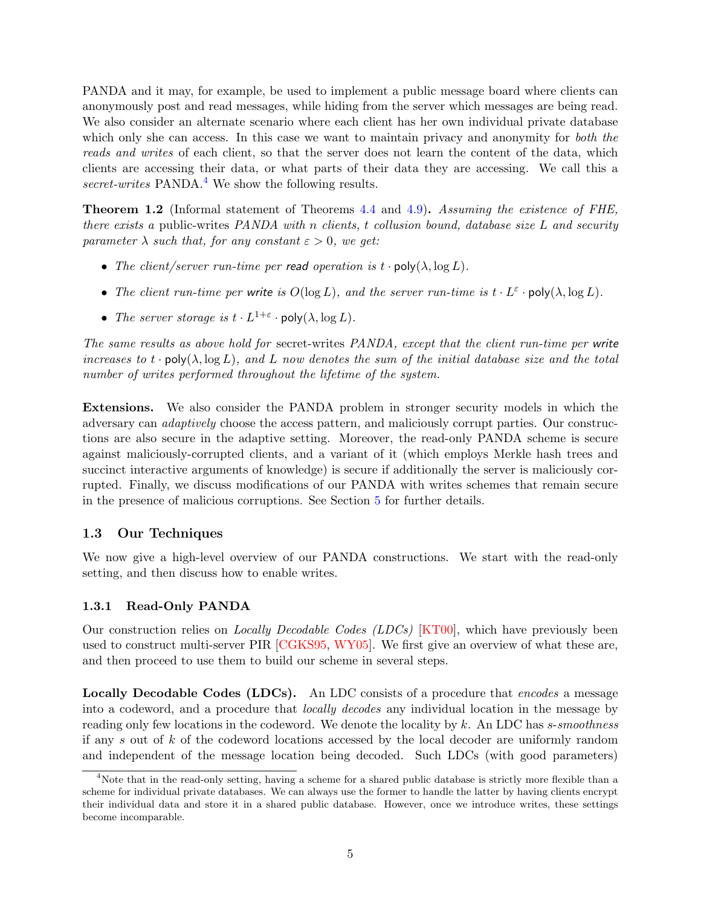PANDA and it may, for example, be used to implement a public message board where clients can anonymously post and read messages, while hiding from the server which messages are being read. We also consider an alternate scenario where each client has her own individual private database which only she can access. In this case we want to maintain privacy and anonymity for both the reads and writes of each client, so that the server does not learn the content of the data, which clients are accessing their data, or what parts of their data they are accessing. We call this a secret-writes  $PANDA<sup>4</sup>$  $PANDA<sup>4</sup>$  $PANDA<sup>4</sup>$  We show the following results.

Theorem 1.2 (Informal statement of Theorems [4.4](#page-27-0) and [4.9\)](#page-34-0). Assuming the existence of FHE, there exists a public-writes PANDA with n clients, t collusion bound, database size  $L$  and security parameter  $\lambda$  such that, for any constant  $\varepsilon > 0$ , we get:

- The client/server run-time per read operation is  $t \cdot \text{poly}(\lambda, \log L)$ .
- The client run-time per write is  $O(\log L)$ , and the server run-time is  $t \cdot L^{\varepsilon} \cdot \text{poly}(\lambda, \log L)$ .
- The server storage is  $t \cdot L^{1+\epsilon} \cdot \text{poly}(\lambda, \log L)$ .

The same results as above hold for secret-writes PANDA, except that the client run-time per write increases to  $t \cdot \text{poly}(\lambda, \log L)$ , and L now denotes the sum of the initial database size and the total number of writes performed throughout the lifetime of the system.

Extensions. We also consider the PANDA problem in stronger security models in which the adversary can adaptively choose the access pattern, and maliciously corrupt parties. Our constructions are also secure in the adaptive setting. Moreover, the read-only PANDA scheme is secure against maliciously-corrupted clients, and a variant of it (which employs Merkle hash trees and succinct interactive arguments of knowledge) is secure if additionally the server is maliciously corrupted. Finally, we discuss modifications of our PANDA with writes schemes that remain secure in the presence of malicious corruptions. See Section [5](#page-35-0) for further details.

#### <span id="page-5-0"></span>1.3 Our Techniques

We now give a high-level overview of our PANDA constructions. We start with the read-only setting, and then discuss how to enable writes.

#### <span id="page-5-1"></span>1.3.1 Read-Only PANDA

Our construction relies on Locally Decodable Codes (LDCs) [\[KT00\]](#page-40-5), which have previously been used to construct multi-server PIR [\[CGKS95,](#page-39-0) [WY05\]](#page-41-7). We first give an overview of what these are, and then proceed to use them to build our scheme in several steps.

Locally Decodable Codes (LDCs). An LDC consists of a procedure that *encodes* a message into a codeword, and a procedure that locally decodes any individual location in the message by reading only few locations in the codeword. We denote the locality by k. An LDC has s-smoothness if any s out of k of the codeword locations accessed by the local decoder are uniformly random and independent of the message location being decoded. Such LDCs (with good parameters)

<span id="page-5-2"></span><sup>&</sup>lt;sup>4</sup>Note that in the read-only setting, having a scheme for a shared public database is strictly more flexible than a scheme for individual private databases. We can always use the former to handle the latter by having clients encrypt their individual data and store it in a shared public database. However, once we introduce writes, these settings become incomparable.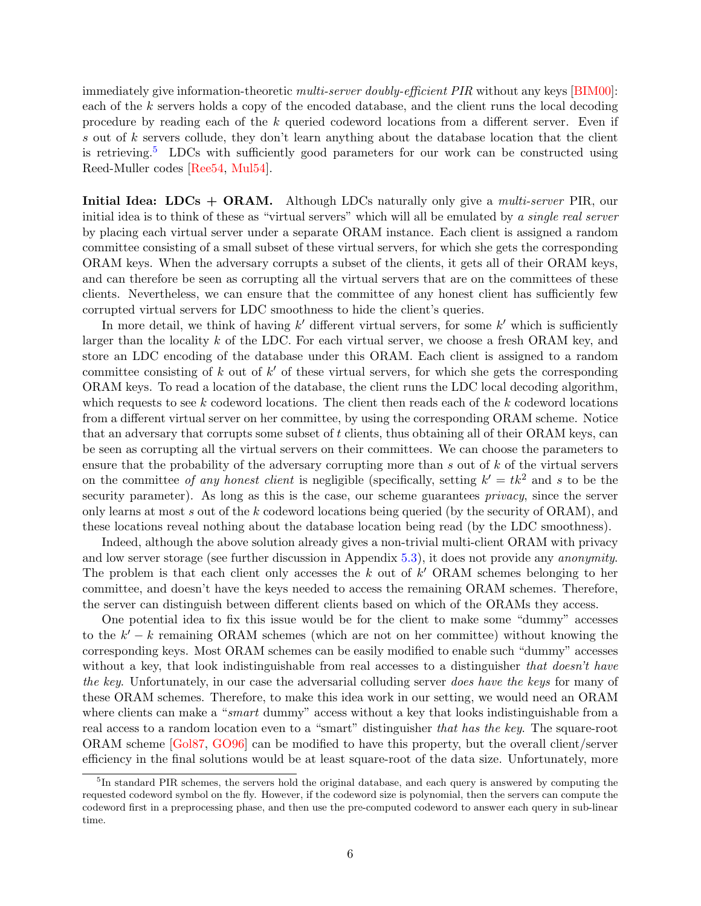immediately give information-theoretic multi-server doubly-efficient PIR without any keys [\[BIM00\]](#page-39-4): each of the k servers holds a copy of the encoded database, and the client runs the local decoding procedure by reading each of the k queried codeword locations from a different server. Even if s out of  $k$  servers collude, they don't learn anything about the database location that the client is retrieving.[5](#page-6-0) LDCs with sufficiently good parameters for our work can be constructed using Reed-Muller codes [\[Ree54,](#page-41-8) [Mul54\]](#page-41-9).

**Initial Idea: LDCs + ORAM.** Although LDCs naturally only give a *multi-server* PIR, our initial idea is to think of these as "virtual servers" which will all be emulated by a single real server by placing each virtual server under a separate ORAM instance. Each client is assigned a random committee consisting of a small subset of these virtual servers, for which she gets the corresponding ORAM keys. When the adversary corrupts a subset of the clients, it gets all of their ORAM keys, and can therefore be seen as corrupting all the virtual servers that are on the committees of these clients. Nevertheless, we can ensure that the committee of any honest client has sufficiently few corrupted virtual servers for LDC smoothness to hide the client's queries.

In more detail, we think of having  $k'$  different virtual servers, for some  $k'$  which is sufficiently larger than the locality  $k$  of the LDC. For each virtual server, we choose a fresh ORAM key, and store an LDC encoding of the database under this ORAM. Each client is assigned to a random committee consisting of  $k$  out of  $k'$  of these virtual servers, for which she gets the corresponding ORAM keys. To read a location of the database, the client runs the LDC local decoding algorithm, which requests to see  $k$  codeword locations. The client then reads each of the  $k$  codeword locations from a different virtual server on her committee, by using the corresponding ORAM scheme. Notice that an adversary that corrupts some subset of t clients, thus obtaining all of their ORAM keys, can be seen as corrupting all the virtual servers on their committees. We can choose the parameters to ensure that the probability of the adversary corrupting more than s out of k of the virtual servers on the committee of any honest client is negligible (specifically, setting  $k' = tk^2$  and s to be the security parameter). As long as this is the case, our scheme guarantees *privacy*, since the server only learns at most s out of the k codeword locations being queried (by the security of ORAM), and these locations reveal nothing about the database location being read (by the LDC smoothness).

Indeed, although the above solution already gives a non-trivial multi-client ORAM with privacy and low server storage (see further discussion in Appendix [5.3\)](#page-37-1), it does not provide any anonymity. The problem is that each client only accesses the  $k$  out of  $k'$  ORAM schemes belonging to her committee, and doesn't have the keys needed to access the remaining ORAM schemes. Therefore, the server can distinguish between different clients based on which of the ORAMs they access.

One potential idea to fix this issue would be for the client to make some "dummy" accesses to the  $k' - k$  remaining ORAM schemes (which are not on her committee) without knowing the corresponding keys. Most ORAM schemes can be easily modified to enable such "dummy" accesses without a key, that look indistinguishable from real accesses to a distinguisher that doesn't have the key. Unfortunately, in our case the adversarial colluding server *does have the keys* for many of these ORAM schemes. Therefore, to make this idea work in our setting, we would need an ORAM where clients can make a "smart dummy" access without a key that looks indistinguishable from a real access to a random location even to a "smart" distinguisher that has the key. The square-root ORAM scheme [\[Gol87,](#page-40-6) [GO96\]](#page-40-1) can be modified to have this property, but the overall client/server efficiency in the final solutions would be at least square-root of the data size. Unfortunately, more

<span id="page-6-0"></span><sup>&</sup>lt;sup>5</sup>In standard PIR schemes, the servers hold the original database, and each query is answered by computing the requested codeword symbol on the fly. However, if the codeword size is polynomial, then the servers can compute the codeword first in a preprocessing phase, and then use the pre-computed codeword to answer each query in sub-linear time.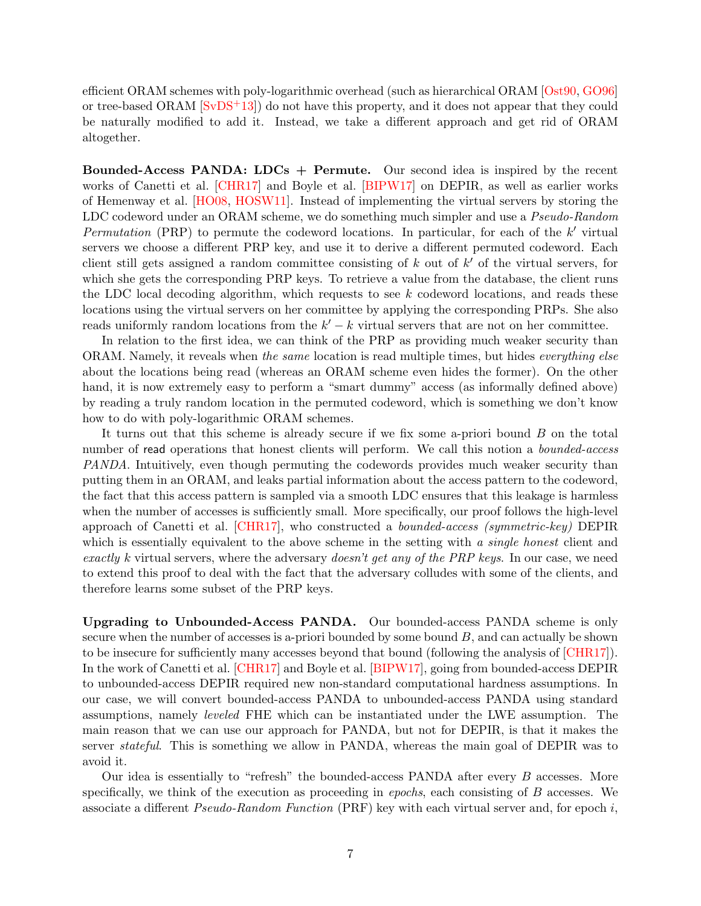efficient ORAM schemes with poly-logarithmic overhead (such as hierarchical ORAM [\[Ost90,](#page-41-10) [GO96\]](#page-40-1) or tree-based ORAM [\[SvDS](#page-41-11)+13]) do not have this property, and it does not appear that they could be naturally modified to add it. Instead, we take a different approach and get rid of ORAM altogether.

Bounded-Access PANDA: LDCs + Permute. Our second idea is inspired by the recent works of Canetti et al. [\[CHR17\]](#page-39-5) and Boyle et al. [\[BIPW17\]](#page-39-6) on DEPIR, as well as earlier works of Hemenway et al. [\[HO08,](#page-40-7) [HOSW11\]](#page-40-8). Instead of implementing the virtual servers by storing the LDC codeword under an ORAM scheme, we do something much simpler and use a Pseudo-Random Permutation (PRP) to permute the codeword locations. In particular, for each of the  $k'$  virtual servers we choose a different PRP key, and use it to derive a different permuted codeword. Each client still gets assigned a random committee consisting of  $k$  out of  $k'$  of the virtual servers, for which she gets the corresponding PRP keys. To retrieve a value from the database, the client runs the LDC local decoding algorithm, which requests to see  $k$  codeword locations, and reads these locations using the virtual servers on her committee by applying the corresponding PRPs. She also reads uniformly random locations from the  $k'-k$  virtual servers that are not on her committee.

In relation to the first idea, we can think of the PRP as providing much weaker security than ORAM. Namely, it reveals when the same location is read multiple times, but hides everything else about the locations being read (whereas an ORAM scheme even hides the former). On the other hand, it is now extremely easy to perform a "smart dummy" access (as informally defined above) by reading a truly random location in the permuted codeword, which is something we don't know how to do with poly-logarithmic ORAM schemes.

It turns out that this scheme is already secure if we fix some a-priori bound B on the total number of read operations that honest clients will perform. We call this notion a *bounded-access* PANDA. Intuitively, even though permuting the codewords provides much weaker security than putting them in an ORAM, and leaks partial information about the access pattern to the codeword, the fact that this access pattern is sampled via a smooth LDC ensures that this leakage is harmless when the number of accesses is sufficiently small. More specifically, our proof follows the high-level approach of Canetti et al. [\[CHR17\]](#page-39-5), who constructed a bounded-access (symmetric-key) DEPIR which is essentially equivalent to the above scheme in the setting with a *single honest* client and exactly k virtual servers, where the adversary *doesn't get any of the PRP keys*. In our case, we need to extend this proof to deal with the fact that the adversary colludes with some of the clients, and therefore learns some subset of the PRP keys.

Upgrading to Unbounded-Access PANDA. Our bounded-access PANDA scheme is only secure when the number of accesses is a-priori bounded by some bound  $B$ , and can actually be shown to be insecure for sufficiently many accesses beyond that bound (following the analysis of [\[CHR17\]](#page-39-5)). In the work of Canetti et al. [\[CHR17\]](#page-39-5) and Boyle et al. [\[BIPW17\]](#page-39-6), going from bounded-access DEPIR to unbounded-access DEPIR required new non-standard computational hardness assumptions. In our case, we will convert bounded-access PANDA to unbounded-access PANDA using standard assumptions, namely leveled FHE which can be instantiated under the LWE assumption. The main reason that we can use our approach for PANDA, but not for DEPIR, is that it makes the server stateful. This is something we allow in PANDA, whereas the main goal of DEPIR was to avoid it.

Our idea is essentially to "refresh" the bounded-access PANDA after every B accesses. More specifically, we think of the execution as proceeding in epochs, each consisting of B accesses. We associate a different *Pseudo-Random Function* (PRF) key with each virtual server and, for epoch i,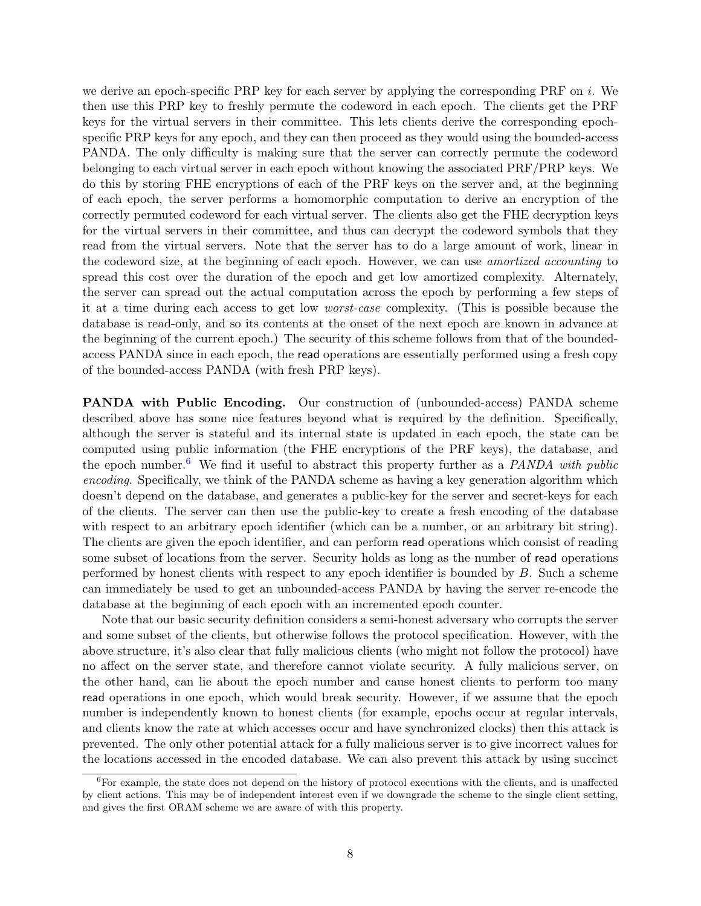we derive an epoch-specific PRP key for each server by applying the corresponding PRF on  $i$ . We then use this PRP key to freshly permute the codeword in each epoch. The clients get the PRF keys for the virtual servers in their committee. This lets clients derive the corresponding epochspecific PRP keys for any epoch, and they can then proceed as they would using the bounded-access PANDA. The only difficulty is making sure that the server can correctly permute the codeword belonging to each virtual server in each epoch without knowing the associated PRF/PRP keys. We do this by storing FHE encryptions of each of the PRF keys on the server and, at the beginning of each epoch, the server performs a homomorphic computation to derive an encryption of the correctly permuted codeword for each virtual server. The clients also get the FHE decryption keys for the virtual servers in their committee, and thus can decrypt the codeword symbols that they read from the virtual servers. Note that the server has to do a large amount of work, linear in the codeword size, at the beginning of each epoch. However, we can use amortized accounting to spread this cost over the duration of the epoch and get low amortized complexity. Alternately, the server can spread out the actual computation across the epoch by performing a few steps of it at a time during each access to get low worst-case complexity. (This is possible because the database is read-only, and so its contents at the onset of the next epoch are known in advance at the beginning of the current epoch.) The security of this scheme follows from that of the boundedaccess PANDA since in each epoch, the read operations are essentially performed using a fresh copy of the bounded-access PANDA (with fresh PRP keys).

PANDA with Public Encoding. Our construction of (unbounded-access) PANDA scheme described above has some nice features beyond what is required by the definition. Specifically, although the server is stateful and its internal state is updated in each epoch, the state can be computed using public information (the FHE encryptions of the PRF keys), the database, and the epoch number.<sup>[6](#page-8-0)</sup> We find it useful to abstract this property further as a *PANDA with public* encoding. Specifically, we think of the PANDA scheme as having a key generation algorithm which doesn't depend on the database, and generates a public-key for the server and secret-keys for each of the clients. The server can then use the public-key to create a fresh encoding of the database with respect to an arbitrary epoch identifier (which can be a number, or an arbitrary bit string). The clients are given the epoch identifier, and can perform read operations which consist of reading some subset of locations from the server. Security holds as long as the number of read operations performed by honest clients with respect to any epoch identifier is bounded by B. Such a scheme can immediately be used to get an unbounded-access PANDA by having the server re-encode the database at the beginning of each epoch with an incremented epoch counter.

Note that our basic security definition considers a semi-honest adversary who corrupts the server and some subset of the clients, but otherwise follows the protocol specification. However, with the above structure, it's also clear that fully malicious clients (who might not follow the protocol) have no affect on the server state, and therefore cannot violate security. A fully malicious server, on the other hand, can lie about the epoch number and cause honest clients to perform too many read operations in one epoch, which would break security. However, if we assume that the epoch number is independently known to honest clients (for example, epochs occur at regular intervals, and clients know the rate at which accesses occur and have synchronized clocks) then this attack is prevented. The only other potential attack for a fully malicious server is to give incorrect values for the locations accessed in the encoded database. We can also prevent this attack by using succinct

<span id="page-8-0"></span> ${}^{6}$ For example, the state does not depend on the history of protocol executions with the clients, and is unaffected by client actions. This may be of independent interest even if we downgrade the scheme to the single client setting, and gives the first ORAM scheme we are aware of with this property.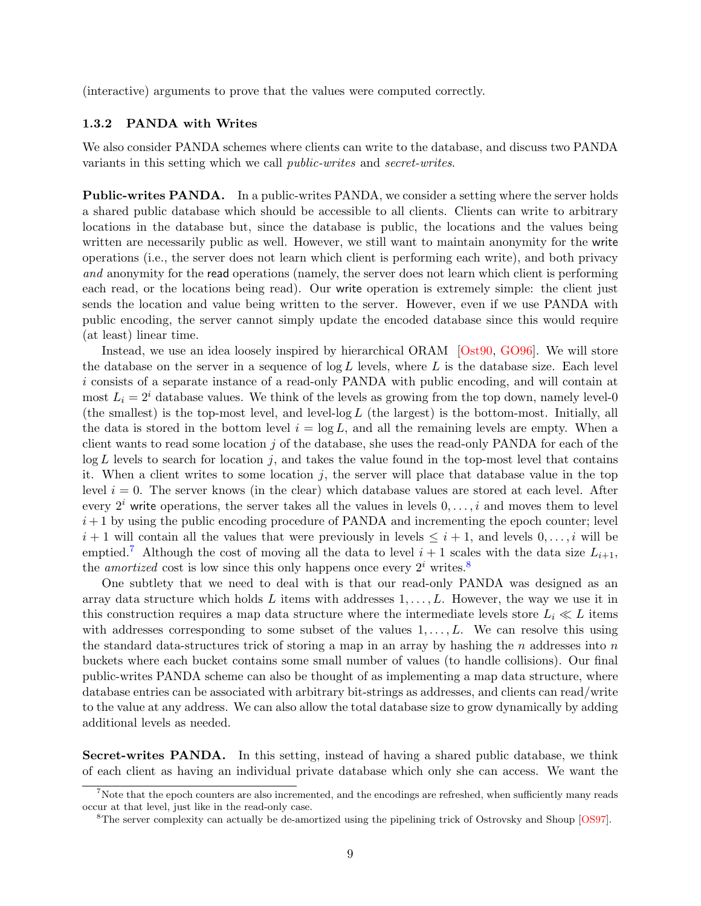(interactive) arguments to prove that the values were computed correctly.

#### <span id="page-9-0"></span>1.3.2 PANDA with Writes

We also consider PANDA schemes where clients can write to the database, and discuss two PANDA variants in this setting which we call public-writes and secret-writes.

Public-writes PANDA. In a public-writes PANDA, we consider a setting where the server holds a shared public database which should be accessible to all clients. Clients can write to arbitrary locations in the database but, since the database is public, the locations and the values being written are necessarily public as well. However, we still want to maintain anonymity for the write operations (i.e., the server does not learn which client is performing each write), and both privacy and anonymity for the read operations (namely, the server does not learn which client is performing each read, or the locations being read). Our write operation is extremely simple: the client just sends the location and value being written to the server. However, even if we use PANDA with public encoding, the server cannot simply update the encoded database since this would require (at least) linear time.

Instead, we use an idea loosely inspired by hierarchical ORAM [\[Ost90,](#page-41-10) [GO96\]](#page-40-1). We will store the database on the server in a sequence of  $\log L$  levels, where L is the database size. Each level i consists of a separate instance of a read-only PANDA with public encoding, and will contain at most  $L_i = 2^i$  database values. We think of the levels as growing from the top down, namely level-0 (the smallest) is the top-most level, and level-log  $L$  (the largest) is the bottom-most. Initially, all the data is stored in the bottom level  $i = \log L$ , and all the remaining levels are empty. When a client wants to read some location j of the database, she uses the read-only PANDA for each of the  $\log L$  levels to search for location j, and takes the value found in the top-most level that contains it. When a client writes to some location  $j$ , the server will place that database value in the top level  $i = 0$ . The server knows (in the clear) which database values are stored at each level. After every  $2<sup>i</sup>$  write operations, the server takes all the values in levels  $0, \ldots, i$  and moves them to level  $i+1$  by using the public encoding procedure of PANDA and incrementing the epoch counter; level  $i+1$  will contain all the values that were previously in levels  $\leq i+1$ , and levels  $0,\ldots,i$  will be emptied.<sup>[7](#page-9-1)</sup> Although the cost of moving all the data to level  $i + 1$  scales with the data size  $L_{i+1}$ , the *amortized* cost is low since this only happens once every  $2^i$  writes.<sup>[8](#page-9-2)</sup>

One subtlety that we need to deal with is that our read-only PANDA was designed as an array data structure which holds L items with addresses  $1, \ldots, L$ . However, the way we use it in this construction requires a map data structure where the intermediate levels store  $L_i \ll L$  items with addresses corresponding to some subset of the values  $1, \ldots, L$ . We can resolve this using the standard data-structures trick of storing a map in an array by hashing the  $n$  addresses into  $n$ buckets where each bucket contains some small number of values (to handle collisions). Our final public-writes PANDA scheme can also be thought of as implementing a map data structure, where database entries can be associated with arbitrary bit-strings as addresses, and clients can read/write to the value at any address. We can also allow the total database size to grow dynamically by adding additional levels as needed.

Secret-writes PANDA. In this setting, instead of having a shared public database, we think of each client as having an individual private database which only she can access. We want the

<span id="page-9-1"></span><sup>&</sup>lt;sup>7</sup>Note that the epoch counters are also incremented, and the encodings are refreshed, when sufficiently many reads occur at that level, just like in the read-only case.

<span id="page-9-2"></span><sup>8</sup>The server complexity can actually be de-amortized using the pipelining trick of Ostrovsky and Shoup [\[OS97\]](#page-41-12).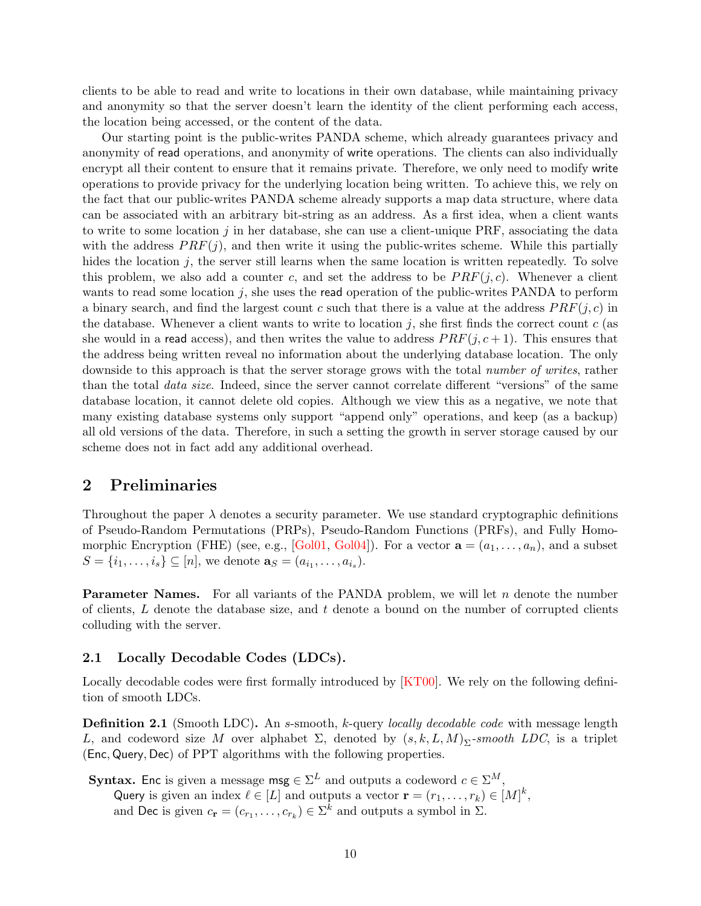clients to be able to read and write to locations in their own database, while maintaining privacy and anonymity so that the server doesn't learn the identity of the client performing each access, the location being accessed, or the content of the data.

Our starting point is the public-writes PANDA scheme, which already guarantees privacy and anonymity of read operations, and anonymity of write operations. The clients can also individually encrypt all their content to ensure that it remains private. Therefore, we only need to modify write operations to provide privacy for the underlying location being written. To achieve this, we rely on the fact that our public-writes PANDA scheme already supports a map data structure, where data can be associated with an arbitrary bit-string as an address. As a first idea, when a client wants to write to some location j in her database, she can use a client-unique PRF, associating the data with the address  $PRF(j)$ , and then write it using the public-writes scheme. While this partially hides the location  $j$ , the server still learns when the same location is written repeatedly. To solve this problem, we also add a counter c, and set the address to be  $PRF(j, c)$ . Whenever a client wants to read some location j, she uses the read operation of the public-writes PANDA to perform a binary search, and find the largest count c such that there is a value at the address  $PRF(j, c)$  in the database. Whenever a client wants to write to location j, she first finds the correct count  $c$  (as she would in a read access), and then writes the value to address  $PRF(j, c + 1)$ . This ensures that the address being written reveal no information about the underlying database location. The only downside to this approach is that the server storage grows with the total number of writes, rather than the total data size. Indeed, since the server cannot correlate different "versions" of the same database location, it cannot delete old copies. Although we view this as a negative, we note that many existing database systems only support "append only" operations, and keep (as a backup) all old versions of the data. Therefore, in such a setting the growth in server storage caused by our scheme does not in fact add any additional overhead.

# <span id="page-10-0"></span>2 Preliminaries

Throughout the paper  $\lambda$  denotes a security parameter. We use standard cryptographic definitions of Pseudo-Random Permutations (PRPs), Pseudo-Random Functions (PRFs), and Fully Homo-morphic Encryption (FHE) (see, e.g., [\[Gol01,](#page-40-9) [Gol04\]](#page-40-10)). For a vector  $\mathbf{a} = (a_1, \ldots, a_n)$ , and a subset  $S = \{i_1, ..., i_s\} \subseteq [n]$ , we denote  $\mathbf{a}_{S} = (a_{i_1}, ..., a_{i_s}).$ 

**Parameter Names.** For all variants of the PANDA problem, we will let  $n$  denote the number of clients,  $L$  denote the database size, and  $t$  denote a bound on the number of corrupted clients colluding with the server.

#### <span id="page-10-1"></span>2.1 Locally Decodable Codes (LDCs).

Locally decodable codes were first formally introduced by [\[KT00\]](#page-40-5). We rely on the following definition of smooth LDCs.

<span id="page-10-2"></span>**Definition 2.1** (Smooth LDC). An s-smooth, k-query locally decodable code with message length L, and codeword size M over alphabet  $\Sigma$ , denoted by  $(s, k, L, M)_{\Sigma}$ -smooth LDC, is a triplet (Enc, Query, Dec) of PPT algorithms with the following properties.

**Syntax.** Enc is given a message msg  $\in \Sigma^L$  and outputs a codeword  $c \in \Sigma^M$ , Query is given an index  $\ell \in [L]$  and outputs a vector  $\mathbf{r} = (r_1, \ldots, r_k) \in [M]^k$ , and Dec is given  $c_{\mathbf{r}} = (c_{r_1}, \dots, c_{r_k}) \in \Sigma^k$  and outputs a symbol in  $\Sigma$ .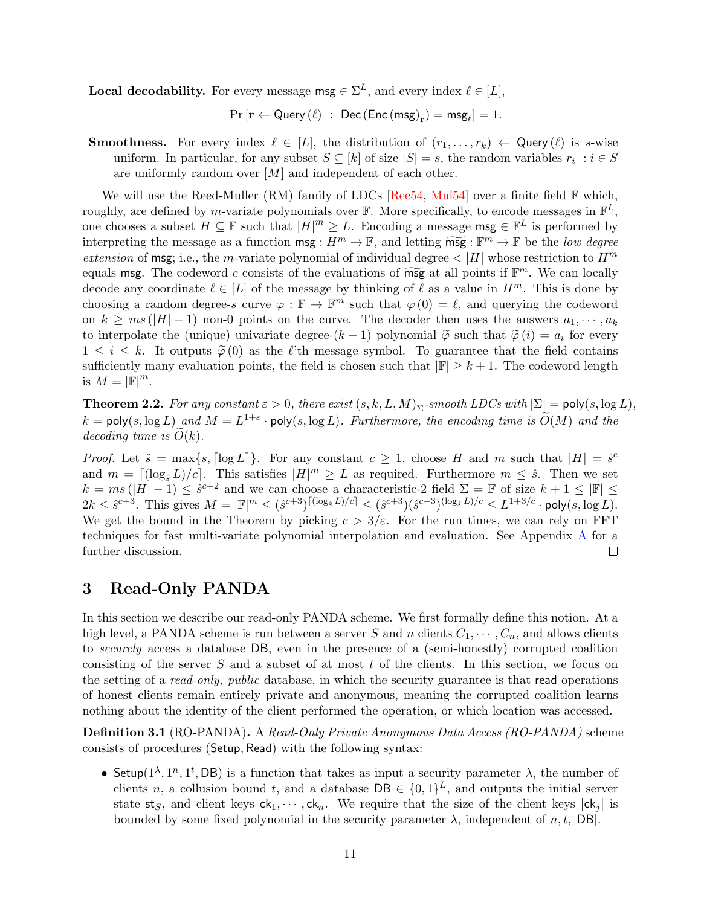**Local decodability.** For every message  $\mathsf{msg} \in \Sigma^L$ , and every index  $\ell \in [L]$ ,

 $\Pr\left[\mathbf{r} \leftarrow \mathsf{Query}\left(\ell\right) \ : \ \mathsf{Dec}\left(\mathsf{Enc}\left(\mathsf{msg}\right)_{\mathbf{r}}\right) = \mathsf{msg}_\ell\right] = 1.$ 

**Smoothness.** For every index  $\ell \in [L]$ , the distribution of  $(r_1, \ldots, r_k) \leftarrow Q$ uery  $(\ell)$  is s-wise uniform. In particular, for any subset  $S \subseteq [k]$  of size  $|S| = s$ , the random variables  $r_i : i \in S$ are uniformly random over  $[M]$  and independent of each other.

We will use the Reed-Muller (RM) family of LDCs [\[Ree54,](#page-41-8) [Mul54\]](#page-41-9) over a finite field  $\mathbb F$  which, roughly, are defined by m-variate polynomials over  $\mathbb F$ . More specifically, to encode messages in  $\mathbb F^L$ , one chooses a subset  $H \subseteq \mathbb{F}$  such that  $|H|^m \geq L$ . Encoding a message msg  $\in \mathbb{F}^L$  is performed by interpreting the message as a function  $\text{msg}: H^m \to \mathbb{F}$ , and letting  $\widetilde{\text{msg}}: \mathbb{F}^m \to \mathbb{F}$  be the low degree extension of msg; i.e., the m-variate polynomial of individual degree  $\langle |H|$  whose restriction to  $H^m$ equals msg. The codeword c consists of the evaluations of  $\widetilde{mgg}$  at all points if  $\mathbb{F}^m$ . We can locally decode any coordinate  $\ell \in [L]$  of the message by thinking of  $\ell$  as a value in  $H^m$ . This is done by choosing a random degree-s curve  $\varphi : \mathbb{F} \to \mathbb{F}^m$  such that  $\varphi(0) = \ell$ , and querying the codeword on  $k \ge ms (|H|-1)$  non-0 points on the curve. The decoder then uses the answers  $a_1, \dots, a_k$ to interpolate the (unique) univariate degree- $(k-1)$  polynomial  $\tilde{\varphi}$  such that  $\tilde{\varphi}(i) = a_i$  for every  $1 \leq i \leq k$ . It outputs  $\tilde{\varphi}(0)$  as the  $\ell$ 'th message symbol. To guarantee that the field contains sufficiently many evaluation points, the field is chosen such that  $|\mathbb{F}| \geq k+1$ . The codeword length is  $M = |\mathbb{F}|^m$ .

<span id="page-11-2"></span>**Theorem 2.2.** For any constant  $\varepsilon > 0$ , there exist  $(s, k, L, M)_{\Sigma}$ -smooth LDCs with  $|\Sigma| = \text{poly}(s, \log L)$ ,  $k = \text{poly}(s, \log L)$  and  $M = L^{1+\varepsilon} \cdot \text{poly}(s, \log L)$ . Furthermore, the encoding time is  $\widetilde{O}(M)$  and the decoding time is  $\tilde{O}(k)$ .

*Proof.* Let  $\hat{s} = \max\{s, \lceil \log L \rceil\}$ . For any constant  $c \geq 1$ , choose H and m such that  $|H| = \hat{s}^c$ and  $m = \lceil (\log_{\hat{s}} L)/c \rceil$ . This satisfies  $|H|^m \geq L$  as required. Furthermore  $m \leq \hat{s}$ . Then we set  $k = ms(|H|-1) \leq \hat{s}^{c+2}$  and we can choose a characteristic-2 field  $\Sigma = \mathbb{F}$  of size  $k+1 \leq |\mathbb{F}| \leq$  $2k \leq \hat{s}^{c+3}$ . This gives  $M = |\mathbb{F}|^m \leq (\hat{s}^{c+3})^{\lceil (\log_{\hat{s}} L)/c \rceil} \leq (\hat{s}^{c+3}) (\hat{s}^{c+3})^{\lceil (\log_{\hat{s}} L)/c \rceil} \leq L^{1+3/c} \cdot \text{poly}(s, \log L)$ . We get the bound in the Theorem by picking  $c > 3/\varepsilon$ . For the run times, we can rely on FFT techniques for fast multi-variate polynomial interpolation and evaluation. See Appendix [A](#page-41-0) for a further discussion.  $\Box$ 

# <span id="page-11-0"></span>3 Read-Only PANDA

In this section we describe our read-only PANDA scheme. We first formally define this notion. At a high level, a PANDA scheme is run between a server S and n clients  $C_1, \dots, C_n$ , and allows clients to securely access a database DB, even in the presence of a (semi-honestly) corrupted coalition consisting of the server  $S$  and a subset of at most  $t$  of the clients. In this section, we focus on the setting of a *read-only, public* database, in which the security guarantee is that read operations of honest clients remain entirely private and anonymous, meaning the corrupted coalition learns nothing about the identity of the client performed the operation, or which location was accessed.

<span id="page-11-1"></span>**Definition 3.1** (RO-PANDA). A Read-Only Private Anonymous Data Access (RO-PANDA) scheme consists of procedures (Setup, Read) with the following syntax:

• Setup( $1^{\lambda}, 1^n, 1^t$ , DB) is a function that takes as input a security parameter  $\lambda$ , the number of clients n, a collusion bound t, and a database  $DB \in \{0,1\}^L$ , and outputs the initial server state st<sub>S</sub>, and client keys  $ck_1, \dots, ck_n$ . We require that the size of the client keys  $|ck_j|$  is bounded by some fixed polynomial in the security parameter  $\lambda$ , independent of  $n, t$ ,  $|DB|$ .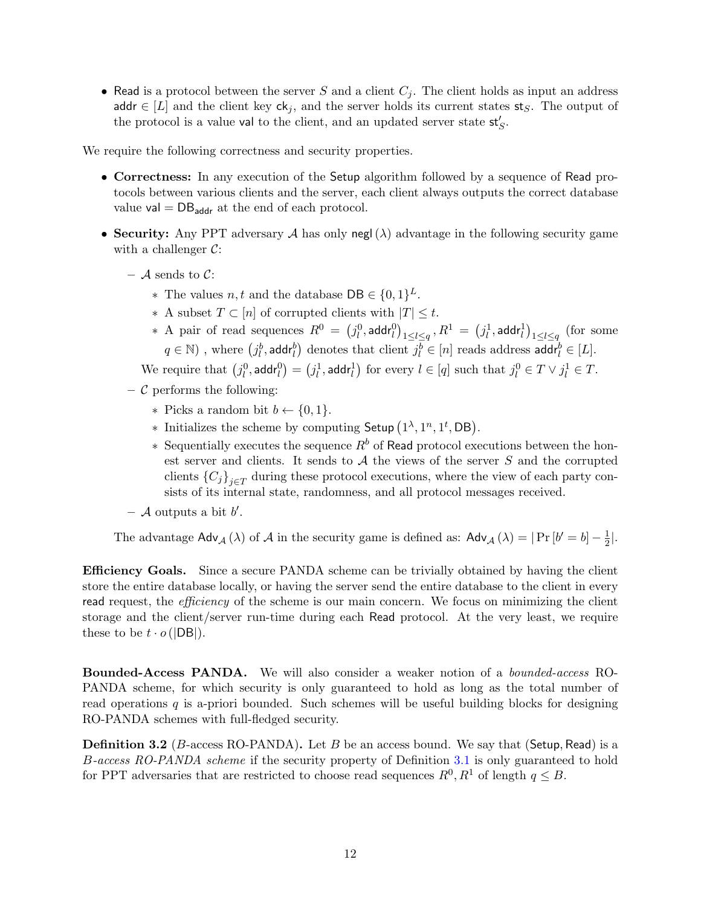• Read is a protocol between the server S and a client  $C_i$ . The client holds as input an address addr  $\in$  [L] and the client key ck<sub>i</sub>, and the server holds its current states st<sub>S</sub>. The output of the protocol is a value val to the client, and an updated server state  $\mathsf{st}'_S$ .

We require the following correctness and security properties.

- Correctness: In any execution of the Setup algorithm followed by a sequence of Read protocols between various clients and the server, each client always outputs the correct database value val  $= DB_{\text{addr}}$  at the end of each protocol.
- Security: Any PPT adversary A has only negl( $\lambda$ ) advantage in the following security game with a challenger  $\mathcal{C}$ :
	- $-$  A sends to C:
		- ∗ The values *n*, *t* and the database DB ∈  $\{0,1\}^L$ .
		- ∗ A subset  $T \subset [n]$  of corrupted clients with  $|T| \leq t$ .
		- $*$  A pair of read sequences  $R^0 = \left(j_l^0, \textsf{addr}_l^0\right)_{1 \leq l \leq q}, R^1 = \left(j_l^1, \textsf{addr}_l^1\right)_{1 \leq l \leq q}$  (for some  $q \in \mathbb{N}$ ), where  $(j_l^b, \mathsf{addr}_l^b)$  denotes that client  $j_l^b \in [n]$  reads address  $\mathsf{addr}_l^b \in [L].$

We require that  $(j_l^0, \text{addr}_l^0) = (j_l^1, \text{addr}_l^1)$  for every  $l \in [q]$  such that  $j_l^0 \in T \vee j_l^1 \in T$ .

- $\mathcal C$  performs the following:
	- ∗ Picks a random bit b ← {0, 1}.
	- ∗ Initializes the scheme by computing Setup  $(1^{\lambda}, 1^n, 1^t, \mathsf{DB})$ .
	- $∗$  Sequentially executes the sequence  $R<sup>b</sup>$  of Read protocol executions between the honest server and clients. It sends to  $A$  the views of the server  $S$  and the corrupted clients  ${C_j}_{j \in T}$  during these protocol executions, where the view of each party consists of its internal state, randomness, and all protocol messages received.
- $-$  A outputs a bit  $b'$ .

The advantage  $\mathsf{Adv}_{\mathcal{A}}(\lambda)$  of  $\mathcal{A}$  in the security game is defined as:  $\mathsf{Adv}_{\mathcal{A}}(\lambda) = |\Pr[b' = b] - \frac{1}{2}$  $\frac{1}{2}$ .

Efficiency Goals. Since a secure PANDA scheme can be trivially obtained by having the client store the entire database locally, or having the server send the entire database to the client in every read request, the *efficiency* of the scheme is our main concern. We focus on minimizing the client storage and the client/server run-time during each Read protocol. At the very least, we require these to be  $t \cdot o$  ( $|DB|$ ).

Bounded-Access PANDA. We will also consider a weaker notion of a bounded-access RO-PANDA scheme, for which security is only guaranteed to hold as long as the total number of read operations  $q$  is a-priori bounded. Such schemes will be useful building blocks for designing RO-PANDA schemes with full-fledged security.

**Definition 3.2** (B-access RO-PANDA). Let B be an access bound. We say that (Setup, Read) is a B-access RO-PANDA scheme if the security property of Definition [3.1](#page-11-1) is only guaranteed to hold for PPT adversaries that are restricted to choose read sequences  $R^0, R^1$  of length  $q \leq B$ .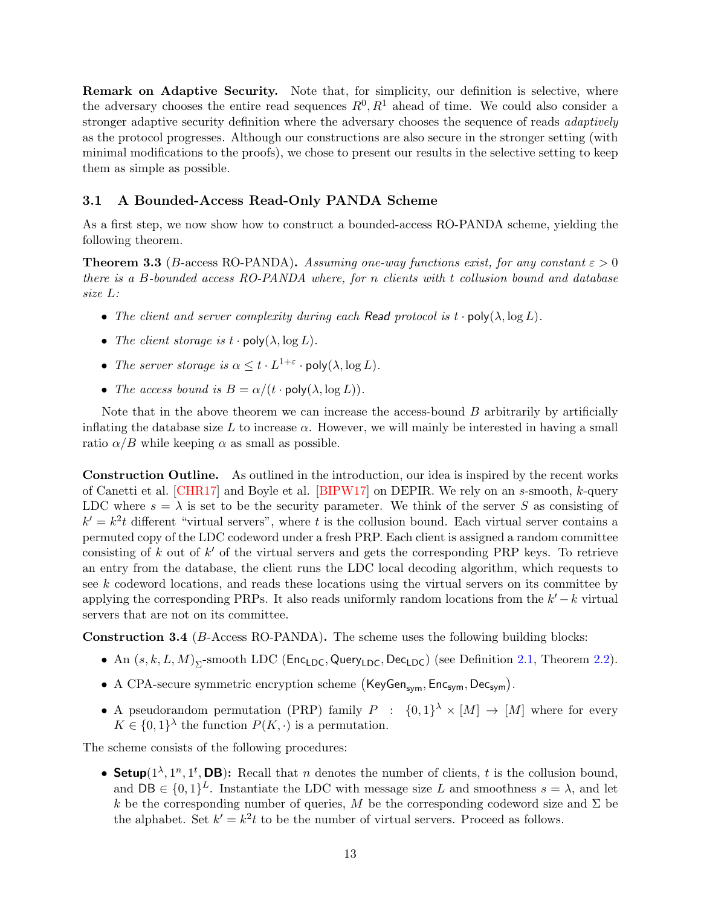Remark on Adaptive Security. Note that, for simplicity, our definition is selective, where the adversary chooses the entire read sequences  $R^0, R^1$  ahead of time. We could also consider a stronger adaptive security definition where the adversary chooses the sequence of reads *adaptively* as the protocol progresses. Although our constructions are also secure in the stronger setting (with minimal modifications to the proofs), we chose to present our results in the selective setting to keep them as simple as possible.

#### <span id="page-13-0"></span>3.1 A Bounded-Access Read-Only PANDA Scheme

As a first step, we now show how to construct a bounded-access RO-PANDA scheme, yielding the following theorem.

<span id="page-13-2"></span>**Theorem 3.3** (B-access RO-PANDA). Assuming one-way functions exist, for any constant  $\varepsilon > 0$ there is a B-bounded access RO-PANDA where, for n clients with t collusion bound and database size L:

- The client and server complexity during each Read protocol is  $t \cdot \text{poly}(\lambda, \log L)$ .
- The client storage is  $t \cdot \text{poly}(\lambda, \log L)$ .
- The server storage is  $\alpha \leq t \cdot L^{1+\varepsilon}$  · poly $(\lambda, \log L)$ .
- The access bound is  $B = \alpha/(t \cdot \text{poly}(\lambda, \log L)).$

Note that in the above theorem we can increase the access-bound  $B$  arbitrarily by artificially inflating the database size L to increase  $\alpha$ . However, we will mainly be interested in having a small ratio  $\alpha/B$  while keeping  $\alpha$  as small as possible.

Construction Outline. As outlined in the introduction, our idea is inspired by the recent works of Canetti et al. [\[CHR17\]](#page-39-5) and Boyle et al. [\[BIPW17\]](#page-39-6) on DEPIR. We rely on an s-smooth, k-query LDC where  $s = \lambda$  is set to be the security parameter. We think of the server S as consisting of  $k' = k^2t$  different "virtual servers", where t is the collusion bound. Each virtual server contains a permuted copy of the LDC codeword under a fresh PRP. Each client is assigned a random committee consisting of  $k$  out of  $k'$  of the virtual servers and gets the corresponding PRP keys. To retrieve an entry from the database, the client runs the LDC local decoding algorithm, which requests to see k codeword locations, and reads these locations using the virtual servers on its committee by applying the corresponding PRPs. It also reads uniformly random locations from the  $k'-k$  virtual servers that are not on its committee.

<span id="page-13-1"></span>Construction 3.4 (B-Access RO-PANDA). The scheme uses the following building blocks:

- An  $(s, k, L, M)_{\Sigma}$ -smooth LDC (Enc<sub>LDC</sub>, Query<sub>LDC</sub>, Dec<sub>LDC</sub>) (see Definition [2.1,](#page-10-2) Theorem [2.2\)](#page-11-2).
- A CPA-secure symmetric encryption scheme  $(\text{KeyGen}_{sym}, \text{Enc}_{sym}, \text{Dec}_{sym}).$
- A pseudorandom permutation (PRP) family  $P : \{0,1\}^{\lambda} \times [M] \rightarrow [M]$  where for every  $K \in \{0,1\}^{\lambda}$  the function  $P(K, \cdot)$  is a permutation.

The scheme consists of the following procedures:

• Setup( $1^{\lambda}, 1^n, 1^t, DB$ ): Recall that *n* denotes the number of clients, *t* is the collusion bound, and  $DB \in \{0,1\}^L$ . Instantiate the LDC with message size L and smoothness  $s = \lambda$ , and let k be the corresponding number of queries, M be the corresponding codeword size and  $\Sigma$  be the alphabet. Set  $k' = k^2 t$  to be the number of virtual servers. Proceed as follows.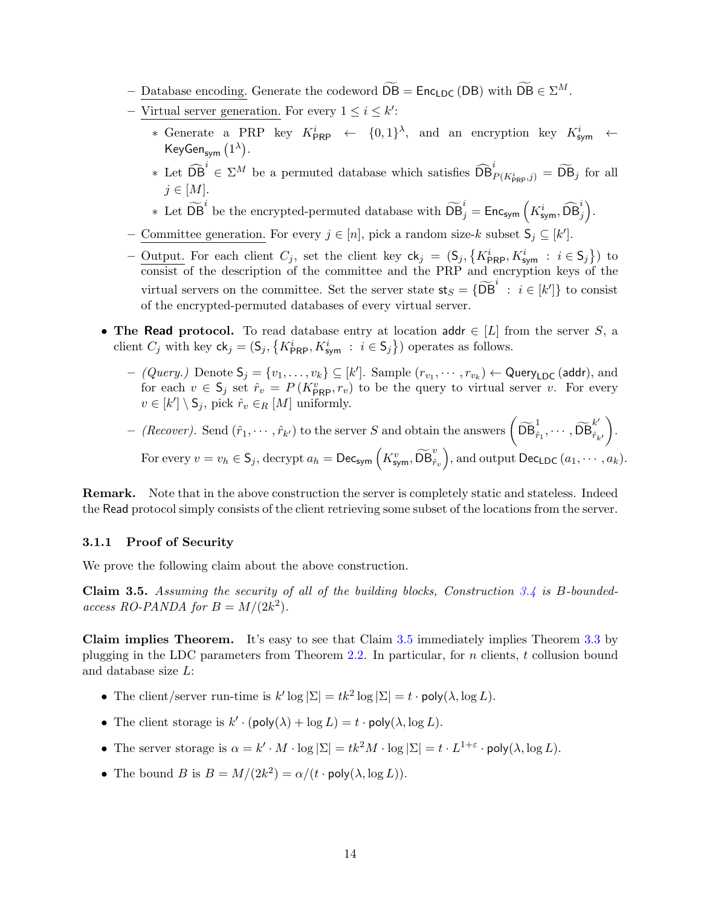- Database encoding. Generate the codeword  $\widetilde{DB} = \text{Enc}_{LDC} (DB)$  with  $\widetilde{DB} \in \Sigma^M$ .
- Virtual server generation. For every  $1 \leq i \leq k'$ :
	- ∗ Generate a PRP key  $K_{\text{PRP}}^i$  ←  $\{0,1\}^{\lambda}$ , and an encryption key  $K_{\text{sym}}^i$  ← KeyGen $_{\mathsf{sym}}\left( 1^{\lambda}\right) .$
	- ∗ Let  $\widehat{\text{DB}}^i \in \Sigma^M$  be a permuted database which satisfies  $\widehat{\text{DB}}_{P(K_{\text{PRP}}^i,j)}^i = \widetilde{\text{DB}}_j$  for all  $j \in [M]$ .
	- \* Let  $\widetilde{\mathsf{DB}}^i$  be the encrypted-permuted database with  $\widetilde{\mathsf{DB}}^i_j = \mathsf{Enc}_{\mathsf{sym}}\left(K^i_{\mathsf{sym}}, \widehat{\mathsf{DB}}^i_j\right)$ .
- − Committee generation. For every  $j \in [n]$ , pick a random size-k subset  $\mathsf{S}_j \subseteq [k']$ .
- $-$  Output. For each client  $C_j$ , set the client key  $ck_j = (S_j, \{K_{PRP}^i, K_{sym}^i : i \in S_j\})$  to consist of the description of the committee and the PRP and encryption keys of the virtual servers on the committee. Set the server state  $\mathsf{st}_S = \{ \widetilde{\mathsf{DB}}^i : i \in [k'] \}$  to consist of the encrypted-permuted databases of every virtual server.
- The Read protocol. To read database entry at location addr  $\in [L]$  from the server S, a client  $C_j$  with key  $\mathsf{ck}_j = (\mathsf{S}_j, \{K^i_{\mathsf{PRP}}, K^i_{\mathsf{sym}} : i \in \mathsf{S}_j\})$  operates as follows.
	- $-$  (Query.) Denote  $\mathsf{S}_j = \{v_1, \ldots, v_k\}$  ⊆ [k']. Sample  $(r_{v_1}, \cdots, r_{v_k})$  ← Query<sub>LDC</sub> (addr), and for each  $v \in \mathsf{S}_j$  set  $\hat{r}_v = P(K_{\text{PRP}}^v, r_v)$  to be the query to virtual server v. For every  $v \in [k'] \setminus \mathsf{S}_j$ , pick  $\hat{r}_v \in_R [M]$  uniformly.
	- $-$  *(Recover)*. Send  $(\hat{r}_1, \dots, \hat{r}_{k'})$  to the server S and obtain the answers  $\left( \widetilde{\mathsf{DB}}_{\hat{r}_1}^1, \dots, \widetilde{\mathsf{DB}}_{\hat{r}_{k'}}^{k'} \right)$  $\hat{r}_{k'}$  . For every  $v = v_h \in \mathsf{S}_j$ , decrypt  $a_h = \mathsf{Dec}_{\mathsf{sym}}\left(K^v_{\mathsf{sym}}, \widetilde{\mathsf{DB}}_{\hat{r}_v}^v\right)$ , and output  $\mathsf{Dec}_{\mathsf{LDC}}\left(a_1, \cdots, a_k\right)$ .

Remark. Note that in the above construction the server is completely static and stateless. Indeed the Read protocol simply consists of the client retrieving some subset of the locations from the server.

#### <span id="page-14-0"></span>3.1.1 Proof of Security

We prove the following claim about the above construction.

<span id="page-14-1"></span>**Claim 3.5.** Assuming the security of all of the building blocks, Construction [3.4](#page-13-1) is B-boundedaccess RO-PANDA for  $B = M/(2k^2)$ .

Claim implies Theorem. It's easy to see that Claim [3.5](#page-14-1) immediately implies Theorem [3.3](#page-13-2) by plugging in the LDC parameters from Theorem [2.2.](#page-11-2) In particular, for  $n$  clients,  $t$  collusion bound and database size L:

- The client/server run-time is  $k' \log |\Sigma| = tk^2 \log |\Sigma| = t \cdot \text{poly}(\lambda, \log L)$ .
- The client storage is  $k' \cdot (\text{poly}(\lambda) + \log L) = t \cdot \text{poly}(\lambda, \log L)$ .
- The server storage is  $\alpha = k' \cdot M \cdot \log |\Sigma| = tk^2 M \cdot \log |\Sigma| = t \cdot L^{1+\varepsilon} \cdot \text{poly}(\lambda, \log L).$
- The bound B is  $B = M/(2k^2) = \alpha/(t \cdot \text{poly}(\lambda, \log L)).$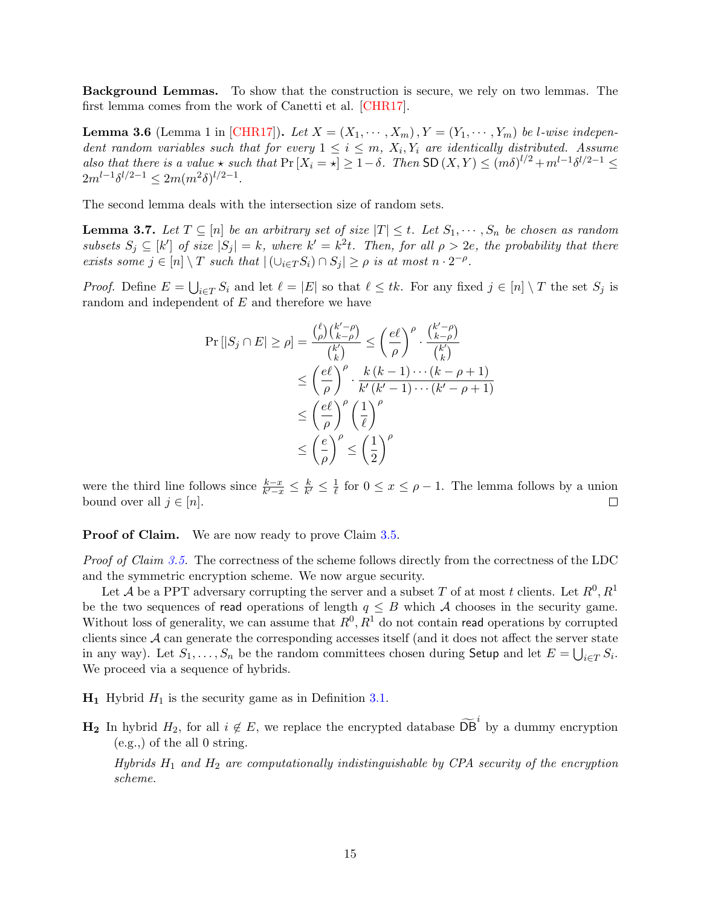Background Lemmas. To show that the construction is secure, we rely on two lemmas. The first lemma comes from the work of Canetti et al. [\[CHR17\]](#page-39-5).

<span id="page-15-1"></span>**Lemma 3.6** (Lemma 1 in [\[CHR17\]](#page-39-5)). Let  $X = (X_1, \dots, X_m)$ ,  $Y = (Y_1, \dots, Y_m)$  be l-wise independent random variables such that for every  $1 \leq i \leq m$ ,  $X_i, Y_i$  are identically distributed. Assume also that there is a value  $\star$  such that  $Pr[X_i = \star] \geq 1 - \delta$ . Then  $SD(X, Y) \leq (m\delta)^{l/2} + m^{l-1}\delta^{l/2 - 1} \leq$  $2m^{l-1}\delta^{l/2-1} \leq 2m(m^2\delta)^{l/2-1}.$ 

The second lemma deals with the intersection size of random sets.

<span id="page-15-0"></span>**Lemma 3.7.** Let  $T \subseteq [n]$  be an arbitrary set of size  $|T| \le t$ . Let  $S_1, \dots, S_n$  be chosen as random subsets  $S_j \subseteq [k']$  of size  $|S_j| = k$ , where  $k' = k^2t$ . Then, for all  $\rho > 2e$ , the probability that there exists some  $j \in [n] \setminus T$  such that  $|(\cup_{i \in T} S_i) \cap S_j| \ge \rho$  is at most  $n \cdot 2^{-\rho}$ .

*Proof.* Define  $E = \bigcup_{i \in T} S_i$  and let  $\ell = |E|$  so that  $\ell \leq tk$ . For any fixed  $j \in [n] \setminus T$  the set  $S_j$  is random and independent of E and therefore we have

$$
\Pr[|S_j \cap E| \ge \rho] = \frac{\binom{\ell}{\rho} \binom{k'-\rho}{k-\rho}}{\binom{k'}{k}} \le \left(\frac{e\ell}{\rho}\right)^{\rho} \cdot \frac{\binom{k'-\rho}{k-\rho}}{\binom{k'}{k}} \\
\le \left(\frac{e\ell}{\rho}\right)^{\rho} \cdot \frac{k(k-1)\cdots(k-\rho+1)}{k'(k'-1)\cdots(k'-\rho+1)} \\
\le \left(\frac{e\ell}{\rho}\right)^{\rho} \left(\frac{1}{\ell}\right)^{\rho} \\
\le \left(\frac{e}{\rho}\right)^{\rho} \le \left(\frac{1}{2}\right)^{\rho}
$$

were the third line follows since  $\frac{k-x}{k'-x} \leq \frac{k}{k'}$  $\frac{k}{k'} \leq \frac{1}{\ell}$  $\frac{1}{\ell}$  for  $0 \leq x \leq \rho - 1$ . The lemma follows by a union bound over all  $j \in [n]$ .  $\Box$ 

**Proof of Claim.** We are now ready to prove Claim [3.5.](#page-14-1)

Proof of Claim [3.5.](#page-14-1) The correctness of the scheme follows directly from the correctness of the LDC and the symmetric encryption scheme. We now argue security.

Let A be a PPT adversary corrupting the server and a subset T of at most t clients. Let  $R^0, R^1$ be the two sequences of read operations of length  $q \leq B$  which A chooses in the security game. Without loss of generality, we can assume that  $R^0, R^1$  do not contain read operations by corrupted clients since  $A$  can generate the corresponding accesses itself (and it does not affect the server state in any way). Let  $S_1, \ldots, S_n$  be the random committees chosen during Setup and let  $E = \bigcup_{i \in T} S_i$ . We proceed via a sequence of hybrids.

 $H_1$  Hybrid  $H_1$  is the security game as in Definition [3.1.](#page-11-1)

 $\mathbf{H}_{2}$  In hybrid  $H_{2}$ , for all  $i \notin E$ , we replace the encrypted database  $\widetilde{DB}^{i}$  by a dummy encryption (e.g.,) of the all 0 string.

Hybrids  $H_1$  and  $H_2$  are computationally indistinguishable by CPA security of the encryption scheme.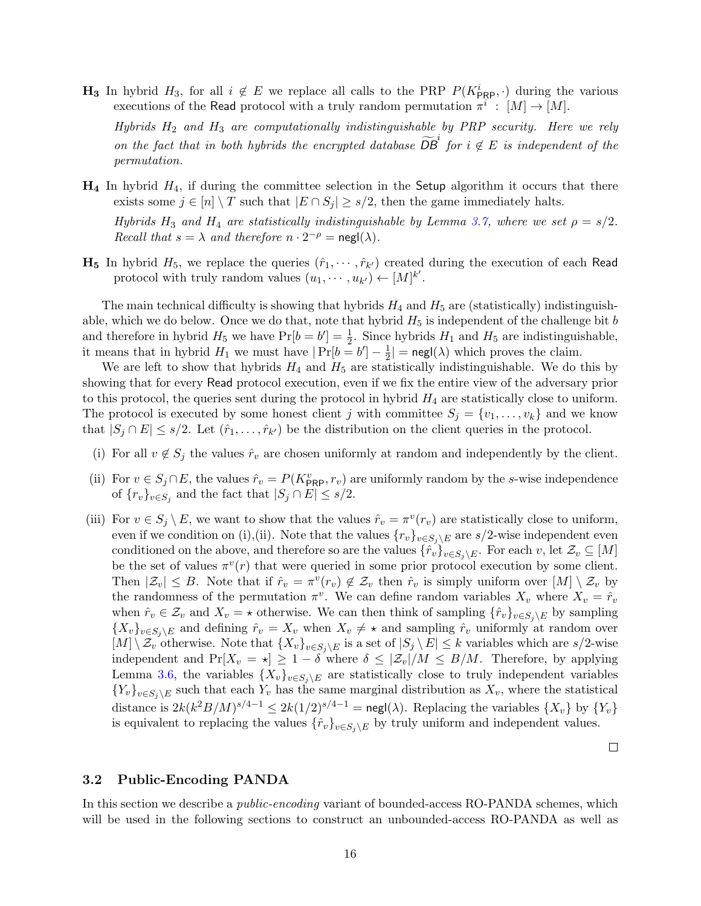- **H<sub>3</sub>** In hybrid  $H_3$ , for all  $i \notin E$  we replace all calls to the PRP  $P(K_{\text{PRP}}^i, \cdot)$  during the various executions of the Read protocol with a truly random permutation  $\pi^i : [M] \to [M]$ . Hybrids  $H_2$  and  $H_3$  are computationally indistinguishable by PRP security. Here we rely on the fact that in both hybrids the encrypted database  $\widetilde{DB}^i$  for  $i \notin E$  is independent of the permutation.
- $H_4$  In hybrid  $H_4$ , if during the committee selection in the Setup algorithm it occurs that there exists some  $j \in [n] \setminus T$  such that  $|E \cap S_j| \geq s/2$ , then the game immediately halts. Hybrids H<sub>3</sub> and H<sub>4</sub> are statistically indistinguishable by Lemma [3.7,](#page-15-0) where we set  $\rho = s/2$ . Recall that  $s = \lambda$  and therefore  $n \cdot 2^{-\rho} = \text{negl}(\lambda)$ .
- $\rm{\bf H_5}$  In hybrid  $H_5$ , we replace the queries  $(\hat{r}_1,\cdots,\hat{r}_{k'})$  created during the execution of each Read protocol with truly random values  $(u_1, \dots, u_{k'}) \leftarrow [M]^{k'}$ .

The main technical difficulty is showing that hybrids  $H_4$  and  $H_5$  are (statistically) indistinguishable, which we do below. Once we do that, note that hybrid  $H_5$  is independent of the challenge bit b and therefore in hybrid  $H_5$  we have  $Pr[b = b'] = \frac{1}{2}$ . Since hybrids  $H_1$  and  $H_5$  are indistinguishable, it means that in hybrid  $H_1$  we must have  $|\Pr[b=b'] - \frac{1}{2}$  $\frac{1}{2}$  = negl( $\lambda$ ) which proves the claim.

We are left to show that hybrids  $H_4$  and  $H_5$  are statistically indistinguishable. We do this by showing that for every Read protocol execution, even if we fix the entire view of the adversary prior to this protocol, the queries sent during the protocol in hybrid  $H_4$  are statistically close to uniform. The protocol is executed by some honest client j with committee  $S_j = \{v_1, \ldots, v_k\}$  and we know that  $|S_j \cap E| \leq s/2$ . Let  $(\hat{r}_1, \dots, \hat{r}_{k'})$  be the distribution on the client queries in the protocol.

- (i) For all  $v \notin S_j$  the values  $\hat{r}_v$  are chosen uniformly at random and independently by the client.
- (ii) For  $v \in S_j \cap E$ , the values  $\hat{r}_v = P(K_{\text{PRP}}^v, r_v)$  are uniformly random by the s-wise independence of  $\{r_v\}_{v \in S_j}$  and the fact that  $|S_j \cap E| \leq s/2$ .
- (iii) For  $v \in S_j \setminus E$ , we want to show that the values  $\hat{r}_v = \pi^v(r_v)$  are statistically close to uniform, even if we condition on (i),(ii). Note that the values  $\{r_v\}_{v \in S_i\setminus E}$  are  $s/2$ -wise independent even conditioned on the above, and therefore so are the values  $\{\hat{r}_v\}_{v\in S_i\setminus E}$ . For each v, let  $\mathcal{Z}_v\subseteq [M]$ be the set of values  $\pi^v(r)$  that were queried in some prior protocol execution by some client. Then  $|\mathcal{Z}_v| \leq B$ . Note that if  $\hat{r}_v = \pi^v(r_v) \notin \mathcal{Z}_v$  then  $\hat{r}_v$  is simply uniform over  $[M] \setminus \mathcal{Z}_v$  by the randomness of the permutation  $\pi^v$ . We can define random variables  $X_v$  where  $X_v = \hat{r}_v$ when  $\hat{r}_v \in \mathcal{Z}_v$  and  $X_v = \star$  otherwise. We can then think of sampling  $\{\hat{r}_v\}_{v \in S_i \setminus E}$  by sampling  ${X_v}_{v \in S_i \setminus E}$  and defining  $\hat{r}_v = X_v$  when  $X_v \neq \star$  and sampling  $\hat{r}_v$  uniformly at random over  $[M] \setminus \mathcal{Z}_v$  otherwise. Note that  $\{X_v\}_{v \in S_j \setminus E}$  is a set of  $|S_j \setminus E| \leq k$  variables which are  $s/2$ -wise independent and  $Pr[X_v = \star] \geq 1 - \delta$  where  $\delta \leq |\mathcal{Z}_v|/M \leq B/M$ . Therefore, by applying Lemma [3.6,](#page-15-1) the variables  $\{X_v\}_{v\in S_i\setminus E}$  are statistically close to truly independent variables  ${Y_v}_{v \in S_i \setminus E}$  such that each  $Y_v$  has the same marginal distribution as  $X_v$ , where the statistical distance is  $2k(k^2B/M)^{s/4-1} \leq 2k(1/2)^{s/4-1} = \text{negl}(\lambda)$ . Replacing the variables  $\{X_v\}$  by  $\{Y_v\}$ is equivalent to replacing the values  $\{\hat{r}_v\}_{v \in S_i \setminus E}$  by truly uniform and independent values.

 $\Box$ 

#### <span id="page-16-0"></span>3.2 Public-Encoding PANDA

In this section we describe a *public-encoding* variant of bounded-access RO-PANDA schemes, which will be used in the following sections to construct an unbounded-access RO-PANDA as well as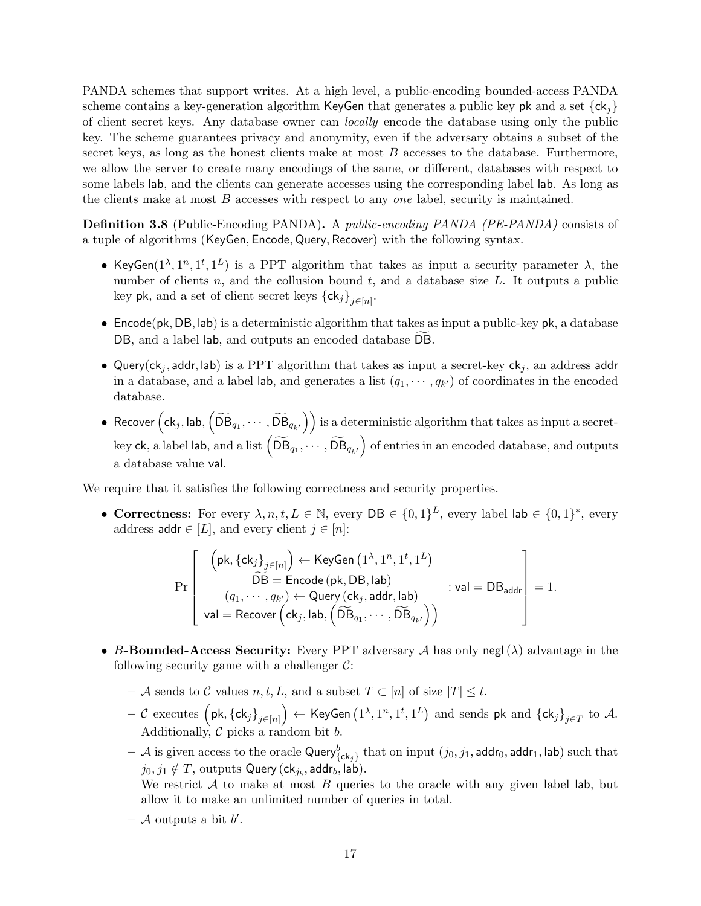PANDA schemes that support writes. At a high level, a public-encoding bounded-access PANDA scheme contains a key-generation algorithm KeyGen that generates a public key pk and a set  $\{ck_i\}$ of client secret keys. Any database owner can locally encode the database using only the public key. The scheme guarantees privacy and anonymity, even if the adversary obtains a subset of the secret keys, as long as the honest clients make at most  $B$  accesses to the database. Furthermore, we allow the server to create many encodings of the same, or different, databases with respect to some labels lab, and the clients can generate accesses using the corresponding label lab. As long as the clients make at most  $B$  accesses with respect to any *one* label, security is maintained.

<span id="page-17-0"></span>Definition 3.8 (Public-Encoding PANDA). A public-encoding PANDA (PE-PANDA) consists of a tuple of algorithms (KeyGen, Encode, Query, Recover) with the following syntax.

- KeyGen( $1^{\lambda}, 1^n, 1^t, 1^L$ ) is a PPT algorithm that takes as input a security parameter  $\lambda$ , the number of clients  $n$ , and the collusion bound  $t$ , and a database size  $L$ . It outputs a public key pk, and a set of client secret keys  $\{\mathsf{ck}_j\}_{j\in[n]}.$
- Encode(pk, DB, lab) is a deterministic algorithm that takes as input a public-key pk, a database DB, and a label lab, and outputs an encoded database DB.
- Query( $ck_j$ , addr, lab) is a PPT algorithm that takes as input a secret-key  $ck_j$ , an address addr in a database, and a label lab, and generates a list  $(q_1, \dots, q_{k'})$  of coordinates in the encoded database.
- Recover  $\left($  ck $_j$ , lab,  $\left(\widetilde{\mathsf{DB}}_{q_1}, \cdots, \widetilde{\mathsf{DB}}_{q_{k'}}\right)\right)$  is a deterministic algorithm that takes as input a secretkey  $\mathsf{ck},$  a label lab, and a list  $\left(\widetilde{\mathsf{DB}}_{q_1},\cdots,\widetilde{\mathsf{DB}}_{q_{k'}}\right)$  of entries in an encoded database, and outputs a database value val.

We require that it satisfies the following correctness and security properties.

• Correctness: For every  $\lambda, n, t, L \in \mathbb{N}$ , every DB  $\in \{0,1\}^L$ , every label lab  $\in \{0,1\}^*$ , every address addr  $\in$  [L], and every client  $j \in [n]$ :

$$
\Pr\left[\begin{array}{c} \left(\mathsf{pk},\{\mathsf{ck}_j\}_{j\in[n]}\right) \leftarrow \mathsf{KeyGen}\left(1^\lambda,1^n,1^t,1^L\right) \\ \widetilde{\mathsf{DB}} = \mathsf{Encode}\left(\mathsf{pk},\mathsf{DB},\mathsf{lab}\right) \\ \left(q_1,\cdots,q_{k'}\right) \leftarrow \mathsf{Query}\left(\mathsf{ck}_j,\mathsf{addr},\mathsf{lab}\right) \\ \mathsf{val} = \mathsf{Recover}\left(\mathsf{ck}_j,\mathsf{lab},\left(\widetilde{\mathsf{DB}}_{q_1},\cdots,\widetilde{\mathsf{DB}}_{q_{k'}}\right)\right)\end{array} : \mathsf{val} = \mathsf{DB}_\mathsf{addr}\right] = 1.
$$

- B-Bounded-Access Security: Every PPT adversary A has only negl( $\lambda$ ) advantage in the following security game with a challenger  $C$ :
	- A sends to C values n, t, L, and a subset  $T \subset [n]$  of size  $|T| \leq t$ .
	- ${\cal C}$  executes  $\left(\mathsf{pk}, \left\{\mathsf{ck}_j\right\}_{j\in[n]}\right)\leftarrow \mathsf{KeyGen}\left(1^\lambda,1^n,1^t,1^L\right) \text{ and sends }\mathsf{pk}\text{ and } \left\{\mathsf{ck}_j\right\}_{j\in T}$  to  ${\cal A}.$ Additionally,  $C$  picks a random bit  $b$ .
	- ${\cal A}$  is given access to the oracle  ${\sf Query}^b_{\{{\sf ck}_j\}}$  that on input  $(j_0, j_1, {\sf addr}_0, {\sf addr}_1, {\sf lab})$  such that  $j_0, j_1 \notin T$ , outputs Query (ck $_{j_b},$  addr $_b,$  lab).

We restrict  $A$  to make at most  $B$  queries to the oracle with any given label lab, but allow it to make an unlimited number of queries in total.

 $-$  A outputs a bit  $b'$ .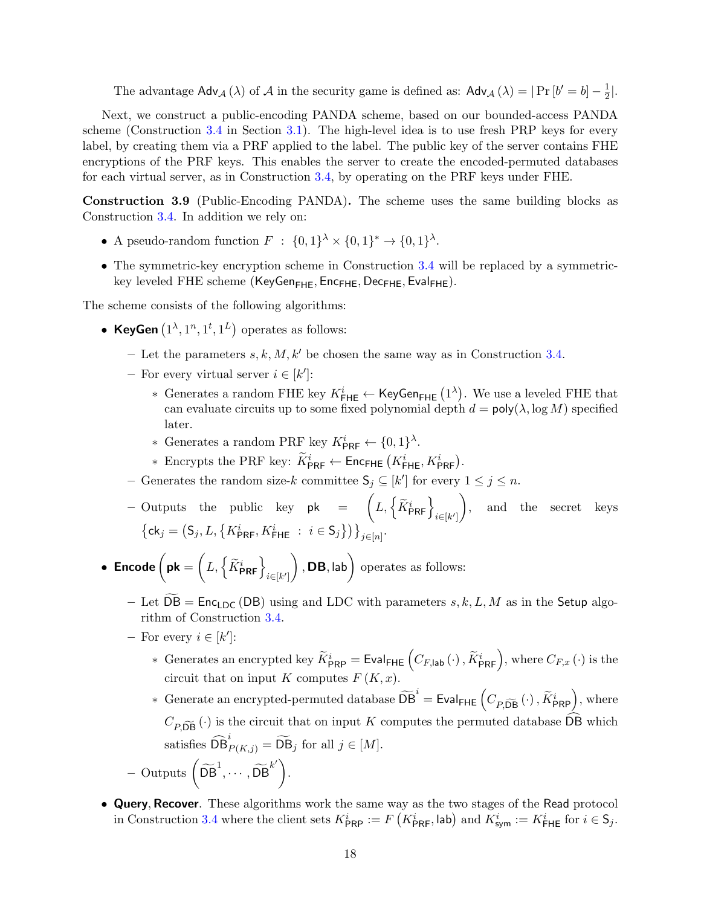The advantage  $\text{Adv}_{\mathcal{A}}(\lambda)$  of  $\mathcal{A}$  in the security game is defined as:  $\text{Adv}_{\mathcal{A}}(\lambda) = |\Pr[b' = b] - \frac{1}{2}$  $\frac{1}{2}$ .

Next, we construct a public-encoding PANDA scheme, based on our bounded-access PANDA scheme (Construction [3.4](#page-13-1) in Section [3.1\)](#page-13-0). The high-level idea is to use fresh PRP keys for every label, by creating them via a PRF applied to the label. The public key of the server contains FHE encryptions of the PRF keys. This enables the server to create the encoded-permuted databases for each virtual server, as in Construction [3.4,](#page-13-1) by operating on the PRF keys under FHE.

<span id="page-18-0"></span>Construction 3.9 (Public-Encoding PANDA). The scheme uses the same building blocks as Construction [3.4.](#page-13-1) In addition we rely on:

- A pseudo-random function  $F : \{0,1\}^{\lambda} \times \{0,1\}^* \to \{0,1\}^{\lambda}$ .
- The symmetric-key encryption scheme in Construction [3.4](#page-13-1) will be replaced by a symmetrickey leveled FHE scheme (KeyGen<sub>FHE</sub>, Enc<sub>FHE</sub>, Dec<sub>FHE</sub>, Eval<sub>FHE</sub>).

The scheme consists of the following algorithms:

- KeyGen  $(1^{\lambda}, 1^n, 1^t, 1^L)$  operates as follows:
	- Let the parameters  $s, k, M, k'$  be chosen the same way as in Construction [3.4.](#page-13-1)
	- For every virtual server  $i \in [k']$ :
		- ∗ Generates a random FHE key  $K_{\textsf{FHE}}^{i}$  ← KeyGen<sub>FHE</sub>  $(1^{\lambda})$ . We use a leveled FHE that can evaluate circuits up to some fixed polynomial depth  $d = \text{poly}(\lambda, \log M)$  specified later.
		- ∗ Generates a random PRF key  $K_{\text{PRF}}^i \leftarrow \{0,1\}^{\lambda}$ .
		- \* Encrypts the PRF key:  $\widetilde{K}_{\mathsf{PRF}}^i \leftarrow \mathsf{Enc}_{\mathsf{FHE}}\left(K_{\mathsf{FHE}}^i, K_{\mathsf{PRF}}^i\right)$ .
	- Generates the random size-k committee  $S_j \subseteq [k']$  for every  $1 \le j \le n$ .
	- Outputs the public key  $pk = \left(L, \left\{\widetilde{K}_{\mathsf{PRF}}^i\right\}_{i \in [k']} \right\}$  , and the secret keys  $\{ck_j = (S_j, L, \{K_{\text{PRF}}^i, K_{\text{FHE}}^i : i \in S_j\})\}_{j \in [n]}.$
- $\bullet \,\,\textsf{Encode}\left(\textsf{pk}=\left(L,\left\{\widetilde{K}_{\textsf{PRF}}^{i}\right\}_{i\in[k']}\right. \right)$  , DB, lab operates as follows:
	- Let  $DB = Enc_{LDC} (DB)$  using and LDC with parameters s, k, L, M as in the Setup algorithm of Construction [3.4.](#page-13-1)
	- For every  $i \in [k']$ :
		- ∗ Generates an encrypted key  $\widetilde{K}_\mathsf{PRP}^i = \mathsf{Eval}_\mathsf{FHE}\left(C_{F,\mathsf{lab}}\left(\cdot\right), \widetilde{K}_\mathsf{PRF}^i\right)$ , where  $C_{F,x}\left(\cdot\right)$  is the circuit that on input K computes  $F(K, x)$ .
		- ∗ Generate an encrypted-permuted database  $\widetilde{\mathsf{DB}}^i = \mathsf{Eval}_{\mathsf{FHE}}\left(C_{P, \widetilde{\mathsf{DB}}} \left(\cdot\right), \widetilde{K}_{\mathsf{PRP}}^i\right)$ , where  $C_{P.\widetilde{\mathsf{DB}}} \left( \cdot \right)$  is the circuit that on input  $K$  computes the permuted database  $\widehat{\mathsf{DB}}$  which satisfies  $\widehat{\mathrm{DB}}_{P(K,j)}^i = \widetilde{\mathrm{DB}}_j$  for all  $j \in [M]$ .
	- $-$  Outputs  $\left( \widetilde{\mathsf{DB}}^1, \cdots, \widetilde{\mathsf{DB}}^{k'} \right)$ .
- Query, Recover. These algorithms work the same way as the two stages of the Read protocol in Construction [3.4](#page-13-1) where the client sets  $K_{\text{PRP}}^i := F\left(K_{\text{PRF}}^i, \text{lab}\right)$  and  $K_{\text{sym}}^i := K_{\text{FHE}}^i$  for  $i \in \mathsf{S}_j$ .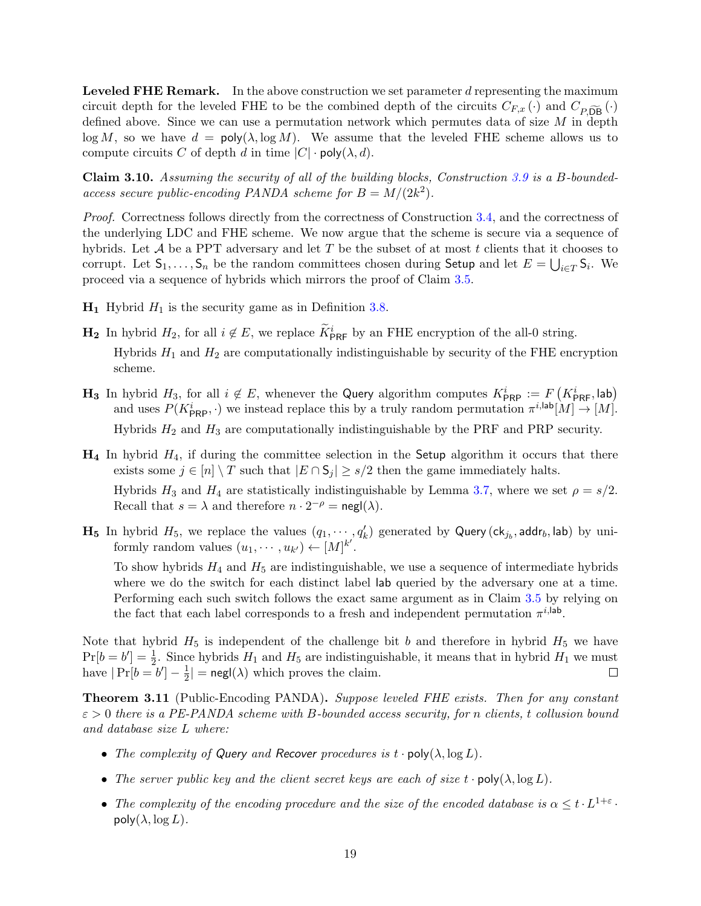**Leveled FHE Remark.** In the above construction we set parameter  $d$  representing the maximum circuit depth for the leveled FHE to be the combined depth of the circuits  $C_{F,x}(\cdot)$  and  $C_{P\cap\widetilde{B}}(\cdot)$ defined above. Since we can use a permutation network which permutes data of size M in depth  $\log M$ , so we have  $d = \text{poly}(\lambda, \log M)$ . We assume that the leveled FHE scheme allows us to compute circuits C of depth d in time  $|C| \cdot \text{poly}(\lambda, d)$ .

**Claim 3.10.** Assuming the security of all of the building blocks, Construction [3.9](#page-18-0) is a B-boundedaccess secure public-encoding PANDA scheme for  $B = M/(2k^2)$ .

Proof. Correctness follows directly from the correctness of Construction [3.4,](#page-13-1) and the correctness of the underlying LDC and FHE scheme. We now argue that the scheme is secure via a sequence of hybrids. Let  $A$  be a PPT adversary and let  $T$  be the subset of at most  $t$  clients that it chooses to corrupt. Let  $S_1, \ldots, S_n$  be the random committees chosen during Setup and let  $E = \bigcup_{i \in T} S_i$ . We proceed via a sequence of hybrids which mirrors the proof of Claim [3.5.](#page-14-1)

- $H_1$  Hybrid  $H_1$  is the security game as in Definition [3.8.](#page-17-0)
- $\mathbf{H}_2$  In hybrid  $H_2$ , for all  $i \notin E$ , we replace  $\widetilde{K}_{\text{PRF}}^i$  by an FHE encryption of the all-0 string.

Hybrids  $H_1$  and  $H_2$  are computationally indistinguishable by security of the FHE encryption scheme.

- **H<sub>3</sub>** In hybrid  $H_3$ , for all  $i \notin E$ , whenever the Query algorithm computes  $K_{\sf PRP}^i := F\left(K_{\sf PRF}^i, \textsf{lab}\right)$ and uses  $P(K_{\text{PRP}}^i, \cdot)$  we instead replace this by a truly random permutation  $\pi^{i, \text{lab}}[M] \to [M]$ . Hybrids  $H_2$  and  $H_3$  are computationally indistinguishable by the PRF and PRP security.
- $\mathbf{H}_4$  In hybrid  $H_4$ , if during the committee selection in the Setup algorithm it occurs that there exists some  $j \in [n] \setminus T$  such that  $|E \cap S_j| \geq s/2$  then the game immediately halts. Hybrids  $H_3$  and  $H_4$  are statistically indistinguishable by Lemma [3.7,](#page-15-0) where we set  $\rho = s/2$ . Recall that  $s = \lambda$  and therefore  $n \cdot 2^{-\rho} = \mathsf{negl}(\lambda)$ .
- $H_5$  In hybrid  $H_5$ , we replace the values  $(q_1, \dots, q_k')$  generated by Query (ck<sub>j<sub>b</sub></sub>, addr<sub>b</sub>, lab) by uniformly random values  $(u_1, \dots, u_{k'}) \leftarrow [M]^{k'}$ .

To show hybrids  $H_4$  and  $H_5$  are indistinguishable, we use a sequence of intermediate hybrids where we do the switch for each distinct label lab queried by the adversary one at a time. Performing each such switch follows the exact same argument as in Claim [3.5](#page-14-1) by relying on the fact that each label corresponds to a fresh and independent permutation  $\pi^{i, \text{lab}}$ .

Note that hybrid  $H_5$  is independent of the challenge bit b and therefore in hybrid  $H_5$  we have  $Pr[b = b'] = \frac{1}{2}$ . Since hybrids  $H_1$  and  $H_5$  are indistinguishable, it means that in hybrid  $H_1$  we must have  $|\Pr[b = b'] - \frac{1}{2}$  $\frac{1}{2}$  = negl( $\lambda$ ) which proves the claim.  $\Box$ 

<span id="page-19-0"></span>Theorem 3.11 (Public-Encoding PANDA). Suppose leveled FHE exists. Then for any constant  $\varepsilon > 0$  there is a PE-PANDA scheme with B-bounded access security, for n clients, t collusion bound and database size L where:

- The complexity of Query and Recover procedures is  $t \cdot \text{poly}(\lambda, \log L)$ .
- The server public key and the client secret keys are each of size  $t \cdot \text{poly}(\lambda, \log L)$ .
- The complexity of the encoding procedure and the size of the encoded database is  $\alpha \leq t \cdot L^{1+\varepsilon}$ .  $poly(\lambda, \log L)$ .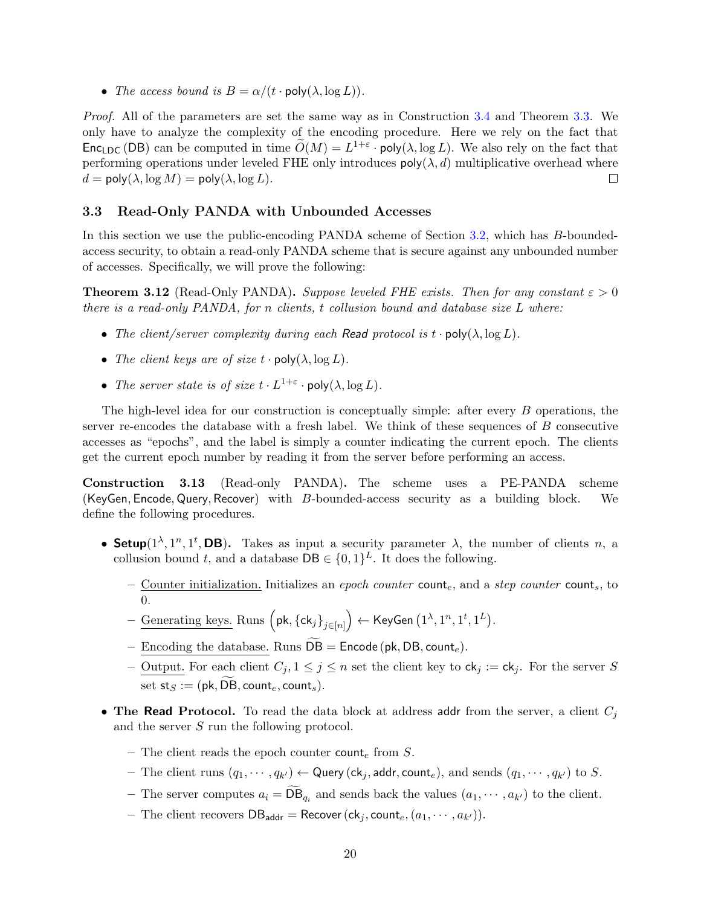• The access bound is  $B = \alpha/(t \cdot \text{poly}(\lambda, \log L)).$ 

Proof. All of the parameters are set the same way as in Construction [3.4](#page-13-1) and Theorem [3.3.](#page-13-2) We only have to analyze the complexity of the encoding procedure. Here we rely on the fact that Enc<sub>LDC</sub> (DB) can be computed in time  $\widetilde{O}(M) = L^{1+\varepsilon}$  poly $(\lambda, \log L)$ . We also rely on the fact that performing operations under leveled FHE only introduces  $poly(\lambda, d)$  multiplicative overhead where  $d = \text{poly}(\lambda, \log M) = \text{poly}(\lambda, \log L).$  $\Box$ 

#### <span id="page-20-0"></span>3.3 Read-Only PANDA with Unbounded Accesses

In this section we use the public-encoding PANDA scheme of Section [3.2,](#page-16-0) which has B-boundedaccess security, to obtain a read-only PANDA scheme that is secure against any unbounded number of accesses. Specifically, we will prove the following:

<span id="page-20-1"></span>**Theorem 3.12** (Read-Only PANDA). Suppose leveled FHE exists. Then for any constant  $\varepsilon > 0$ there is a read-only PANDA, for n clients,  $t$  collusion bound and database size  $L$  where:

- The client/server complexity during each Read protocol is  $t \cdot \text{poly}(\lambda, \log L)$ .
- The client keys are of size  $t \cdot \text{poly}(\lambda, \log L)$ .
- The server state is of size  $t \cdot L^{1+\varepsilon} \cdot \text{poly}(\lambda, \log L)$ .

The high-level idea for our construction is conceptually simple: after every B operations, the server re-encodes the database with a fresh label. We think of these sequences of B consecutive accesses as "epochs", and the label is simply a counter indicating the current epoch. The clients get the current epoch number by reading it from the server before performing an access.

<span id="page-20-2"></span>Construction 3.13 (Read-only PANDA). The scheme uses a PE-PANDA scheme (KeyGen, Encode, Query, Recover) with B-bounded-access security as a building block. We define the following procedures.

- Setup( $1^{\lambda}, 1^n, 1^t, \mathsf{DB}$ ). Takes as input a security parameter  $\lambda$ , the number of clients n, a collusion bound t, and a database  $DB \in \{0,1\}^L$ . It does the following.
	- Counter initialization. Initializes an epoch counter count<sub>e</sub>, and a step counter count<sub>s</sub>, to 0.
	- $\frac{\text{Generating keys.} }{\text{Runs }\left(\textsf{pk},\left\{\textsf{ck}_j\right\}_{j\in[n]}\right)} \leftarrow \textsf{KeyGen}\left(1^\lambda,1^n,1^t,1^L\right).$
	- Encoding the database. Runs  $\overline{DB}$  = Encode (pk, DB, count<sub>e</sub>).
	- Output. For each client  $C_j$ ,  $1 \leq j \leq n$  set the client key to  $ck_j := ck_j$ . For the server S set  $\text{st}_S := (\text{pk}, \widetilde{\text{DB}}, \text{count}_e, \text{count}_s).$
- The Read Protocol. To read the data block at address addr from the server, a client  $C_i$ and the server S run the following protocol.
	- The client reads the epoch counter count<sub>e</sub> from S.
	- $-$  The client runs  $(q_1, \dots, q_{k'}) \leftarrow$  Query (ck<sub>j</sub>, addr, count<sub>e</sub>), and sends  $(q_1, \dots, q_{k'})$  to S.
	- The server computes  $a_i = DB_{q_i}$  and sends back the values  $(a_1, \dots, a_{k'})$  to the client.
	- The client recovers  $DB_{\text{addr}} = \text{Recover}(\text{ck}_j, \text{count}_e, (a_1, \dots, a_{k'})).$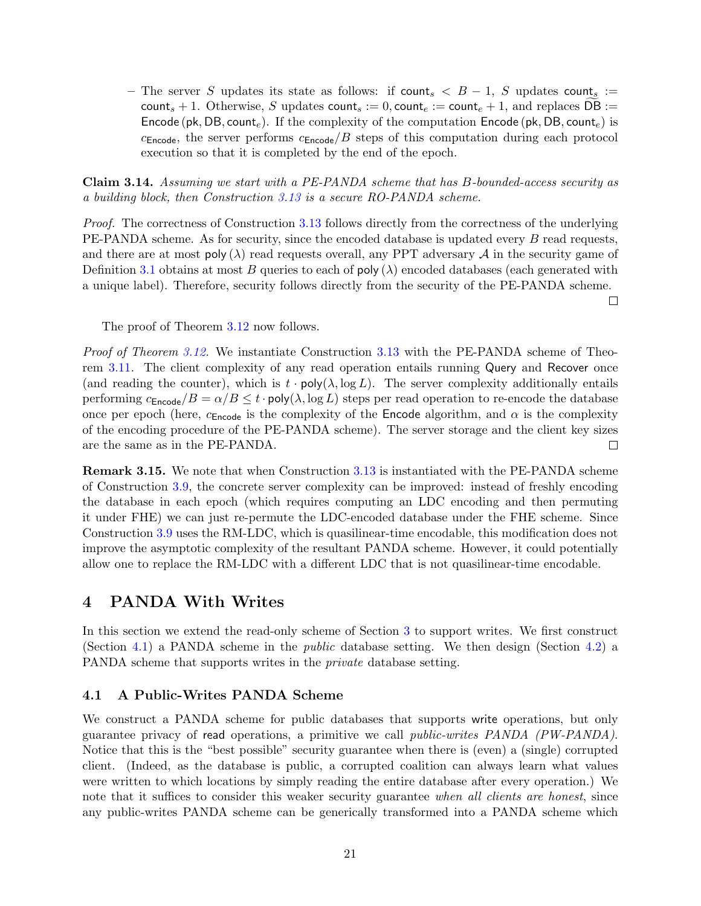– The server S updates its state as follows: if count<sub>s</sub>  $\lt B-1$ , S updates count<sub>s</sub> := count<sub>s</sub> + 1. Otherwise, S updates count<sub>s</sub> := 0, count<sub>e</sub> := count<sub>e</sub> + 1, and replaces DB := Encode (pk, DB, count<sub>e</sub>). If the complexity of the computation Encode (pk, DB, count<sub>e</sub>) is  $c_{\text{Encode}}$ , the server performs  $c_{\text{Encode}}/B$  steps of this computation during each protocol execution so that it is completed by the end of the epoch.

Claim 3.14. Assuming we start with a PE-PANDA scheme that has B-bounded-access security as a building block, then Construction [3.13](#page-20-2) is a secure RO-PANDA scheme.

Proof. The correctness of Construction [3.13](#page-20-2) follows directly from the correctness of the underlying PE-PANDA scheme. As for security, since the encoded database is updated every B read requests, and there are at most  $\mathsf{poly}(\lambda)$  read requests overall, any PPT adversary A in the security game of Definition [3.1](#page-11-1) obtains at most B queries to each of poly  $(\lambda)$  encoded databases (each generated with a unique label). Therefore, security follows directly from the security of the PE-PANDA scheme.

 $\Box$ 

The proof of Theorem [3.12](#page-20-1) now follows.

Proof of Theorem [3.12.](#page-20-1) We instantiate Construction [3.13](#page-20-2) with the PE-PANDA scheme of Theorem [3.11.](#page-19-0) The client complexity of any read operation entails running Query and Recover once (and reading the counter), which is  $t \cdot \text{poly}(\lambda, \log L)$ . The server complexity additionally entails performing  $c_{\text{Encode}}/B = \alpha/B \leq t \cdot \text{poly}(\lambda, \log L)$  steps per read operation to re-encode the database once per epoch (here,  $c_{\text{Encode}}$  is the complexity of the Encode algorithm, and  $\alpha$  is the complexity of the encoding procedure of the PE-PANDA scheme). The server storage and the client key sizes are the same as in the PE-PANDA.  $\Box$ 

Remark 3.15. We note that when Construction [3.13](#page-20-2) is instantiated with the PE-PANDA scheme of Construction [3.9,](#page-18-0) the concrete server complexity can be improved: instead of freshly encoding the database in each epoch (which requires computing an LDC encoding and then permuting it under FHE) we can just re-permute the LDC-encoded database under the FHE scheme. Since Construction [3.9](#page-18-0) uses the RM-LDC, which is quasilinear-time encodable, this modification does not improve the asymptotic complexity of the resultant PANDA scheme. However, it could potentially allow one to replace the RM-LDC with a different LDC that is not quasilinear-time encodable.

# <span id="page-21-0"></span>4 PANDA With Writes

In this section we extend the read-only scheme of Section [3](#page-11-0) to support writes. We first construct (Section [4.1\)](#page-21-1) a PANDA scheme in the public database setting. We then design (Section [4.2\)](#page-30-0) a PANDA scheme that supports writes in the *private* database setting.

#### <span id="page-21-1"></span>4.1 A Public-Writes PANDA Scheme

We construct a PANDA scheme for public databases that supports write operations, but only guarantee privacy of read operations, a primitive we call public-writes PANDA (PW-PANDA). Notice that this is the "best possible" security guarantee when there is (even) a (single) corrupted client. (Indeed, as the database is public, a corrupted coalition can always learn what values were written to which locations by simply reading the entire database after every operation.) We note that it suffices to consider this weaker security guarantee when all clients are honest, since any public-writes PANDA scheme can be generically transformed into a PANDA scheme which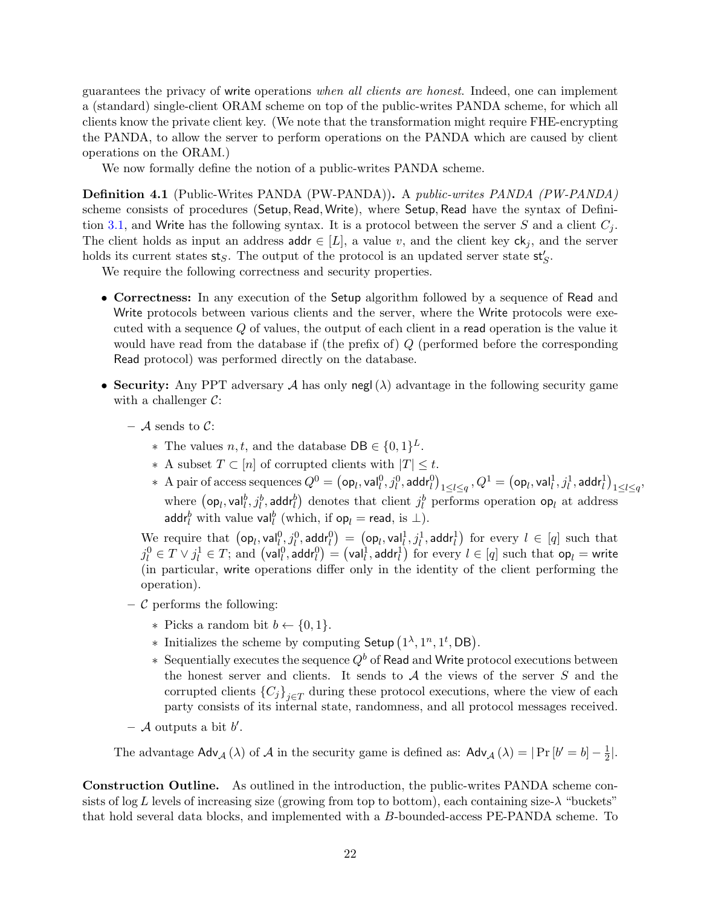guarantees the privacy of write operations when all clients are honest. Indeed, one can implement a (standard) single-client ORAM scheme on top of the public-writes PANDA scheme, for which all clients know the private client key. (We note that the transformation might require FHE-encrypting the PANDA, to allow the server to perform operations on the PANDA which are caused by client operations on the ORAM.)

We now formally define the notion of a public-writes PANDA scheme.

<span id="page-22-0"></span>Definition 4.1 (Public-Writes PANDA (PW-PANDA)). A public-writes PANDA (PW-PANDA) scheme consists of procedures (Setup, Read, Write), where Setup, Read have the syntax of Defini-tion [3.1,](#page-11-1) and Write has the following syntax. It is a protocol between the server S and a client  $C_i$ . The client holds as input an address addr  $\in [L]$ , a value v, and the client key  $ck_j$ , and the server holds its current states  $st_S$ . The output of the protocol is an updated server state  $st_S'$ .

We require the following correctness and security properties.

- Correctness: In any execution of the Setup algorithm followed by a sequence of Read and Write protocols between various clients and the server, where the Write protocols were executed with a sequence  $Q$  of values, the output of each client in a read operation is the value it would have read from the database if (the prefix of) Q (performed before the corresponding Read protocol) was performed directly on the database.
- Security: Any PPT adversary A has only negl( $\lambda$ ) advantage in the following security game with a challenger  $\mathcal{C}$ :
	- $-$  A sends to C:
		- ∗ The values  $n, t$ , and the database DB ∈  $\{0, 1\}^L$ .
		- ∗ A subset  $T \subset [n]$  of corrupted clients with  $|T| \leq t$ .
		- $*$   $\text{ A pair of access sequences } Q^0 = \left( \mathsf{op}_l, \mathsf{val}_l^0, j_l^0, \mathsf{addr}_l^0 \right)_{1 \leq l \leq q}, Q^1 = \left( \mathsf{op}_l, \mathsf{val}_l^1, j_l^1, \mathsf{addr}_l^1 \right)_{1 \leq l \leq q},$ where  $(\textsf{op}_l, \textsf{val}_l^b, j_l^b, \textsf{addr}_l^b)$  denotes that client  $j_l^b$  performs operation  $\textsf{op}_l$  at address  $\mathsf{addr}_l^b$  with value  $\mathsf{val}_l^b$  (which, if  $\mathsf{op}_l = \mathsf{read}, \text{ is } \bot$ ).

We require that  $(\mathsf{op}_l, \mathsf{val}_l^0, j_l^0, \mathsf{addr}_l^0) = (\mathsf{op}_l, \mathsf{val}_l^1, j_l^1, \mathsf{addr}_l^1)$  for every  $l \in [q]$  such that  $j^0_l \in T \vee j^1_l \in T; \ \text{and} \ \big( \textsf{val}^0_l, \textsf{addr}^0_l \big) = \big( \textsf{val}^1_l, \textsf{addr}^1_l \big) \ \text{for every} \ l \in [q] \ \text{such that} \ \textsf{op}_l = \textsf{write}$ (in particular, write operations differ only in the identity of the client performing the operation).

- $C$  performs the following:
	- ∗ Picks a random bit b ← {0, 1}.
	- ∗ Initializes the scheme by computing Setup  $(1^{\lambda}, 1^n, 1^t, \mathsf{DB})$ .
	- $∗$  Sequentially executes the sequence  $Q<sup>b</sup>$  of Read and Write protocol executions between the honest server and clients. It sends to  $A$  the views of the server  $S$  and the corrupted clients  ${C_j}_{j \in T}$  during these protocol executions, where the view of each party consists of its internal state, randomness, and all protocol messages received.
- $-$  A outputs a bit  $b'$ .

The advantage  $\text{Adv}_{\mathcal{A}}(\lambda)$  of  $\mathcal{A}$  in the security game is defined as:  $\text{Adv}_{\mathcal{A}}(\lambda) = |\Pr[b' = b] - \frac{1}{2}$  $\frac{1}{2}$ .

Construction Outline. As outlined in the introduction, the public-writes PANDA scheme consists of log L levels of increasing size (growing from top to bottom), each containing size- $\lambda$  "buckets" that hold several data blocks, and implemented with a B-bounded-access PE-PANDA scheme. To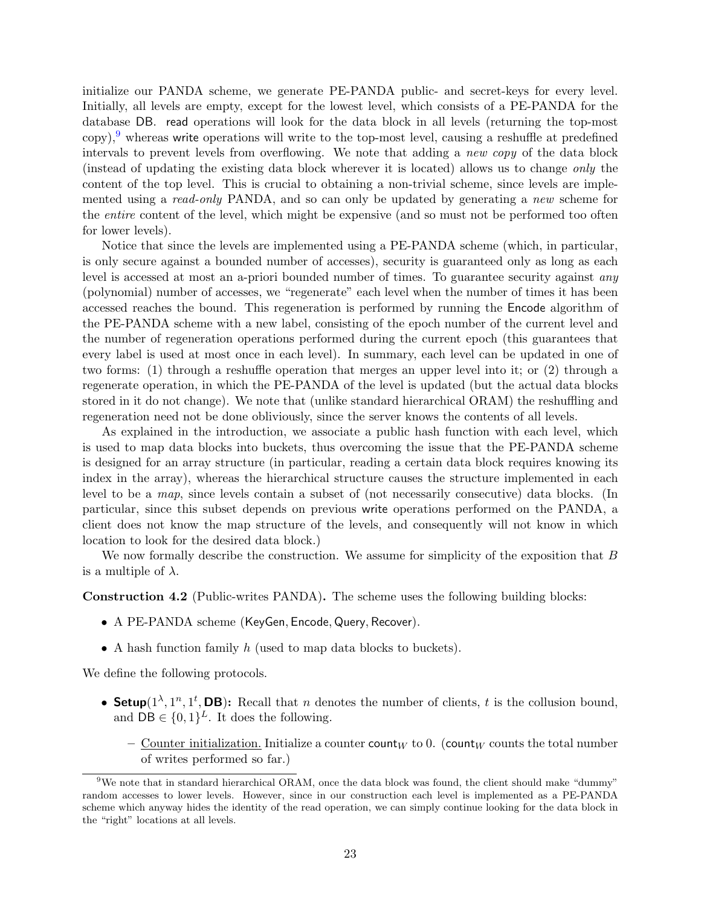initialize our PANDA scheme, we generate PE-PANDA public- and secret-keys for every level. Initially, all levels are empty, except for the lowest level, which consists of a PE-PANDA for the database DB. read operations will look for the data block in all levels (returning the top-most copy), $9$  whereas write operations will write to the top-most level, causing a reshuffle at predefined intervals to prevent levels from overflowing. We note that adding a new copy of the data block (instead of updating the existing data block wherever it is located) allows us to change only the content of the top level. This is crucial to obtaining a non-trivial scheme, since levels are implemented using a read-only PANDA, and so can only be updated by generating a new scheme for the entire content of the level, which might be expensive (and so must not be performed too often for lower levels).

Notice that since the levels are implemented using a PE-PANDA scheme (which, in particular, is only secure against a bounded number of accesses), security is guaranteed only as long as each level is accessed at most an a-priori bounded number of times. To guarantee security against any (polynomial) number of accesses, we "regenerate" each level when the number of times it has been accessed reaches the bound. This regeneration is performed by running the Encode algorithm of the PE-PANDA scheme with a new label, consisting of the epoch number of the current level and the number of regeneration operations performed during the current epoch (this guarantees that every label is used at most once in each level). In summary, each level can be updated in one of two forms: (1) through a reshuffle operation that merges an upper level into it; or (2) through a regenerate operation, in which the PE-PANDA of the level is updated (but the actual data blocks stored in it do not change). We note that (unlike standard hierarchical ORAM) the reshuffling and regeneration need not be done obliviously, since the server knows the contents of all levels.

As explained in the introduction, we associate a public hash function with each level, which is used to map data blocks into buckets, thus overcoming the issue that the PE-PANDA scheme is designed for an array structure (in particular, reading a certain data block requires knowing its index in the array), whereas the hierarchical structure causes the structure implemented in each level to be a map, since levels contain a subset of (not necessarily consecutive) data blocks. (In particular, since this subset depends on previous write operations performed on the PANDA, a client does not know the map structure of the levels, and consequently will not know in which location to look for the desired data block.)

We now formally describe the construction. We assume for simplicity of the exposition that  $B$ is a multiple of  $\lambda$ .

<span id="page-23-1"></span>Construction 4.2 (Public-writes PANDA). The scheme uses the following building blocks:

- A PE-PANDA scheme (KeyGen, Encode, Query, Recover).
- A hash function family  $h$  (used to map data blocks to buckets).

We define the following protocols.

- Setup( $1^{\lambda}, 1^n, 1^t, DB$ ): Recall that *n* denotes the number of clients, *t* is the collusion bound, and  $DB \in \{0,1\}^L$ . It does the following.
	- Counter initialization. Initialize a counter count<sub>W</sub> to 0. (count<sub>W</sub> counts the total number of writes performed so far.)

<span id="page-23-0"></span><sup>9</sup>We note that in standard hierarchical ORAM, once the data block was found, the client should make "dummy" random accesses to lower levels. However, since in our construction each level is implemented as a PE-PANDA scheme which anyway hides the identity of the read operation, we can simply continue looking for the data block in the "right" locations at all levels.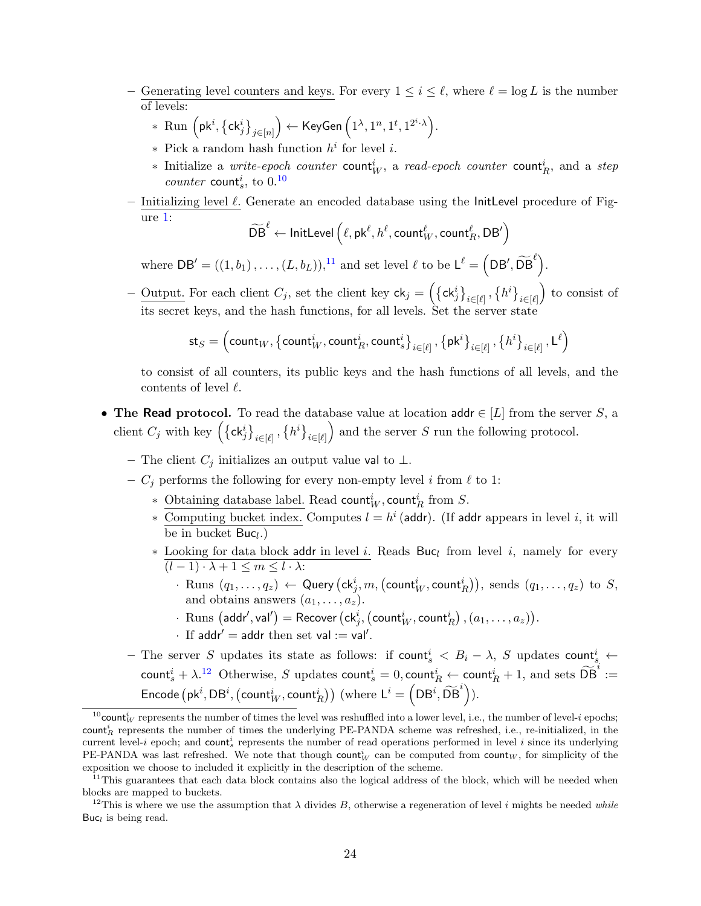- Generating level counters and keys. For every  $1 \leq i \leq \ell$ , where  $\ell = \log L$  is the number of levels:
	- $*$  Run  $\left(\mathsf{pk}^i, \left\{\mathsf{ck}^i_j\right\}_{j\in[n]}$  $\Big) \leftarrow \textsf{KeyGen}\left(1^{\lambda},1^n,1^t,1^{2^i\cdot\lambda}\right).$
	- ∗ Pick a random hash function  $h^i$  for level *i*.
	- $*$  Initialize a *write-epoch counter* count $i_W$ , a *read-epoch counter* count $i_R$ , and a *step counter* count<sup>*i*</sup><sub>s</sub>, to  $0.10$  $0.10$
- Initializing level  $\ell$ . Generate an encoded database using the InitLevel procedure of Figure [1:](#page-26-0)

$$
\widetilde{\textrm{DB}}^{\ell} \leftarrow \mathsf{InitLevel}\left(\ell, \mathsf{pk}^{\ell}, h^{\ell}, \mathsf{count}_W^{\ell}, \mathsf{count}_R^{\ell}, \mathsf{DB}'\right)
$$

where  $DB' = ((1, b_1), \ldots, (L, b_L)),$ <sup>[11](#page-24-1)</sup> and set level  $\ell$  to be  $\mathsf{L}^{\ell} = \left(DB', \widetilde{DB}^{\ell}\right)$ .

 $\mathcal{I} = \text{Output.}$  For each client  $C_j$ , set the client key  $\mathsf{ck}_j = \left(\{\mathsf{ck}_j^i\}_{i \in [\ell]}, \{h^i\}_{i \in [\ell]}\right)$  to consist of its secret keys, and the hash functions, for all levels. Set the server state

$$
\mathrm{st}_S=\left(\mathrm{count}_W,\left\{\mathrm{count}_W^i,\mathrm{count}_R^i,\mathrm{count}_s^i\right\}_{i\in[\ell]},\left\{\mathsf{pk}^i\right\}_{i\in[\ell]},\left\{h^i\right\}_{i\in[\ell]},\mathsf{L}^\ell\right)
$$

to consist of all counters, its public keys and the hash functions of all levels, and the contents of level  $\ell$ .

- The Read protocol. To read the database value at location addr  $\in [L]$  from the server S, a client  $C_j$  with key  $(\{\mathsf{ck}_j^i\}_{i \in [\ell]}, \{h^i\}_{i \in [\ell]})$  and the server S run the following protocol.
	- The client  $C_j$  initializes an output value val to  $\perp$ .
	- $C_i$  performs the following for every non-empty level i from  $\ell$  to 1:
		- \* Obtaining database label. Read count  $i_W$ , count  $i_R$  from  $S$ .
		- ∗ Computing bucket index. Computes  $l = h^i$  (addr). (If addr appears in level i, it will be in bucket Buc<sub>l</sub>.)
		- ∗ Looking for data block addr in level *i*. Reads Buc<sub>l</sub> from level *i*, namely for every  $\overline{(l-1)\cdot\lambda+1} \leq m \leq l\cdot\lambda$ :
			- $\cdot$  Runs  $(q_1,\ldots,q_z)$   $\leftarrow$  Query  $\left(\mathsf{ck}_j^i,m,\left(\mathsf{count}_W^i,\mathsf{count}_R^i\right)\right),$  sends  $(q_1,\ldots,q_z)$  to  $S,$ and obtains answers  $(a_1, \ldots, a_z)$ .
			- $\cdot \; \text{Runs } \big(\mathsf{addr}',\mathsf{val}'\big) = \text{Recover}\,\big(\mathsf{ck}^i_j, \big(\mathsf{count}^i_W,\mathsf{count}^i_R\big)\, , (a_1,\ldots,a_z)\big).$
			- · If addr' = addr then set val := val'.
	- The server S updates its state as follows: if count<sup>i</sup><sub>s</sub> < B<sub>i</sub> −  $\lambda$ , S updates count<sup>i</sup><sub>s</sub> ← count<sup>i</sup><sub>s</sub> +  $\lambda$ .<sup>[12](#page-24-2)</sup> Otherwise, S updates count<sup>i</sup><sub>s</sub> = 0, count<sup>i</sup><sub>R</sub>  $\leftarrow$  count<sup>i</sup><sub>R</sub> + 1, and sets  $\widetilde{DB}^i$  :=  $\mathsf{Encode}\left(\mathsf{pk}^i,\mathsf{DB}^i,\left(\mathsf{count}_W^i,\mathsf{count}_R^i\right)\right) \,(\text{where}\,\, \mathsf{L}^i=\left(\mathsf{DB}^i,\widetilde{\mathsf{DB}}^i\right)).$

<span id="page-24-0"></span><sup>&</sup>lt;sup>10</sup>count<sub>W</sub> represents the number of times the level was reshuffled into a lower level, i.e., the number of level-i epochs; count<sup>i</sup><sub>R</sub> represents the number of times the underlying PE-PANDA scheme was refreshed, i.e., re-initialized, in the current level-*i* epoch; and count<sup>*i*</sup> represents the number of read operations performed in level *i* since its underlying PE-PANDA was last refreshed. We note that though count $^i_W$  can be computed from count $_W$ , for simplicity of the exposition we choose to included it explicitly in the description of the scheme.

<span id="page-24-1"></span><sup>&</sup>lt;sup>11</sup>This guarantees that each data block contains also the logical address of the block, which will be needed when blocks are mapped to buckets.

<span id="page-24-2"></span><sup>&</sup>lt;sup>12</sup>This is where we use the assumption that  $\lambda$  divides B, otherwise a regeneration of level i mights be needed *while*  $Buc_l$  is being read.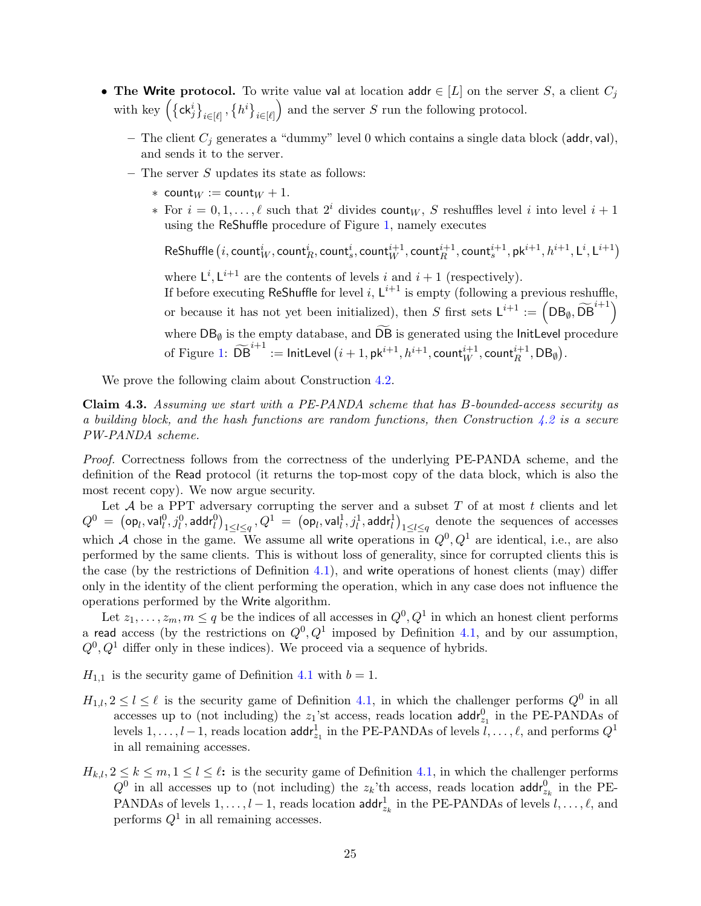- The Write protocol. To write value val at location addr  $\in [L]$  on the server S, a client  $C_j$ with key  $(\{\mathsf{ck}_j^i\}_{i\in[\ell]}, \{h^i\}_{i\in[\ell]})$  and the server S run the following protocol.
	- The client  $C_j$  generates a "dummy" level 0 which contains a single data block (addr, val), and sends it to the server.
	- The server  $S$  updates its state as follows:
		- $∗$  count $W :=$  count $W + 1$ .
		- ∗ For  $i = 0, 1, \ldots, \ell$  such that  $2^i$  divides count $W$ , S reshuffles level i into level  $i + 1$ using the ReShuffle procedure of Figure [1,](#page-26-0) namely executes

 $\mathsf{ReShuffle}\left(i,\mathsf{count}_W^i,\mathsf{count}_R^i,\mathsf{count}_s^i,\mathsf{count}_W^{i+1},\mathsf{count}_R^{i+1},\mathsf{count}_s^{i+1},\mathsf{pk}^{i+1},h^{i+1},\mathsf{L}^i,\mathsf{L}^{i+1}\right)$ 

where  $\mathsf{L}^i, \mathsf{L}^{i+1}$  are the contents of levels i and  $i+1$  (respectively).

If before executing ReShuffle for level i,  $L^{i+1}$  is empty (following a previous reshuffle, or because it has not yet been initialized), then S first sets  $L^{i+1} := (DB_{\emptyset}, \widetilde{DB}^{i+1})$ 

where  $DB_{\emptyset}$  is the empty database, and DB is generated using the InitLevel procedure of Figure [1:](#page-26-0)  $\widetilde{\text{DB}}^{i+1} := \text{InitLevel}\left(i+1, \text{pk}^{i+1}, h^{i+1}, \text{count}_W^{i+1}, \text{count}_R^{i+1}, \text{DB}_\emptyset\right).$ 

We prove the following claim about Construction [4.2.](#page-23-1)

<span id="page-25-0"></span>Claim 4.3. Assuming we start with a PE-PANDA scheme that has B-bounded-access security as a building block, and the hash functions are random functions, then Construction [4.2](#page-23-1) is a secure PW-PANDA scheme.

Proof. Correctness follows from the correctness of the underlying PE-PANDA scheme, and the definition of the Read protocol (it returns the top-most copy of the data block, which is also the most recent copy). We now argue security.

Let  $A$  be a PPT adversary corrupting the server and a subset  $T$  of at most  $t$  clients and let  $Q^0~=~\left({\sf op}_l,{\sf val}_l^0,j_l^0,{\sf add}{\sf r}_l^0\right)_{1\leq l\leq q}, Q^1~=~\left({\sf op}_l,{\sf val}_l^1,j_l^1,{\sf add}{\sf r}_l^1\right)_{1\leq l\leq q}$  denote the sequences of accesses which A chose in the game. We assume all write operations in  $Q^0$ ,  $Q^1$  are identical, i.e., are also performed by the same clients. This is without loss of generality, since for corrupted clients this is the case (by the restrictions of Definition [4.1\)](#page-22-0), and write operations of honest clients (may) differ only in the identity of the client performing the operation, which in any case does not influence the operations performed by the Write algorithm.

Let  $z_1, \ldots, z_m, m \le q$  be the indices of all accesses in  $Q^0, Q^1$  in which an honest client performs a read access (by the restrictions on  $Q^0$ ,  $Q^1$  imposed by Definition [4.1,](#page-22-0) and by our assumption,  $Q^0$ ,  $Q^1$  differ only in these indices). We proceed via a sequence of hybrids.

 $H_{1,1}$  is the security game of Definition [4.1](#page-22-0) with  $b = 1$ .

- $H_{1,l}, 2 \leq l \leq \ell$  is the security game of Definition [4.1,](#page-22-0) in which the challenger performs  $Q^0$  in all accesses up to (not including) the  $z_1$ 'st access, reads location addr<sup>0</sup><sub> $z_1$ </sub> in the PE-PANDAs of levels  $1, \ldots, l-1$ , reads location  $\mathsf{addr}_{z_1}^1$  in the PE-PANDAs of levels  $l, \ldots, l,$  and performs  $Q^1$ in all remaining accesses.
- $H_{k,l}, 2 \leq k \leq m, 1 \leq l \leq \ell$ : is the security game of Definition [4.1,](#page-22-0) in which the challenger performs  $Q^0$  in all accesses up to (not including) the  $z_k$ 'th access, reads location addr<sup>0</sup><sub> $z_k$ </sub> in the PE-PANDAs of levels  $1, \ldots, l-1$ , reads location addr<sup>1</sup><sub> $z_k$ </sub> in the PE-PANDAs of levels  $l, \ldots, l$ , and performs  $Q^1$  in all remaining accesses.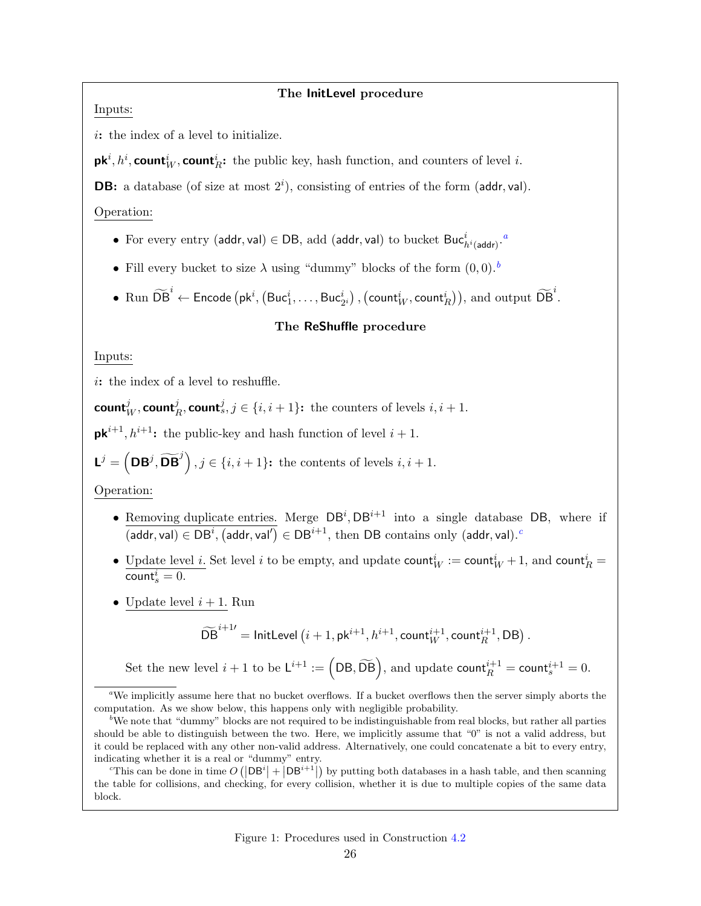#### The InitLevel procedure

#### <span id="page-26-0"></span>Inputs:

i: the index of a level to initialize.

 $\mathsf{pk}^i, h^i, \mathsf{count}_W^i, \mathsf{count}_R^i$ : the public key, hash function, and counters of level  $i$ .

**DB:** a database (of size at most  $2^i$ ), consisting of entries of the form (addr, val).

#### Operation:

- For every entry ([a](#page-26-1)ddr, val)  $\in$  DB, add (addr, val) to bucket  $\mathsf{Buc}_{h^i(\mathsf{addr})}^i$ .
- Fill every [b](#page-26-2)ucket to size  $\lambda$  using "dummy" blocks of the form  $(0, 0)$ .
- Run  $\widetilde{\mathsf{DB}}^i \leftarrow \mathsf{Encode}\left(\mathsf{pk}^i, \left(\mathsf{Buc}_1^i, \dots, \mathsf{Buc}_{2^i}^i\right), \left(\mathsf{count}_W^i, \mathsf{count}_R^i\right)\right), \text{ and output } \widetilde{\mathsf{DB}}^i.$

#### The ReShuffle procedure

#### Inputs:

i: the index of a level to reshuffle.

 $\mathsf{count}_W^j, \mathsf{count}_R^j, \mathsf{count}_s^j, j \in \{i, i+1\} \mathsf{: the \; counters \; of \; levels \; i, i+1.$ 

 $\mathbf{pk}^{i+1}$ ,  $h^{i+1}$ : the public-key and hash function of level  $i+1$ .

$$
\mathbf{L}^j = \left( \mathbf{DB}^j, \widetilde{\mathbf{DB}}^j \right), j \in \{i, i+1\} \text{: the contents of levels } i, i+1.
$$

Operation:

- Removing duplicate entries. Merge  $DB<sup>i</sup>$ ,  $DB<sup>i+1</sup>$  into a single database DB, where if  $(\text{addr}, \text{val}) \in DB^i$ ,  $(\text{addr}, \text{val}') \in DB^{i+1}$ , then DB [c](#page-26-3)ontains only  $(\text{addr}, \text{val})$ .
- Update level *i*. Set level *i* to be empty, and update count  $i_W := \text{count}_W^i + 1$ , and count  $i_R =$  $\overline{\mathsf{count}_s^i} = 0.$
- Update level  $i + 1$ . Run

$$
\widetilde{\textrm{DB}}^{i+1\prime} = \textrm{InitLevel}\left(i+1, \mathsf{pk}^{i+1}, h^{i+1}, \textrm{count}_W^{i+1}, \textrm{count}_R^{i+1}, \textrm{DB}\right).
$$

Set the new level  $i + 1$  to be  $\mathsf{L}^{i+1} := \left( \mathsf{DB}, \widetilde{\mathsf{DB}} \right)$ , and update count $i^{+1}_R = \mathsf{count}_s^{i+1} = 0$ .

<span id="page-26-1"></span><sup>a</sup>We implicitly assume here that no bucket overflows. If a bucket overflows then the server simply aborts the computation. As we show below, this happens only with negligible probability.

<span id="page-26-2"></span><sup>&</sup>lt;sup>b</sup>We note that "dummy" blocks are not required to be indistinguishable from real blocks, but rather all parties should be able to distinguish between the two. Here, we implicitly assume that "0" is not a valid address, but it could be replaced with any other non-valid address. Alternatively, one could concatenate a bit to every entry, indicating whether it is a real or "dummy" entry.

<span id="page-26-3"></span><sup>&</sup>lt;sup>c</sup>This can be done in time  $O\left(\left|DB^{i}\right|+\left|DB^{i+1}\right|\right)$  by putting both databases in a hash table, and then scanning the table for collisions, and checking, for every collision, whether it is due to multiple copies of the same data block.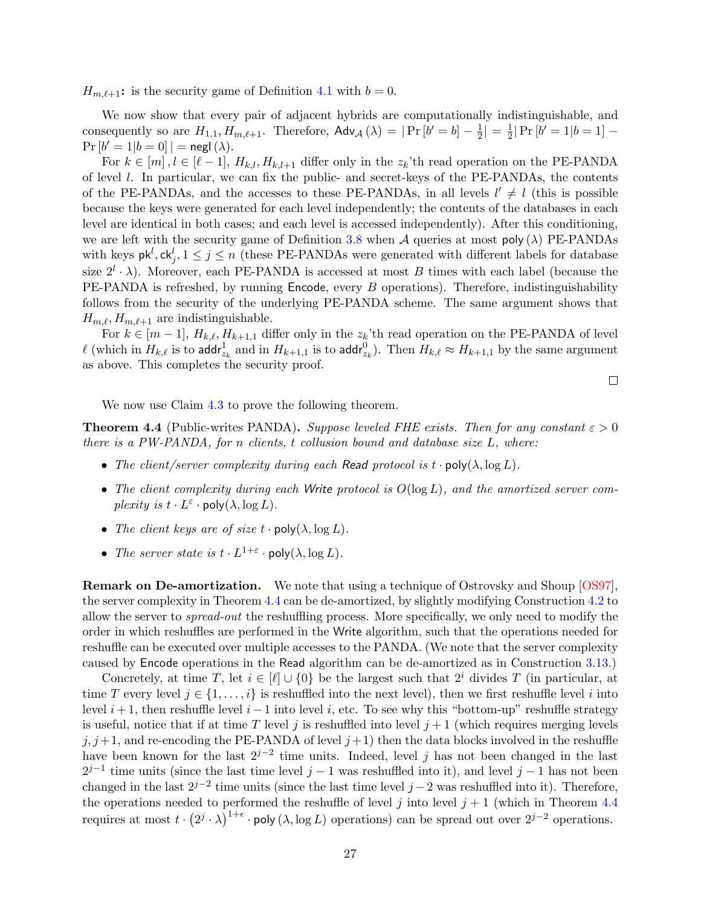$H_{m,\ell+1}$ : is the security game of Definition [4.1](#page-22-0) with  $b = 0$ .

We now show that every pair of adjacent hybrids are computationally indistinguishable, and consequently so are  $H_{1,1}, H_{m,\ell+1}$ . Therefore,  $\mathsf{Adv}_{\mathcal{A}}(\lambda) = |\Pr[b' = b] - \frac{1}{2}$  $\frac{1}{2}| = \frac{1}{2}$  $\frac{1}{2}$ | Pr [b' = 1|b = 1] - $Pr [b' = 1 | b = 0] | = negl (\lambda).$ 

For  $k \in [m], l \in [\ell - 1], H_{k,l}, H_{k,l+1}$  differ only in the  $z_k$ 'th read operation on the PE-PANDA of level l. In particular, we can fix the public- and secret-keys of the PE-PANDAs, the contents of the PE-PANDAs, and the accesses to these PE-PANDAs, in all levels  $l' \neq l$  (this is possible because the keys were generated for each level independently; the contents of the databases in each level are identical in both cases; and each level is accessed independently). After this conditioning, we are left with the security game of Definition [3.8](#page-17-0) when A queries at most  $poly(\lambda)$  PE-PANDAs with keys  $pk^{l}$ ,  $ck^{l}_{j}$ ,  $1 \leq j \leq n$  (these PE-PANDAs were generated with different labels for database size  $2^l \cdot \lambda$ ). Moreover, each PE-PANDA is accessed at most B times with each label (because the PE-PANDA is refreshed, by running  $\mathsf{Encode}$ , every B operations). Therefore, indistinguishability follows from the security of the underlying PE-PANDA scheme. The same argument shows that  $H_{m,\ell}, H_{m,\ell+1}$  are indistinguishable.

For  $k \in [m-1]$ ,  $H_{k,\ell}, H_{k+1,1}$  differ only in the  $z_k$ 'th read operation on the PE-PANDA of level  $\ell$  (which in  $H_{k,\ell}$  is to addr $_{z_k}^1$  and in  $H_{k+1,1}$  is to addr $_{z_k}^0$ ). Then  $H_{k,\ell} \approx H_{k+1,1}$  by the same argument as above. This completes the security proof.

 $\Box$ 

We now use Claim [4.3](#page-25-0) to prove the following theorem.

<span id="page-27-0"></span>**Theorem 4.4** (Public-writes PANDA). Suppose leveled FHE exists. Then for any constant  $\varepsilon > 0$ there is a PW-PANDA, for n clients, t collusion bound and database size L, where:

- The client/server complexity during each Read protocol is  $t \cdot \text{poly}(\lambda, \log L)$ .
- The client complexity during each Write protocol is  $O(\log L)$ , and the amortized server complexity is  $t \cdot L^{\varepsilon} \cdot \text{poly}(\lambda, \log L)$ .
- The client keys are of size  $t \cdot \text{poly}(\lambda, \log L)$ .
- The server state is  $t \cdot L^{1+\varepsilon} \cdot \text{poly}(\lambda, \log L)$ .

Remark on De-amortization. We note that using a technique of Ostrovsky and Shoup [\[OS97\]](#page-41-12), the server complexity in Theorem [4.4](#page-27-0) can be de-amortized, by slightly modifying Construction [4.2](#page-23-1) to allow the server to spread-out the reshuffling process. More specifically, we only need to modify the order in which reshuffles are performed in the Write algorithm, such that the operations needed for reshuffle can be executed over multiple accesses to the PANDA. (We note that the server complexity caused by Encode operations in the Read algorithm can be de-amortized as in Construction [3.13.](#page-20-2))

Concretely, at time T, let  $i \in [\ell] \cup \{0\}$  be the largest such that  $2^i$  divides T (in particular, at time T every level  $j \in \{1, \ldots, i\}$  is reshuffled into the next level), then we first reshuffle level i into level  $i+1$ , then reshuffle level  $i-1$  into level i, etc. To see why this "bottom-up" reshuffle strategy is useful, notice that if at time T level j is reshuffled into level  $j+1$  (which requires merging levels  $j, j+1$ , and re-encoding the PE-PANDA of level  $j+1$ ) then the data blocks involved in the reshuffle have been known for the last  $2^{j-2}$  time units. Indeed, level j has not been changed in the last  $2^{j-1}$  time units (since the last time level  $j-1$  was reshuffled into it), and level  $j-1$  has not been changed in the last  $2^{j-2}$  time units (since the last time level  $j-2$  was reshuffled into it). Therefore, the operations needed to performed the reshuffle of level j into level  $j + 1$  (which in Theorem [4.4](#page-27-0) requires at most  $t \cdot (2^j \cdot \lambda)^{1+\epsilon} \cdot \text{poly}(\lambda, \log L)$  operations) can be spread out over  $2^{j-2}$  operations.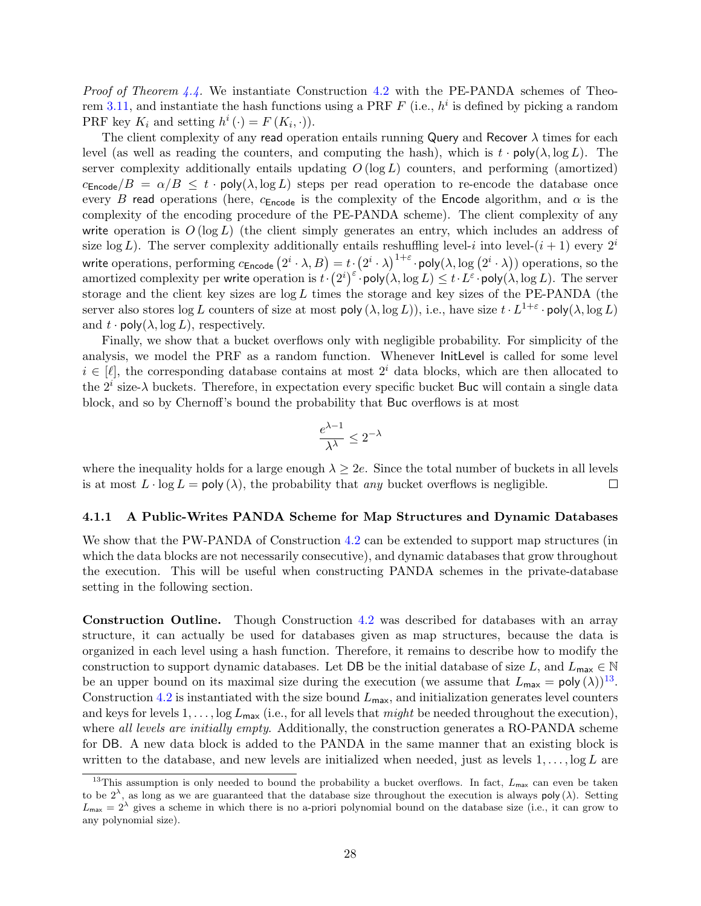*Proof of Theorem [4.4.](#page-27-0)* We instantiate Construction [4.2](#page-23-1) with the PE-PANDA schemes of Theo-rem [3.11,](#page-19-0) and instantiate the hash functions using a PRF  $F$  (i.e.,  $h^i$  is defined by picking a random PRF key  $K_i$  and setting  $h^i(\cdot) = F(K_i, \cdot)$ .

The client complexity of any read operation entails running Query and Recover  $\lambda$  times for each level (as well as reading the counters, and computing the hash), which is  $t \cdot \text{poly}(\lambda, \log L)$ . The server complexity additionally entails updating  $O(\log L)$  counters, and performing (amortized)  $c_{\text{Encode}}/B = \alpha/B \leq t \cdot \text{poly}(\lambda, \log L)$  steps per read operation to re-encode the database once every B read operations (here,  $c_{\text{Encode}}$  is the complexity of the Encode algorithm, and  $\alpha$  is the complexity of the encoding procedure of the PE-PANDA scheme). The client complexity of any write operation is  $O(\log L)$  (the client simply generates an entry, which includes an address of size log L). The server complexity additionally entails reshuffling level-i into level- $(i + 1)$  every  $2^{i}$ write operations, performing  $c_{\mathsf{Encode}}\left(2^i\cdot\lambda,B\right)=t\cdot\left(2^i\cdot\lambda\right)^{1+\varepsilon}\cdot{\mathsf{poly}}(\lambda,\log\left(2^i\cdot\lambda\right))$  operations, so the amortized complexity per write operation is  $t \cdot (2^i)^{\varepsilon} \cdot \text{poly}(\lambda, \log L) \leq t \cdot L^{\varepsilon} \cdot \text{poly}(\lambda, \log L)$ . The server storage and the client key sizes are  $log L$  times the storage and key sizes of the PE-PANDA (the server also stores  $\log L$  counters of size at most poly  $(\lambda, \log L)$ ), i.e., have size  $t \cdot L^{1+\varepsilon} \cdot \mathsf{poly}(\lambda, \log L)$ and  $t \cdot \text{poly}(\lambda, \log L)$ , respectively.

Finally, we show that a bucket overflows only with negligible probability. For simplicity of the analysis, we model the PRF as a random function. Whenever InitLevel is called for some level  $i \in [\ell],$  the corresponding database contains at most  $2^i$  data blocks, which are then allocated to the  $2^i$  size- $\lambda$  buckets. Therefore, in expectation every specific bucket Buc will contain a single data block, and so by Chernoff's bound the probability that Buc overflows is at most

$$
\frac{e^{\lambda - 1}}{\lambda^\lambda} \le 2^{-\lambda}
$$

where the inequality holds for a large enough  $\lambda \geq 2e$ . Since the total number of buckets in all levels is at most  $L \cdot \log L = \text{poly}(\lambda)$ , the probability that any bucket overflows is negligible.  $\Box$ 

#### <span id="page-28-0"></span>4.1.1 A Public-Writes PANDA Scheme for Map Structures and Dynamic Databases

We show that the PW-PANDA of Construction [4.2](#page-23-1) can be extended to support map structures (in which the data blocks are not necessarily consecutive), and dynamic databases that grow throughout the execution. This will be useful when constructing PANDA schemes in the private-database setting in the following section.

Construction Outline. Though Construction [4.2](#page-23-1) was described for databases with an array structure, it can actually be used for databases given as map structures, because the data is organized in each level using a hash function. Therefore, it remains to describe how to modify the construction to support dynamic databases. Let DB be the initial database of size L, and  $L_{\text{max}} \in \mathbb{N}$ be an upper bound on its maximal size during the execution (we assume that  $L_{\text{max}} = \text{poly}(\lambda)$ )<sup>[13](#page-28-1)</sup>. Construction [4.2](#page-23-1) is instantiated with the size bound  $L_{\text{max}}$ , and initialization generates level counters and keys for levels  $1, \ldots$ ,  $\log L_{\text{max}}$  (i.e., for all levels that *might* be needed throughout the execution), where all levels are initially empty. Additionally, the construction generates a RO-PANDA scheme for DB. A new data block is added to the PANDA in the same manner that an existing block is written to the database, and new levels are initialized when needed, just as levels  $1, \ldots, \log L$  are

<span id="page-28-1"></span><sup>&</sup>lt;sup>13</sup>This assumption is only needed to bound the probability a bucket overflows. In fact,  $L_{\text{max}}$  can even be taken to be  $2^{\lambda}$ , as long as we are guaranteed that the database size throughout the execution is always poly ( $\lambda$ ). Setting  $L_{\text{max}} = 2^{\lambda}$  gives a scheme in which there is no a-priori polynomial bound on the database size (i.e., it can grow to any polynomial size).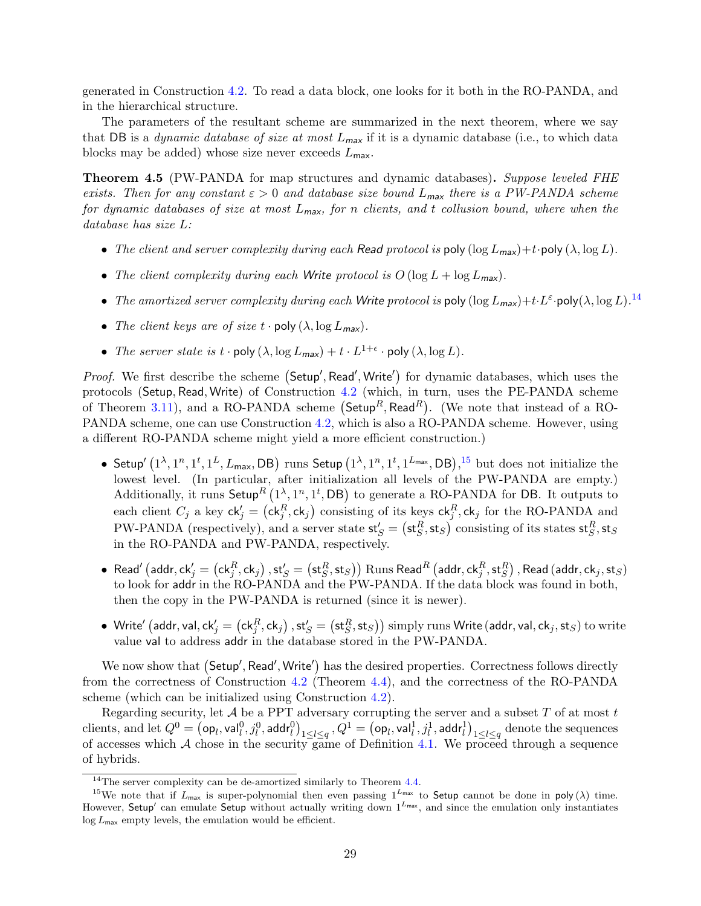generated in Construction [4.2.](#page-23-1) To read a data block, one looks for it both in the RO-PANDA, and in the hierarchical structure.

The parameters of the resultant scheme are summarized in the next theorem, where we say that DB is a *dynamic database of size at most*  $L_{\text{max}}$  if it is a dynamic database (i.e., to which data blocks may be added) whose size never exceeds  $L_{\text{max}}$ .

<span id="page-29-2"></span>**Theorem 4.5** (PW-PANDA for map structures and dynamic databases). Suppose leveled FHE exists. Then for any constant  $\varepsilon > 0$  and database size bound  $L_{\text{max}}$  there is a PW-PANDA scheme for dynamic databases of size at most  $L_{max}$ , for n clients, and t collusion bound, where when the database has size L:

- The client and server complexity during each Read protocol is poly  $(\log L_{\text{max}})+t\cdot \text{poly}(\lambda, \log L)$ .
- The client complexity during each Write protocol is  $O(\log L + \log L_{\text{max}})$ .
- The amortized server complexity during each Write protocol is poly  $(\log L_{\text{max}}) + t \cdot L^{\varepsilon}$  poly $(\lambda, \log L)$ .<sup>[14](#page-29-0)</sup>
- The client keys are of size t  $\cdot$  poly  $(\lambda, \log L_{\text{max}})$ .
- The server state is  $t \cdot \text{poly}(\lambda, \log L_{\text{max}}) + t \cdot L^{1+\epsilon} \cdot \text{poly}(\lambda, \log L).$

Proof. We first describe the scheme (Setup', Read', Write') for dynamic databases, which uses the protocols (Setup, Read, Write) of Construction [4.2](#page-23-1) (which, in turn, uses the PE-PANDA scheme of Theorem [3.11\)](#page-19-0), and a RO-PANDA scheme  $(\mathsf{Setup}^R,\mathsf{Read}^R)$ . (We note that instead of a RO-PANDA scheme, one can use Construction [4.2,](#page-23-1) which is also a RO-PANDA scheme. However, using a different RO-PANDA scheme might yield a more efficient construction.)

- Setup'  $(1^{\lambda}, 1^n, 1^t, 1^L, L_{\text{max}}, \text{DB})$  runs Setup  $(1^{\lambda}, 1^n, 1^t, 1^{L_{\text{max}}}, \text{DB})$ ,<sup>[15](#page-29-1)</sup> but does not initialize the lowest level. (In particular, after initialization all levels of the PW-PANDA are empty.) Additionally, it runs Setup<sup>R</sup>  $(1^{\lambda}, 1^n, 1^t, DB)$  to generate a RO-PANDA for DB. It outputs to each client  $C_j$  a key  $ck_j' = (ck_j^R, ck_j)$  consisting of its keys  $ck_j^R, ck_j$  for the RO-PANDA and PW-PANDA (respectively), and a server state  $\mathsf{st}'_S = (\mathsf{st}^R_S, \mathsf{st}_S)$  consisting of its states  $\mathsf{st}^R_S, \mathsf{st}_S$ in the RO-PANDA and PW-PANDA, respectively.
- Read<sup>0</sup> addr, ck<sup>0</sup> <sup>j</sup> = ck<sup>R</sup> j , ck<sup>j</sup> ,st<sup>0</sup> <sup>S</sup> = st<sup>R</sup> S ,st<sup>S</sup> Runs Read<sup>R</sup> addr, ck<sup>R</sup> j ,st<sup>R</sup> S , Read (addr, ck<sup>j</sup> ,stS) to look for addr in the RO-PANDA and the PW-PANDA. If the data block was found in both, then the copy in the PW-PANDA is returned (since it is newer).
- $\bullet\,$  Write $'$  (addr, val, ck $'_j=$   $\left($ ck $_j^R,\mathsf{ck}_j\right),$  st $'_S=$   $\left($ st $_S^R,\mathsf{st}_S\right))$   $\mathrm{simply}$  runs Write (addr, val, ck $_j,$  st $_S)$  to write value val to address addr in the database stored in the PW-PANDA.

We now show that (Setup', Read', Write') has the desired properties. Correctness follows directly from the correctness of Construction [4.2](#page-23-1) (Theorem [4.4\)](#page-27-0), and the correctness of the RO-PANDA scheme (which can be initialized using Construction [4.2\)](#page-23-1).

Regarding security, let  $A$  be a PPT adversary corrupting the server and a subset  $T$  of at most  $t$ clients, and let  $Q^0= \big(\mathsf{op}_l, \mathsf{val}_l^0, j_l^0, \mathsf{addr}_l^0\big)_{1\leq l\leq q}, Q^1= \big(\mathsf{op}_l, \mathsf{val}_l^1, j_l^1, \mathsf{addr}_l^1\big)_{1\leq l\leq q}$  denote the sequences of accesses which A chose in the security game of Definition [4.1.](#page-22-0) We proceed through a sequence of hybrids.

<span id="page-29-1"></span><span id="page-29-0"></span> $14$ The server complexity can be de-amortized similarly to Theorem [4.4.](#page-27-0)

<sup>&</sup>lt;sup>15</sup>We note that if  $L_{\text{max}}$  is super-polynomial then even passing  $1^{L_{\text{max}}}$  to Setup cannot be done in poly ( $\lambda$ ) time. However, Setup' can emulate Setup without actually writing down  $1^{L_{\text{max}}}$ , and since the emulation only instantiates  $\log L_{\text{max}}$  empty levels, the emulation would be efficient.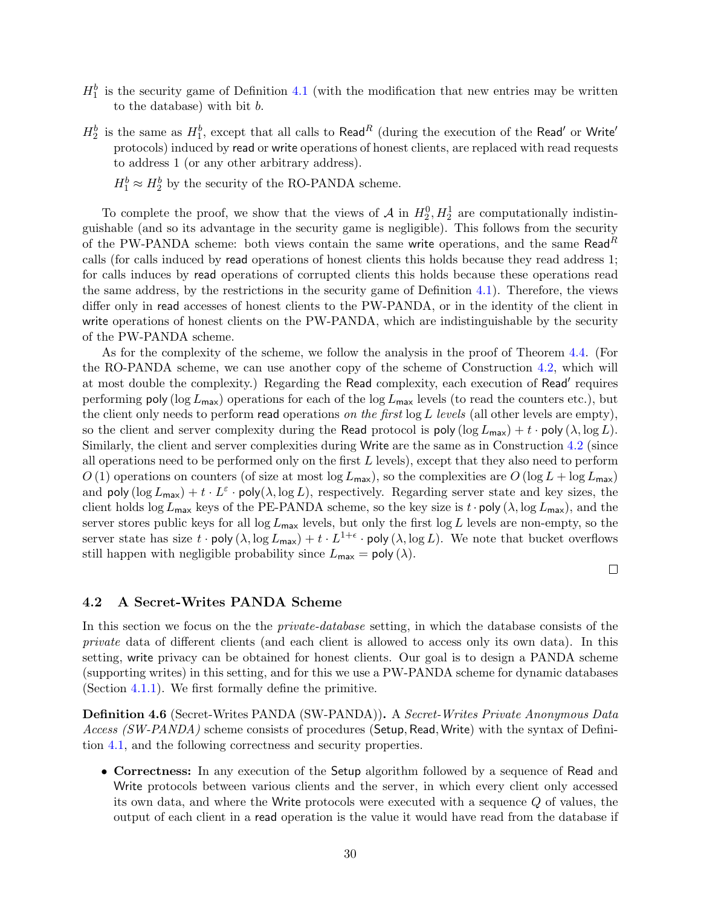- $H_1^b$  is the security game of Definition [4.1](#page-22-0) (with the modification that new entries may be written to the database) with bit  $b$ .
- $H_2^b$  is the same as  $H_1^b$ , except that all calls to <code>Read $^R$ </code> (during the execution of the <code>Read'</code> or <code>Write $^\prime$ </code> protocols) induced by read or write operations of honest clients, are replaced with read requests to address 1 (or any other arbitrary address).
	- $H_1^b \approx H_2^b$  by the security of the RO-PANDA scheme.

To complete the proof, we show that the views of  $\mathcal{A}$  in  $H_2^0, H_2^1$  are computationally indistinguishable (and so its advantage in the security game is negligible). This follows from the security of the PW-PANDA scheme: both views contain the same write operations, and the same Read<sup>R</sup> calls (for calls induced by read operations of honest clients this holds because they read address 1; for calls induces by read operations of corrupted clients this holds because these operations read the same address, by the restrictions in the security game of Definition [4.1\)](#page-22-0). Therefore, the views differ only in read accesses of honest clients to the PW-PANDA, or in the identity of the client in write operations of honest clients on the PW-PANDA, which are indistinguishable by the security of the PW-PANDA scheme.

As for the complexity of the scheme, we follow the analysis in the proof of Theorem [4.4.](#page-27-0) (For the RO-PANDA scheme, we can use another copy of the scheme of Construction [4.2,](#page-23-1) which will at most double the complexity.) Regarding the Read complexity, each execution of Read' requires performing poly (log  $L_{\text{max}}$ ) operations for each of the log  $L_{\text{max}}$  levels (to read the counters etc.), but the client only needs to perform read operations on the first  $log L$  levels (all other levels are empty), so the client and server complexity during the Read protocol is poly  $(\log L_{\text{max}}) + t \cdot \text{poly}(\lambda, \log L)$ . Similarly, the client and server complexities during Write are the same as in Construction [4.2](#page-23-1) (since all operations need to be performed only on the first L levels), except that they also need to perform O (1) operations on counters (of size at most  $\log L_{\text{max}}$ ), so the complexities are  $O(\log L + \log L_{\text{max}})$ and poly  $(\log L_{\text{max}}) + t \cdot L^{\varepsilon} \cdot \text{poly}(\lambda, \log L)$ , respectively. Regarding server state and key sizes, the client holds log  $L_{\text{max}}$  keys of the PE-PANDA scheme, so the key size is  $t \cdot \text{poly}(\lambda, \log L_{\text{max}})$ , and the server stores public keys for all  $\log L_{\text{max}}$  levels, but only the first  $\log L$  levels are non-empty, so the server state has size  $t \cdot \text{poly}(\lambda, \log L_{\text{max}}) + t \cdot L^{1+\epsilon} \cdot \text{poly}(\lambda, \log L)$ . We note that bucket overflows still happen with negligible probability since  $L_{\text{max}} = \text{poly}(\lambda)$ .

 $\Box$ 

#### <span id="page-30-0"></span>4.2 A Secret-Writes PANDA Scheme

In this section we focus on the the *private-database* setting, in which the database consists of the private data of different clients (and each client is allowed to access only its own data). In this setting, write privacy can be obtained for honest clients. Our goal is to design a PANDA scheme (supporting writes) in this setting, and for this we use a PW-PANDA scheme for dynamic databases (Section [4.1.1\)](#page-28-0). We first formally define the primitive.

<span id="page-30-1"></span>Definition 4.6 (Secret-Writes PANDA (SW-PANDA)). A Secret-Writes Private Anonymous Data Access (SW-PANDA) scheme consists of procedures (Setup, Read, Write) with the syntax of Definition [4.1,](#page-22-0) and the following correctness and security properties.

• Correctness: In any execution of the Setup algorithm followed by a sequence of Read and Write protocols between various clients and the server, in which every client only accessed its own data, and where the Write protocols were executed with a sequence Q of values, the output of each client in a read operation is the value it would have read from the database if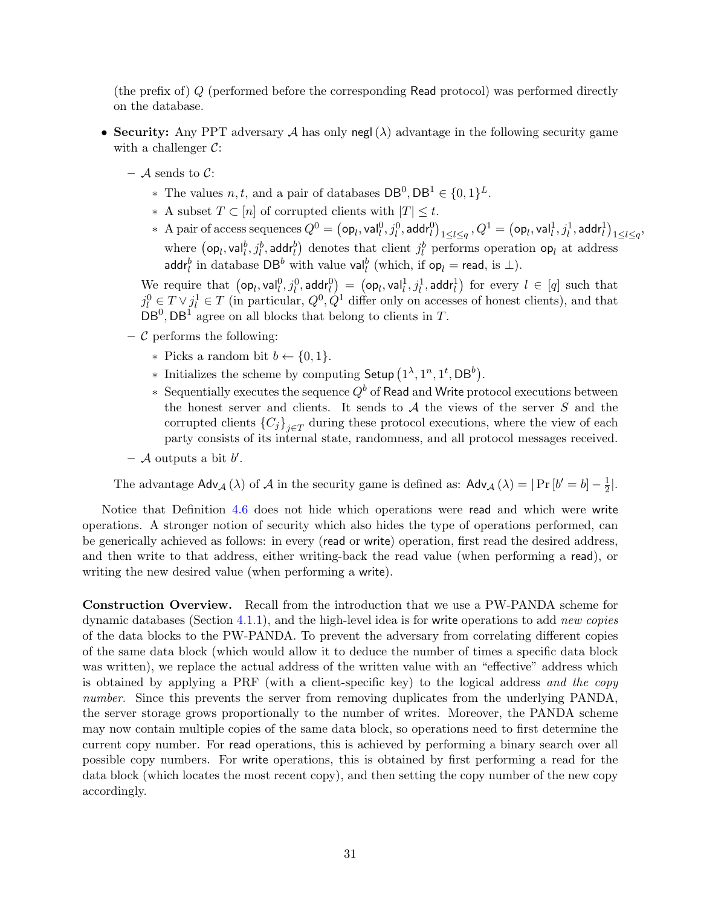(the prefix of) Q (performed before the corresponding Read protocol) was performed directly on the database.

- Security: Any PPT adversary A has only negl( $\lambda$ ) advantage in the following security game with a challenger  $\mathcal{C}$ :
	- $\mathcal A$  sends to  $\mathcal C$ :
		- \* The values  $n, t$ , and a pair of databases  $DB^0, DB^1 \in \{0, 1\}^L$ .
		- ∗ A subset T ⊂ [n] of corrupted clients with |T| ≤ t.
		- $*$   $\text{ A pair of access sequences } Q^0 = \left( \mathsf{op}_l, \mathsf{val}_l^0, j_l^0, \mathsf{addr}_l^0 \right)_{1 \leq l \leq q}, Q^1 = \left( \mathsf{op}_l, \mathsf{val}_l^1, j_l^1, \mathsf{addr}_l^1 \right)_{1 \leq l \leq q},$ where  $(\textsf{op}_l, \textsf{val}_l^b, j_l^b, \textsf{addr}_l^b)$  denotes that client  $j_l^b$  performs operation  $\textsf{op}_l$  at address  $\mathsf{addr}_l^b$  in database  $\mathsf{DB}^b$  with value  $\mathsf{val}_l^b$  (which, if  $\mathsf{op}_l = \mathsf{read}$ , is  $\bot$ ).

We require that  $(\mathsf{op}_l, \mathsf{val}_l^0, j_l^0, \mathsf{addr}_l^0) = (\mathsf{op}_l, \mathsf{val}_l^1, j_l^1, \mathsf{addr}_l^1)$  for every  $l \in [q]$  such that  $j_l^0 \in T \vee j_l^1 \in T$  (in particular,  $Q^0$ ,  $Q^1$  differ only on accesses of honest clients), and that  $DB^0$ ,  $DB^1$  agree on all blocks that belong to clients in T.

- $\mathcal C$  performs the following:
	- ∗ Picks a random bit b ← {0, 1}.
	- \* Initializes the scheme by computing Setup  $(1^{\lambda}, 1^n, 1^t, DB^b)$ .
	- $∗$  Sequentially executes the sequence  $Q<sup>b</sup>$  of Read and Write protocol executions between the honest server and clients. It sends to  $A$  the views of the server  $S$  and the corrupted clients  ${C_j}_{j \in T}$  during these protocol executions, where the view of each party consists of its internal state, randomness, and all protocol messages received.

 $-$  A outputs a bit  $b'$ .

The advantage  $\mathsf{Adv}_{\mathcal{A}}(\lambda)$  of  $\mathcal{A}$  in the security game is defined as:  $\mathsf{Adv}_{\mathcal{A}}(\lambda) = |\Pr[b' = b] - \frac{1}{2}$  $\frac{1}{2}$ .

Notice that Definition [4.6](#page-30-1) does not hide which operations were read and which were write operations. A stronger notion of security which also hides the type of operations performed, can be generically achieved as follows: in every (read or write) operation, first read the desired address, and then write to that address, either writing-back the read value (when performing a read), or writing the new desired value (when performing a write).

Construction Overview. Recall from the introduction that we use a PW-PANDA scheme for dynamic databases (Section [4.1.1\)](#page-28-0), and the high-level idea is for write operations to add new copies of the data blocks to the PW-PANDA. To prevent the adversary from correlating different copies of the same data block (which would allow it to deduce the number of times a specific data block was written), we replace the actual address of the written value with an "effective" address which is obtained by applying a PRF (with a client-specific key) to the logical address and the copy number. Since this prevents the server from removing duplicates from the underlying PANDA, the server storage grows proportionally to the number of writes. Moreover, the PANDA scheme may now contain multiple copies of the same data block, so operations need to first determine the current copy number. For read operations, this is achieved by performing a binary search over all possible copy numbers. For write operations, this is obtained by first performing a read for the data block (which locates the most recent copy), and then setting the copy number of the new copy accordingly.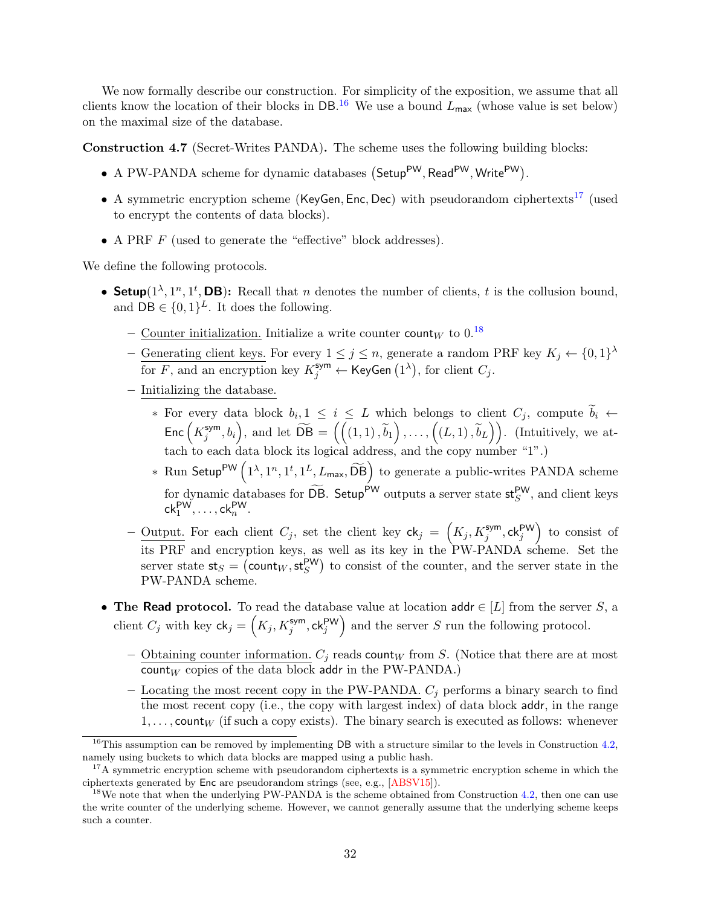We now formally describe our construction. For simplicity of the exposition, we assume that all clients know the location of their blocks in  $DB<sup>16</sup>$  $DB<sup>16</sup>$  $DB<sup>16</sup>$  We use a bound  $L_{\text{max}}$  (whose value is set below) on the maximal size of the database.

<span id="page-32-3"></span>Construction 4.7 (Secret-Writes PANDA). The scheme uses the following building blocks:

- A PW-PANDA scheme for dynamic databases (Setup<sup>PW</sup>, Read<sup>PW</sup>, Write<sup>PW</sup>).
- A symmetric encryption scheme (KeyGen, Enc, Dec) with pseudorandom ciphertexts<sup>[17](#page-32-1)</sup> (used to encrypt the contents of data blocks).
- A PRF F (used to generate the "effective" block addresses).

We define the following protocols.

- Setup( $1^{\lambda}, 1^n, 1^t, DB$ ): Recall that *n* denotes the number of clients, *t* is the collusion bound, and  $DB \in \{0,1\}^L$ . It does the following.
	- Counter initialization. Initialize a write counter count<sub>W</sub> to  $0.18$  $0.18$
	- Generating client keys. For every  $1 \leq j \leq n$ , generate a random PRF key  $K_j \leftarrow \{0,1\}^{\lambda}$ for F, and an encryption key  $K_j^{\mathsf{sym}} \leftarrow \mathsf{KeyGen}\left(1^\lambda\right)$ , for client  $C_j$ .
	- Initializing the database.
		- ∗ For every data block  $b_i, 1 \leq i \leq L$  which belongs to client  $C_j$ , compute  $b_i \leftarrow$ Enc  $\left(K_i^{\mathsf{sym}}\right)$  $\left(\left(0, \widetilde{b}_j\right), \widetilde{b}_k\right)$ , and let  $\widetilde{\mathsf{DB}} = \left(\left(\left(1, 1\right), \widetilde{b}_1\right), \ldots, \left(\left(L, 1\right), \widetilde{b}_L\right)\right)$ . (Intuitively, we attach to each data block its logical address, and the copy number "1".)
		- \* Run Setup $P^{W}$  $(1^{\lambda}, 1^n, 1^t, 1^L, L_{\text{max}}, \widetilde{DB})$  to generate a public-writes PANDA scheme for dynamic databases for  $\widetilde{DB}$ . Setup<sup>PW</sup> outputs a server state  $\mathsf{st}_S^{\text{PW}}$ , and client keys  $\mathsf{ck}_1^{\mathsf{PW}}, \ldots, \mathsf{ck}_n^{\mathsf{PW}}.$
	- Output. For each client  $C_j$ , set the client key  $ck_j = \left(K_j, K_j^{\mathsf{sym}}, \mathsf{ck}_j^{\mathsf{PW}}\right)$  to consist of its PRF and encryption keys, as well as its key in the PW-PANDA scheme. Set the server state  $\mathsf{st}_S = (\text{count}_W, \mathsf{st}_S^{PW})$  to consist of the counter, and the server state in the PW-PANDA scheme.
- The Read protocol. To read the database value at location addr  $\in [L]$  from the server S, a client  $C_j$  with key  $\mathsf{ck}_j = \left( K_j, K_j^{\mathsf{sym}}, \mathsf{ck}_j^{\mathsf{PW}} \right)$  and the server S run the following protocol.
	- Obtaining counter information.  $C_j$  reads count<sub>W</sub> from S. (Notice that there are at most count<sub>W</sub> copies of the data block addr in the PW-PANDA.)
	- Locating the most recent copy in the PW-PANDA.  $C_i$  performs a binary search to find the most recent copy (i.e., the copy with largest index) of data block addr, in the range  $1, \ldots$ , count<sub>W</sub> (if such a copy exists). The binary search is executed as follows: whenever

<span id="page-32-0"></span><sup>&</sup>lt;sup>16</sup>This assumption can be removed by implementing DB with a structure similar to the levels in Construction [4.2,](#page-23-1) namely using buckets to which data blocks are mapped using a public hash.

<span id="page-32-1"></span> $17A$  symmetric encryption scheme with pseudorandom ciphertexts is a symmetric encryption scheme in which the ciphertexts generated by Enc are pseudorandom strings (see, e.g., [\[ABSV15\]](#page-39-7)).

<span id="page-32-2"></span><sup>&</sup>lt;sup>18</sup>We note that when the underlying PW-PANDA is the scheme obtained from Construction [4.2,](#page-23-1) then one can use the write counter of the underlying scheme. However, we cannot generally assume that the underlying scheme keeps such a counter.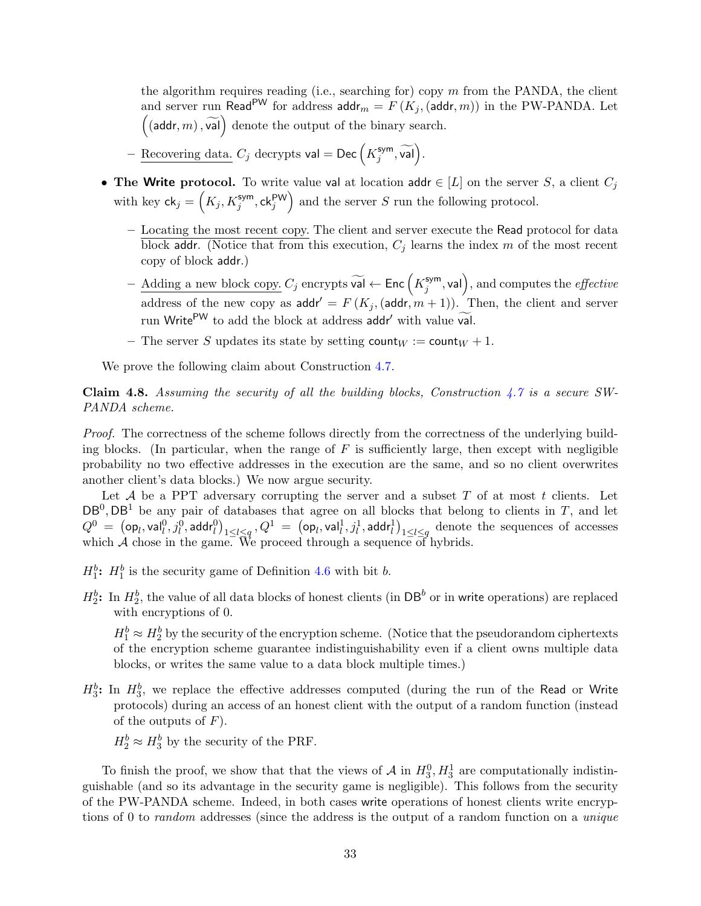the algorithm requires reading (i.e., searching for) copy  $m$  from the PANDA, the client and server run Read<sup>PW</sup> for address addr<sub>m</sub> =  $F(K_i, (addr, m))$  in the PW-PANDA. Let  $((\mathsf{addr}, m), \widetilde{\mathsf{val}})$  denote the output of the binary search.

- Recovering data.  $C_j$  decrypts val = Dec  $\left(K_j^{\mathsf{sym}}\right)$  $\widetilde{y}^{\mathsf{sym}}, \widetilde{\mathsf{val}}\bigg).$
- The Write protocol. To write value val at location addr  $\in [L]$  on the server S, a client  $C_i$ with key  $\mathsf{ck}_j = \left(K_j, K_j^{\mathsf{sym}}, \mathsf{ck}_j^{\mathsf{PW}}\right)$  and the server S run the following protocol.
	- Locating the most recent copy. The client and server execute the Read protocol for data block addr. (Notice that from this execution,  $C_j$  learns the index m of the most recent copy of block addr.)
	- $-$  Adding a new block copy.  $C_j$  encrypts  $\widetilde{\mathsf{val}} \leftarrow \mathsf{Enc}\left(K_j^{\mathsf{sym}}\right)$  $\binom{\text{sym}}{j}$ , val), and computes the *effective* address of the new copy as  $\mathsf{addr}' = F(K_j, (\mathsf{addr}, m + 1)).$  Then, the client and server run Write $^{PW}$  to add the block at address addr' with value val.
	- The server S updates its state by setting count<sub>W</sub> := count<sub>W</sub> + 1.

We prove the following claim about Construction [4.7.](#page-32-3)

<span id="page-33-0"></span>**Claim 4.8.** Assuming the security of all the building blocks, Construction [4.7](#page-32-3) is a secure SW-PANDA scheme.

Proof. The correctness of the scheme follows directly from the correctness of the underlying building blocks. (In particular, when the range of  $F$  is sufficiently large, then except with negligible probability no two effective addresses in the execution are the same, and so no client overwrites another client's data blocks.) We now argue security.

Let  $A$  be a PPT adversary corrupting the server and a subset T of at most t clients. Let  $DB^0$ ,  $DB^1$  be any pair of databases that agree on all blocks that belong to clients in T, and let  $Q^0~=~\left({\sf op}_l,{\sf val}_l^0,j_l^0,{\sf addr}_l^0\right)_{1\leq l\leq q}, Q^1~=~\left({\sf op}_l,{\sf val}_l^1,j_l^1,{\sf addr}_l^1\right)_{1\leq l\leq q}$  denote the sequences of accesses which  $A$  chose in the game. We proceed through a sequence of hybrids.

- $H_1^b$ :  $H_1^b$  is the security game of Definition [4.6](#page-30-1) with bit b.
- $H_2^b$ : In  $H_2^b$ , the value of all data blocks of honest clients (in DB<sup>b</sup> or in write operations) are replaced with encryptions of 0.

 $H_1^b \approx H_2^b$  by the security of the encryption scheme. (Notice that the pseudorandom ciphertexts of the encryption scheme guarantee indistinguishability even if a client owns multiple data blocks, or writes the same value to a data block multiple times.)

- $H_3^b$ : In  $H_3^b$ , we replace the effective addresses computed (during the run of the Read or Write protocols) during an access of an honest client with the output of a random function (instead of the outputs of  $F$ ).
	- $H_2^b \approx H_3^b$  by the security of the PRF.

To finish the proof, we show that that the views of  $\mathcal{A}$  in  $H_3^0, H_3^1$  are computationally indistinguishable (and so its advantage in the security game is negligible). This follows from the security of the PW-PANDA scheme. Indeed, in both cases write operations of honest clients write encryptions of 0 to *random* addresses (since the address is the output of a random function on a *unique*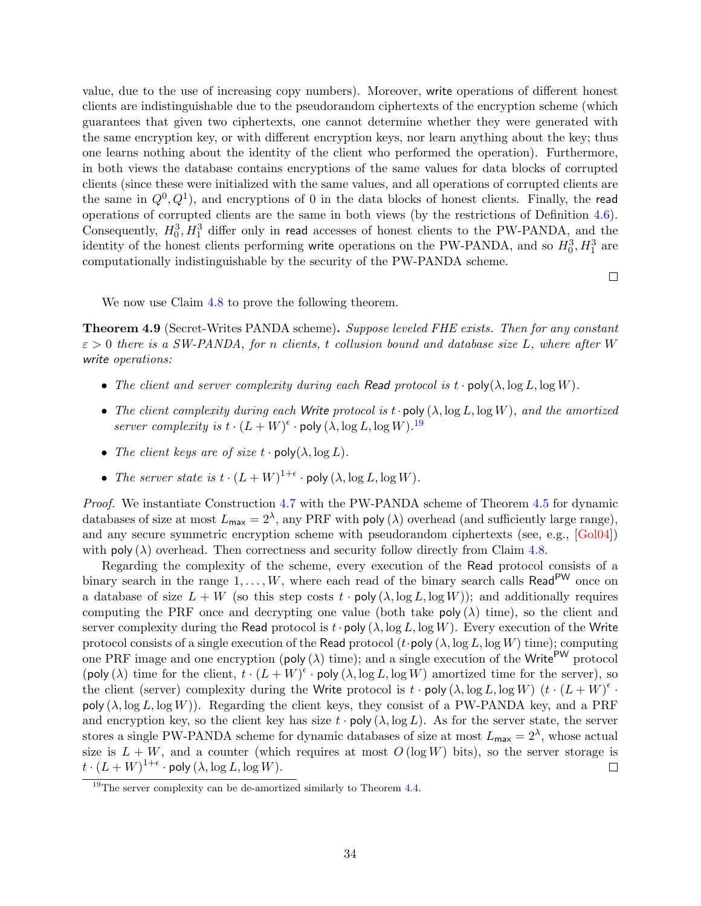value, due to the use of increasing copy numbers). Moreover, write operations of different honest clients are indistinguishable due to the pseudorandom ciphertexts of the encryption scheme (which guarantees that given two ciphertexts, one cannot determine whether they were generated with the same encryption key, or with different encryption keys, nor learn anything about the key; thus one learns nothing about the identity of the client who performed the operation). Furthermore, in both views the database contains encryptions of the same values for data blocks of corrupted clients (since these were initialized with the same values, and all operations of corrupted clients are the same in  $Q^0, Q^1$ ), and encryptions of 0 in the data blocks of honest clients. Finally, the read operations of corrupted clients are the same in both views (by the restrictions of Definition [4.6\)](#page-30-1). Consequently,  $H_0^3, H_1^3$  differ only in read accesses of honest clients to the PW-PANDA, and the identity of the honest clients performing write operations on the PW-PANDA, and so  $H_0^3, H_1^3$  are computationally indistinguishable by the security of the PW-PANDA scheme.

 $\Box$ 

We now use Claim [4.8](#page-33-0) to prove the following theorem.

<span id="page-34-0"></span>**Theorem 4.9** (Secret-Writes PANDA scheme). Suppose leveled FHE exists. Then for any constant  $\varepsilon > 0$  there is a SW-PANDA, for n clients, t collusion bound and database size L, where after W write *operations*:

- The client and server complexity during each Read protocol is  $t \cdot \text{poly}(\lambda, \log L, \log W)$ .
- The client complexity during each Write protocol is  $t \cdot \text{poly}(\lambda, \log L, \log W)$ , and the amortized server complexity is  $t \cdot (L+W)^{\epsilon} \cdot \text{poly}(\lambda, \log L, \log W)^{19}$  $t \cdot (L+W)^{\epsilon} \cdot \text{poly}(\lambda, \log L, \log W)^{19}$  $t \cdot (L+W)^{\epsilon} \cdot \text{poly}(\lambda, \log L, \log W)^{19}$
- The client keys are of size  $t \cdot \text{poly}(\lambda, \log L)$ .
- The server state is  $t \cdot (L+W)^{1+\epsilon}$  · poly  $(\lambda, \log L, \log W)$ .

Proof. We instantiate Construction [4.7](#page-32-3) with the PW-PANDA scheme of Theorem [4.5](#page-29-2) for dynamic databases of size at most  $L_{\text{max}} = 2^{\lambda}$ , any PRF with poly ( $\lambda$ ) overhead (and sufficiently large range), and any secure symmetric encryption scheme with pseudorandom ciphertexts (see, e.g., [\[Gol04\]](#page-40-10)) with poly  $(\lambda)$  overhead. Then correctness and security follow directly from Claim [4.8.](#page-33-0)

Regarding the complexity of the scheme, every execution of the Read protocol consists of a binary search in the range  $1, \ldots, W$ , where each read of the binary search calls Read<sup>PW</sup> once on a database of size  $L + W$  (so this step costs  $t \cdot \text{poly}(\lambda, \log L, \log W)$ ); and additionally requires computing the PRF once and decrypting one value (both take poly  $(\lambda)$  time), so the client and server complexity during the Read protocol is  $t \cdot \text{poly}(\lambda, \log L, \log W)$ . Every execution of the Write protocol consists of a single execution of the Read protocol  $(t \cdot poly(\lambda, \log L, \log W)$  time); computing one PRF image and one encryption (poly  $(\lambda)$  time); and a single execution of the Write<sup>PW</sup> protocol (poly ( $\lambda$ ) time for the client,  $t \cdot (L+W)^{\epsilon} \cdot \text{poly}(\lambda, \log L, \log W)$  amortized time for the server), so the client (server) complexity during the Write protocol is  $t \cdot \text{poly}(\lambda, \log L, \log W)$   $(t \cdot (L+W)^{\epsilon} \cdot$  $poly (\lambda, \log L, \log W)$ . Regarding the client keys, they consist of a PW-PANDA key, and a PRF and encryption key, so the client key has size  $t \cdot \text{poly}(\lambda, \log L)$ . As for the server state, the server stores a single PW-PANDA scheme for dynamic databases of size at most  $L_{\text{max}} = 2^{\lambda}$ , whose actual size is  $L + W$ , and a counter (which requires at most  $O(\log W)$  bits), so the server storage is  $t\cdot (L+W)^{1+\epsilon} \cdot \mathsf{poly}\left(\lambda, \log L, \log W\right).$  $\Box$ 

<span id="page-34-1"></span> $19$ The server complexity can be de-amortized similarly to Theorem [4.4.](#page-27-0)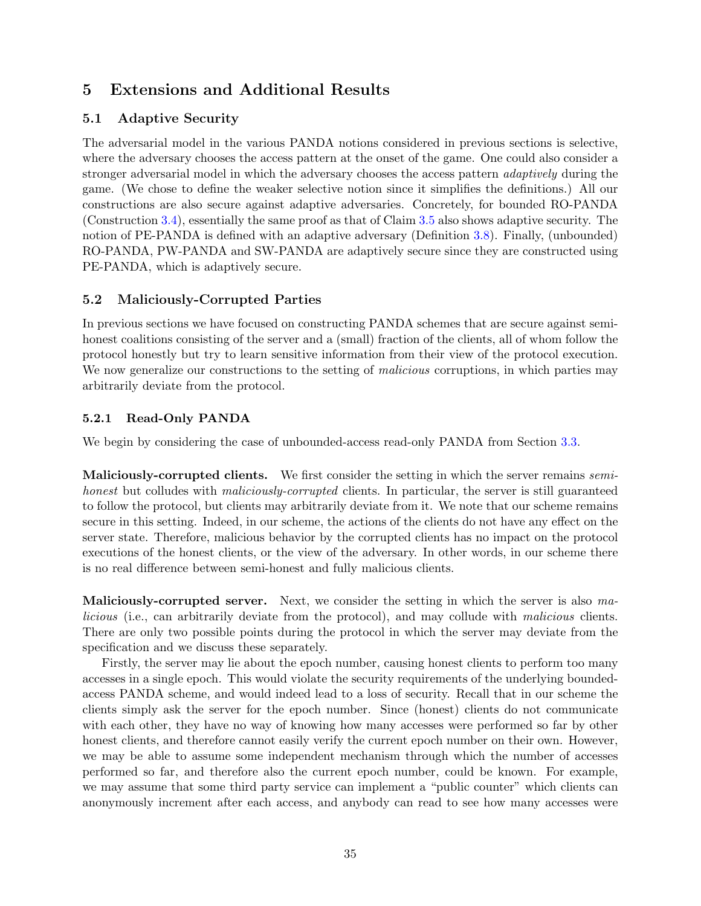# <span id="page-35-0"></span>5 Extensions and Additional Results

# <span id="page-35-1"></span>5.1 Adaptive Security

The adversarial model in the various PANDA notions considered in previous sections is selective, where the adversary chooses the access pattern at the onset of the game. One could also consider a stronger adversarial model in which the adversary chooses the access pattern adaptively during the game. (We chose to define the weaker selective notion since it simplifies the definitions.) All our constructions are also secure against adaptive adversaries. Concretely, for bounded RO-PANDA (Construction [3.4\)](#page-13-1), essentially the same proof as that of Claim [3.5](#page-14-1) also shows adaptive security. The notion of PE-PANDA is defined with an adaptive adversary (Definition [3.8\)](#page-17-0). Finally, (unbounded) RO-PANDA, PW-PANDA and SW-PANDA are adaptively secure since they are constructed using PE-PANDA, which is adaptively secure.

# <span id="page-35-2"></span>5.2 Maliciously-Corrupted Parties

In previous sections we have focused on constructing PANDA schemes that are secure against semihonest coalitions consisting of the server and a (small) fraction of the clients, all of whom follow the protocol honestly but try to learn sensitive information from their view of the protocol execution. We now generalize our constructions to the setting of malicious corruptions, in which parties may arbitrarily deviate from the protocol.

# <span id="page-35-3"></span>5.2.1 Read-Only PANDA

We begin by considering the case of unbounded-access read-only PANDA from Section [3.3.](#page-20-0)

Maliciously-corrupted clients. We first consider the setting in which the server remains semihonest but colludes with maliciously-corrupted clients. In particular, the server is still guaranteed to follow the protocol, but clients may arbitrarily deviate from it. We note that our scheme remains secure in this setting. Indeed, in our scheme, the actions of the clients do not have any effect on the server state. Therefore, malicious behavior by the corrupted clients has no impact on the protocol executions of the honest clients, or the view of the adversary. In other words, in our scheme there is no real difference between semi-honest and fully malicious clients.

**Maliciously-corrupted server.** Next, we consider the setting in which the server is also  $ma$ licious (i.e., can arbitrarily deviate from the protocol), and may collude with malicious clients. There are only two possible points during the protocol in which the server may deviate from the specification and we discuss these separately.

Firstly, the server may lie about the epoch number, causing honest clients to perform too many accesses in a single epoch. This would violate the security requirements of the underlying boundedaccess PANDA scheme, and would indeed lead to a loss of security. Recall that in our scheme the clients simply ask the server for the epoch number. Since (honest) clients do not communicate with each other, they have no way of knowing how many accesses were performed so far by other honest clients, and therefore cannot easily verify the current epoch number on their own. However, we may be able to assume some independent mechanism through which the number of accesses performed so far, and therefore also the current epoch number, could be known. For example, we may assume that some third party service can implement a "public counter" which clients can anonymously increment after each access, and anybody can read to see how many accesses were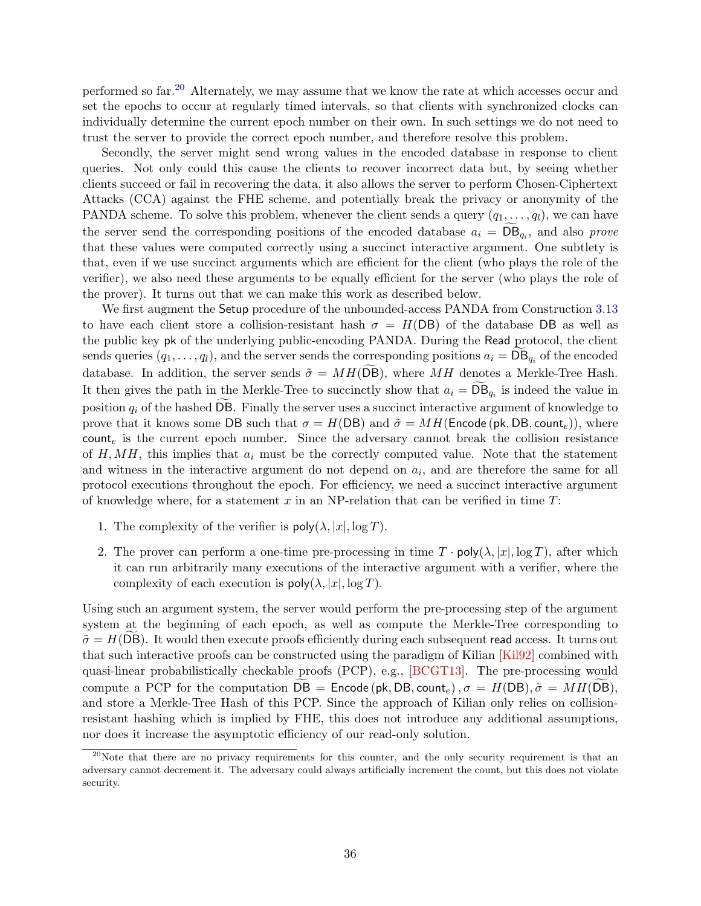performed so far.[20](#page-36-0) Alternately, we may assume that we know the rate at which accesses occur and set the epochs to occur at regularly timed intervals, so that clients with synchronized clocks can individually determine the current epoch number on their own. In such settings we do not need to trust the server to provide the correct epoch number, and therefore resolve this problem.

Secondly, the server might send wrong values in the encoded database in response to client queries. Not only could this cause the clients to recover incorrect data but, by seeing whether clients succeed or fail in recovering the data, it also allows the server to perform Chosen-Ciphertext Attacks (CCA) against the FHE scheme, and potentially break the privacy or anonymity of the PANDA scheme. To solve this problem, whenever the client sends a query  $(q_1, \ldots, q_l)$ , we can have the server send the corresponding positions of the encoded database  $a_i = DB_{q_i}$ , and also prove that these values were computed correctly using a succinct interactive argument. One subtlety is that, even if we use succinct arguments which are efficient for the client (who plays the role of the verifier), we also need these arguments to be equally efficient for the server (who plays the role of the prover). It turns out that we can make this work as described below.

We first augment the **Setup** procedure of the unbounded-access PANDA from Construction [3.13](#page-20-2) to have each client store a collision-resistant hash  $\sigma = H(DB)$  of the database DB as well as the public key pk of the underlying public-encoding PANDA. During the Read protocol, the client sends queries  $(q_1, \ldots, q_l)$ , and the server sends the corresponding positions  $a_i = \mathsf{DB}_{q_i}$  of the encoded database. In addition, the server sends  $\tilde{\sigma} = MH(\widetilde{DB})$ , where MH denotes a Merkle-Tree Hash. It then gives the path in the Merkle-Tree to succinctly show that  $a_i = DB_{q_i}$  is indeed the value in position  $q_i$  of the hashed DB. Finally the server uses a succinct interactive argument of knowledge to prove that it knows some DB such that  $\sigma = H(DB)$  and  $\tilde{\sigma} = MH(Encode (pk, DB, count_e)),$  where  $count_e$  is the current epoch number. Since the adversary cannot break the collision resistance of  $H, MH$ , this implies that  $a_i$  must be the correctly computed value. Note that the statement and witness in the interactive argument do not depend on  $a_i$ , and are therefore the same for all protocol executions throughout the epoch. For efficiency, we need a succinct interactive argument of knowledge where, for a statement x in an NP-relation that can be verified in time  $T$ :

- 1. The complexity of the verifier is  $\mathsf{poly}(\lambda, |x|, \log T)$ .
- 2. The prover can perform a one-time pre-processing in time  $T \cdot \text{poly}(\lambda, |x|, \log T)$ , after which it can run arbitrarily many executions of the interactive argument with a verifier, where the complexity of each execution is  $\text{poly}(\lambda, |x|, \log T)$ .

Using such an argument system, the server would perform the pre-processing step of the argument system at the beginning of each epoch, as well as compute the Merkle-Tree corresponding to  $\tilde{\sigma} = H(DB)$ . It would then execute proofs efficiently during each subsequent read access. It turns out that such interactive proofs can be constructed using the paradigm of Kilian [\[Kil92\]](#page-40-11) combined with quasi-linear probabilistically checkable proofs (PCP), e.g., [\[BCGT13\]](#page-39-8). The pre-processing would compute a PCP for the computation  $\overline{DB}$  = Encode (pk, DB, count<sub>e</sub>),  $\sigma = H(DB), \tilde{\sigma} = MH(DB)$ , and store a Merkle-Tree Hash of this PCP. Since the approach of Kilian only relies on collisionresistant hashing which is implied by FHE, this does not introduce any additional assumptions, nor does it increase the asymptotic efficiency of our read-only solution.

<span id="page-36-0"></span> $^{20}$ Note that there are no privacy requirements for this counter, and the only security requirement is that an adversary cannot decrement it. The adversary could always artificially increment the count, but this does not violate security.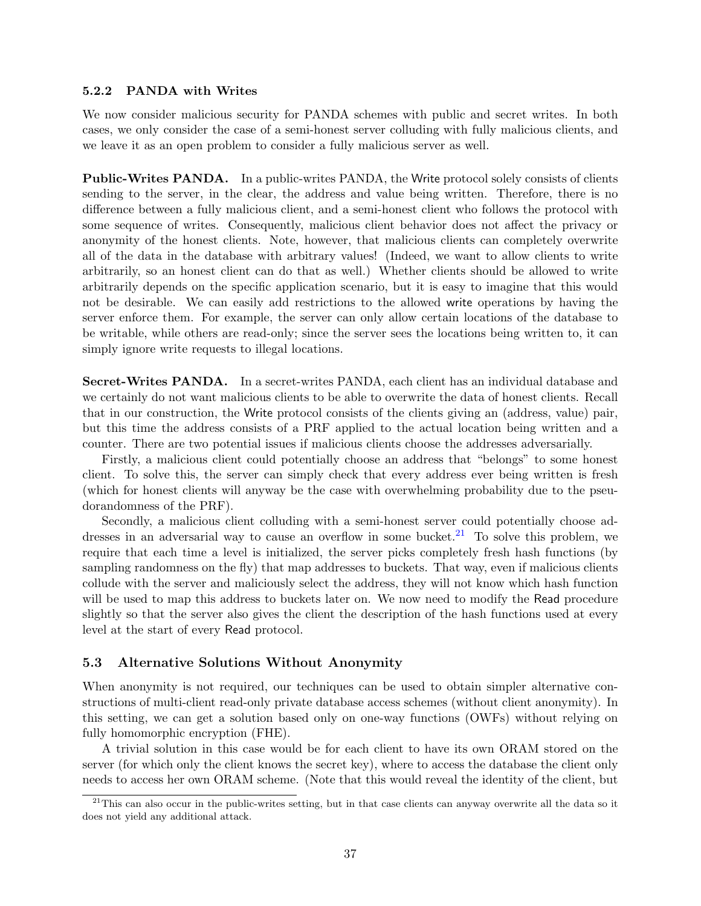#### <span id="page-37-0"></span>5.2.2 PANDA with Writes

We now consider malicious security for PANDA schemes with public and secret writes. In both cases, we only consider the case of a semi-honest server colluding with fully malicious clients, and we leave it as an open problem to consider a fully malicious server as well.

Public-Writes PANDA. In a public-writes PANDA, the Write protocol solely consists of clients sending to the server, in the clear, the address and value being written. Therefore, there is no difference between a fully malicious client, and a semi-honest client who follows the protocol with some sequence of writes. Consequently, malicious client behavior does not affect the privacy or anonymity of the honest clients. Note, however, that malicious clients can completely overwrite all of the data in the database with arbitrary values! (Indeed, we want to allow clients to write arbitrarily, so an honest client can do that as well.) Whether clients should be allowed to write arbitrarily depends on the specific application scenario, but it is easy to imagine that this would not be desirable. We can easily add restrictions to the allowed write operations by having the server enforce them. For example, the server can only allow certain locations of the database to be writable, while others are read-only; since the server sees the locations being written to, it can simply ignore write requests to illegal locations.

Secret-Writes PANDA. In a secret-writes PANDA, each client has an individual database and we certainly do not want malicious clients to be able to overwrite the data of honest clients. Recall that in our construction, the Write protocol consists of the clients giving an (address, value) pair, but this time the address consists of a PRF applied to the actual location being written and a counter. There are two potential issues if malicious clients choose the addresses adversarially.

Firstly, a malicious client could potentially choose an address that "belongs" to some honest client. To solve this, the server can simply check that every address ever being written is fresh (which for honest clients will anyway be the case with overwhelming probability due to the pseudorandomness of the PRF).

Secondly, a malicious client colluding with a semi-honest server could potentially choose ad-dresses in an adversarial way to cause an overflow in some bucket.<sup>[21](#page-37-2)</sup> To solve this problem, we require that each time a level is initialized, the server picks completely fresh hash functions (by sampling randomness on the fly) that map addresses to buckets. That way, even if malicious clients collude with the server and maliciously select the address, they will not know which hash function will be used to map this address to buckets later on. We now need to modify the Read procedure slightly so that the server also gives the client the description of the hash functions used at every level at the start of every Read protocol.

#### <span id="page-37-1"></span>5.3 Alternative Solutions Without Anonymity

When anonymity is not required, our techniques can be used to obtain simpler alternative constructions of multi-client read-only private database access schemes (without client anonymity). In this setting, we can get a solution based only on one-way functions (OWFs) without relying on fully homomorphic encryption (FHE).

A trivial solution in this case would be for each client to have its own ORAM stored on the server (for which only the client knows the secret key), where to access the database the client only needs to access her own ORAM scheme. (Note that this would reveal the identity of the client, but

<span id="page-37-2"></span> $21$ This can also occur in the public-writes setting, but in that case clients can anyway overwrite all the data so it does not yield any additional attack.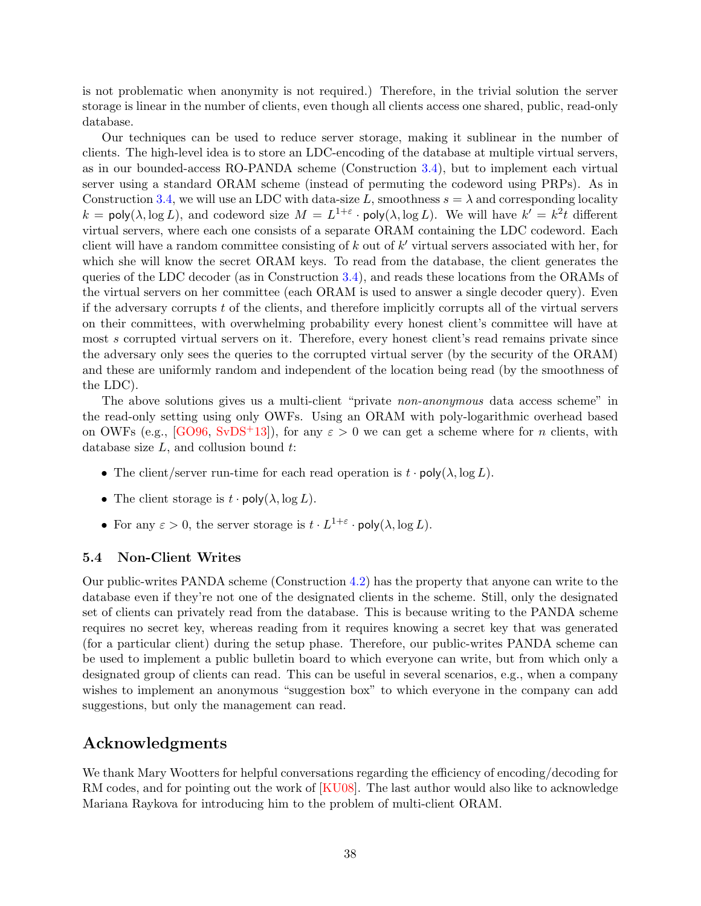is not problematic when anonymity is not required.) Therefore, in the trivial solution the server storage is linear in the number of clients, even though all clients access one shared, public, read-only database.

Our techniques can be used to reduce server storage, making it sublinear in the number of clients. The high-level idea is to store an LDC-encoding of the database at multiple virtual servers, as in our bounded-access RO-PANDA scheme (Construction [3.4\)](#page-13-1), but to implement each virtual server using a standard ORAM scheme (instead of permuting the codeword using PRPs). As in Construction [3.4,](#page-13-1) we will use an LDC with data-size L, smoothness  $s = \lambda$  and corresponding locality  $k = \text{poly}(\lambda, \log L)$ , and codeword size  $M = L^{1+\varepsilon} \cdot \text{poly}(\lambda, \log L)$ . We will have  $k' = k^2 t$  different virtual servers, where each one consists of a separate ORAM containing the LDC codeword. Each client will have a random committee consisting of  $k$  out of  $k'$  virtual servers associated with her, for which she will know the secret ORAM keys. To read from the database, the client generates the queries of the LDC decoder (as in Construction [3.4\)](#page-13-1), and reads these locations from the ORAMs of the virtual servers on her committee (each ORAM is used to answer a single decoder query). Even if the adversary corrupts t of the clients, and therefore implicitly corrupts all of the virtual servers on their committees, with overwhelming probability every honest client's committee will have at most s corrupted virtual servers on it. Therefore, every honest client's read remains private since the adversary only sees the queries to the corrupted virtual server (by the security of the ORAM) and these are uniformly random and independent of the location being read (by the smoothness of the LDC).

The above solutions gives us a multi-client "private non-anonymous data access scheme" in the read-only setting using only OWFs. Using an ORAM with poly-logarithmic overhead based on OWFs (e.g., [\[GO96,](#page-40-1) [SvDS](#page-41-11)<sup>+13]</sup>), for any  $\varepsilon > 0$  we can get a scheme where for n clients, with database size  $L$ , and collusion bound  $t$ :

- The client/server run-time for each read operation is  $t \cdot \text{poly}(\lambda, \log L)$ .
- The client storage is  $t \cdot \text{poly}(\lambda, \log L)$ .
- For any  $\varepsilon > 0$ , the server storage is  $t \cdot L^{1+\varepsilon} \cdot \text{poly}(\lambda, \log L)$ .

#### <span id="page-38-0"></span>5.4 Non-Client Writes

Our public-writes PANDA scheme (Construction [4.2\)](#page-23-1) has the property that anyone can write to the database even if they're not one of the designated clients in the scheme. Still, only the designated set of clients can privately read from the database. This is because writing to the PANDA scheme requires no secret key, whereas reading from it requires knowing a secret key that was generated (for a particular client) during the setup phase. Therefore, our public-writes PANDA scheme can be used to implement a public bulletin board to which everyone can write, but from which only a designated group of clients can read. This can be useful in several scenarios, e.g., when a company wishes to implement an anonymous "suggestion box" to which everyone in the company can add suggestions, but only the management can read.

# Acknowledgments

We thank Mary Wootters for helpful conversations regarding the efficiency of encoding/decoding for RM codes, and for pointing out the work of [\[KU08\]](#page-40-12). The last author would also like to acknowledge Mariana Raykova for introducing him to the problem of multi-client ORAM.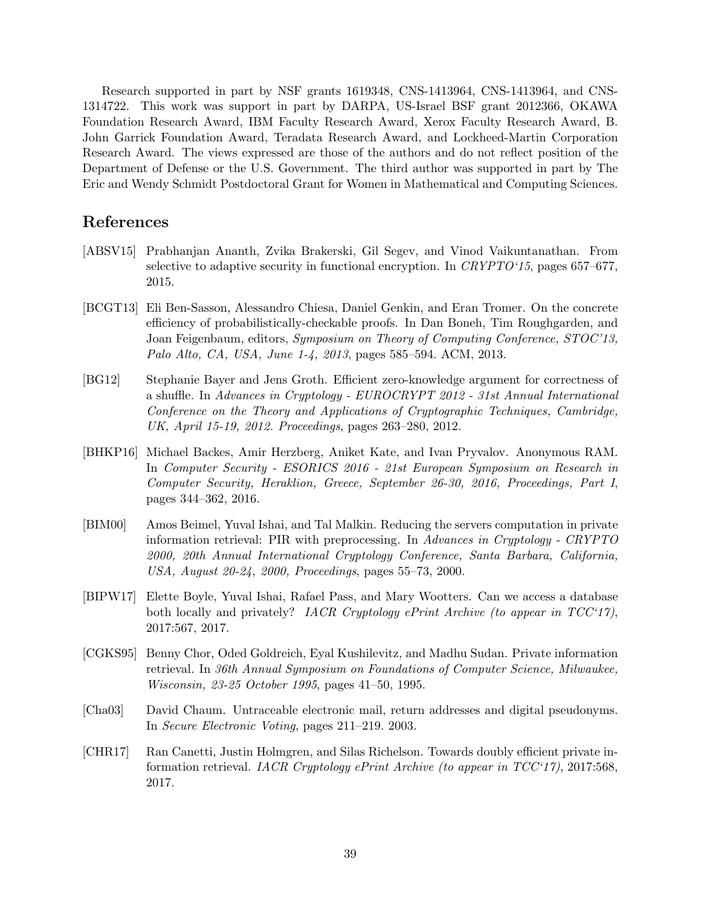Research supported in part by NSF grants 1619348, CNS-1413964, CNS-1413964, and CNS-1314722. This work was support in part by DARPA, US-Israel BSF grant 2012366, OKAWA Foundation Research Award, IBM Faculty Research Award, Xerox Faculty Research Award, B. John Garrick Foundation Award, Teradata Research Award, and Lockheed-Martin Corporation Research Award. The views expressed are those of the authors and do not reflect position of the Department of Defense or the U.S. Government. The third author was supported in part by The Eric and Wendy Schmidt Postdoctoral Grant for Women in Mathematical and Computing Sciences.

# References

- <span id="page-39-7"></span>[ABSV15] Prabhanjan Ananth, Zvika Brakerski, Gil Segev, and Vinod Vaikuntanathan. From selective to adaptive security in functional encryption. In  $CRYPTO'15$ , pages 657–677, 2015.
- <span id="page-39-8"></span>[BCGT13] Eli Ben-Sasson, Alessandro Chiesa, Daniel Genkin, and Eran Tromer. On the concrete efficiency of probabilistically-checkable proofs. In Dan Boneh, Tim Roughgarden, and Joan Feigenbaum, editors, Symposium on Theory of Computing Conference, STOC'13, Palo Alto, CA, USA, June 1-4, 2013, pages 585–594. ACM, 2013.
- <span id="page-39-2"></span>[BG12] Stephanie Bayer and Jens Groth. Efficient zero-knowledge argument for correctness of a shuffle. In Advances in Cryptology - EUROCRYPT 2012 - 31st Annual International Conference on the Theory and Applications of Cryptographic Techniques, Cambridge, UK, April 15-19, 2012. Proceedings, pages 263–280, 2012.
- <span id="page-39-3"></span>[BHKP16] Michael Backes, Amir Herzberg, Aniket Kate, and Ivan Pryvalov. Anonymous RAM. In Computer Security - ESORICS 2016 - 21st European Symposium on Research in Computer Security, Heraklion, Greece, September 26-30, 2016, Proceedings, Part I, pages 344–362, 2016.
- <span id="page-39-4"></span>[BIM00] Amos Beimel, Yuval Ishai, and Tal Malkin. Reducing the servers computation in private information retrieval: PIR with preprocessing. In Advances in Cryptology - CRYPTO 2000, 20th Annual International Cryptology Conference, Santa Barbara, California, USA, August 20-24, 2000, Proceedings, pages 55–73, 2000.
- <span id="page-39-6"></span>[BIPW17] Elette Boyle, Yuval Ishai, Rafael Pass, and Mary Wootters. Can we access a database both locally and privately? IACR Cryptology ePrint Archive (to appear in  $TCC'17$ ), 2017:567, 2017.
- <span id="page-39-0"></span>[CGKS95] Benny Chor, Oded Goldreich, Eyal Kushilevitz, and Madhu Sudan. Private information retrieval. In 36th Annual Symposium on Foundations of Computer Science, Milwaukee, Wisconsin, 23-25 October 1995, pages 41–50, 1995.
- <span id="page-39-1"></span>[Cha03] David Chaum. Untraceable electronic mail, return addresses and digital pseudonyms. In Secure Electronic Voting, pages 211–219. 2003.
- <span id="page-39-5"></span>[CHR17] Ran Canetti, Justin Holmgren, and Silas Richelson. Towards doubly efficient private information retrieval. IACR Cryptology ePrint Archive (to appear in  $TCC'17$ ), 2017:568, 2017.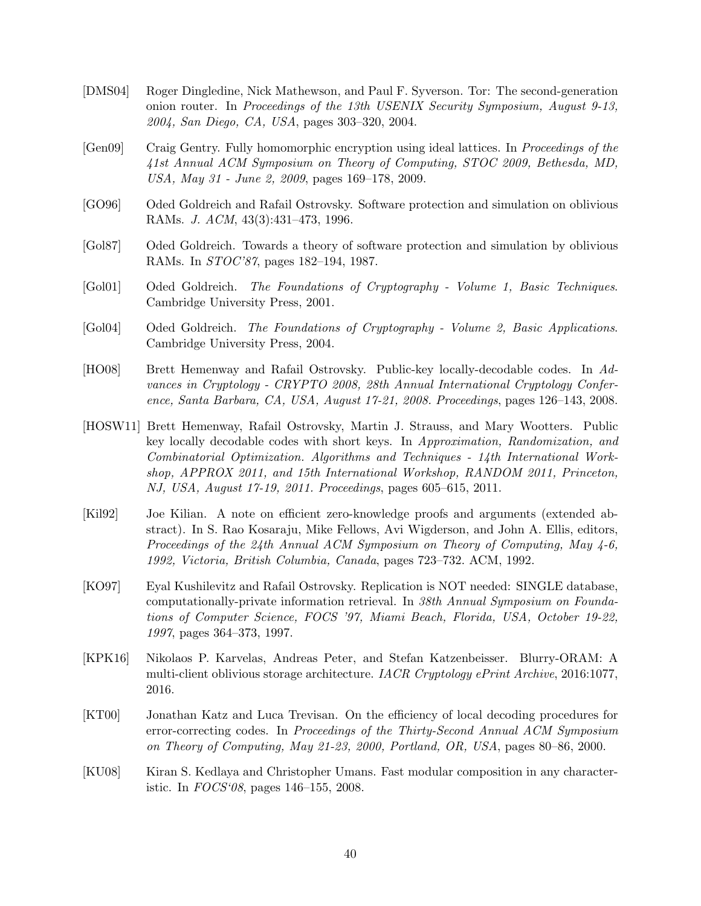- <span id="page-40-2"></span>[DMS04] Roger Dingledine, Nick Mathewson, and Paul F. Syverson. Tor: The second-generation onion router. In Proceedings of the 13th USENIX Security Symposium, August 9-13, 2004, San Diego, CA, USA, pages 303–320, 2004.
- <span id="page-40-4"></span>[Gen09] Craig Gentry. Fully homomorphic encryption using ideal lattices. In Proceedings of the 41st Annual ACM Symposium on Theory of Computing, STOC 2009, Bethesda, MD, USA, May 31 - June 2, 2009, pages 169–178, 2009.
- <span id="page-40-1"></span>[GO96] Oded Goldreich and Rafail Ostrovsky. Software protection and simulation on oblivious RAMs. J. ACM, 43(3):431–473, 1996.
- <span id="page-40-6"></span>[Gol87] Oded Goldreich. Towards a theory of software protection and simulation by oblivious RAMs. In STOC'87, pages 182–194, 1987.
- <span id="page-40-9"></span>[Gol01] Oded Goldreich. The Foundations of Cryptography - Volume 1, Basic Techniques. Cambridge University Press, 2001.
- <span id="page-40-10"></span>[Gol04] Oded Goldreich. The Foundations of Cryptography - Volume 2, Basic Applications. Cambridge University Press, 2004.
- <span id="page-40-7"></span>[HO08] Brett Hemenway and Rafail Ostrovsky. Public-key locally-decodable codes. In Advances in Cryptology - CRYPTO 2008, 28th Annual International Cryptology Conference, Santa Barbara, CA, USA, August 17-21, 2008. Proceedings, pages 126–143, 2008.
- <span id="page-40-8"></span>[HOSW11] Brett Hemenway, Rafail Ostrovsky, Martin J. Strauss, and Mary Wootters. Public key locally decodable codes with short keys. In Approximation, Randomization, and Combinatorial Optimization. Algorithms and Techniques - 14th International Workshop, APPROX 2011, and 15th International Workshop, RANDOM 2011, Princeton, NJ, USA, August 17-19, 2011. Proceedings, pages 605–615, 2011.
- <span id="page-40-11"></span>[Kil92] Joe Kilian. A note on efficient zero-knowledge proofs and arguments (extended abstract). In S. Rao Kosaraju, Mike Fellows, Avi Wigderson, and John A. Ellis, editors, Proceedings of the 24th Annual ACM Symposium on Theory of Computing, May 4-6, 1992, Victoria, British Columbia, Canada, pages 723–732. ACM, 1992.
- <span id="page-40-0"></span>[KO97] Eyal Kushilevitz and Rafail Ostrovsky. Replication is NOT needed: SINGLE database, computationally-private information retrieval. In 38th Annual Symposium on Foundations of Computer Science, FOCS '97, Miami Beach, Florida, USA, October 19-22, 1997, pages 364–373, 1997.
- <span id="page-40-3"></span>[KPK16] Nikolaos P. Karvelas, Andreas Peter, and Stefan Katzenbeisser. Blurry-ORAM: A multi-client oblivious storage architecture. IACR Cryptology ePrint Archive, 2016:1077, 2016.
- <span id="page-40-5"></span>[KT00] Jonathan Katz and Luca Trevisan. On the efficiency of local decoding procedures for error-correcting codes. In Proceedings of the Thirty-Second Annual ACM Symposium on Theory of Computing, May 21-23, 2000, Portland, OR, USA, pages 80–86, 2000.
- <span id="page-40-12"></span>[KU08] Kiran S. Kedlaya and Christopher Umans. Fast modular composition in any characteristic. In FOCS'08, pages 146–155, 2008.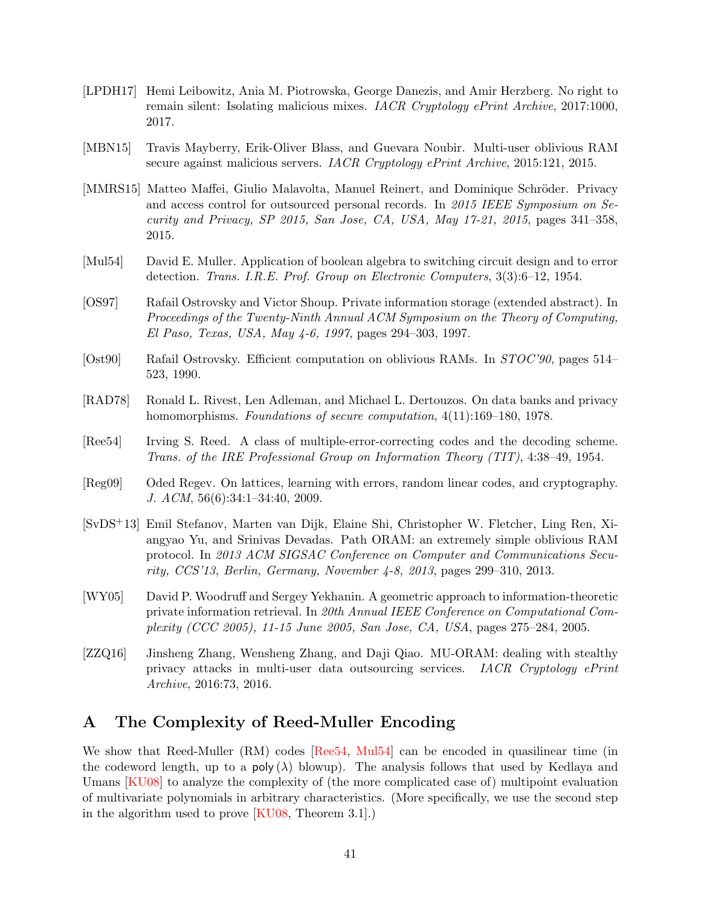- <span id="page-41-1"></span>[LPDH17] Hemi Leibowitz, Ania M. Piotrowska, George Danezis, and Amir Herzberg. No right to remain silent: Isolating malicious mixes. IACR Cryptology ePrint Archive, 2017:1000, 2017.
- <span id="page-41-2"></span>[MBN15] Travis Mayberry, Erik-Oliver Blass, and Guevara Noubir. Multi-user oblivious RAM secure against malicious servers. IACR Cryptology ePrint Archive, 2015:121, 2015.
- <span id="page-41-3"></span>[MMRS15] Matteo Maffei, Giulio Malavolta, Manuel Reinert, and Dominique Schröder. Privacy and access control for outsourced personal records. In 2015 IEEE Symposium on Security and Privacy, SP 2015, San Jose, CA, USA, May  $17-21$ , 2015, pages  $341-358$ , 2015.
- <span id="page-41-9"></span>[Mul54] David E. Muller. Application of boolean algebra to switching circuit design and to error detection. Trans. I.R.E. Prof. Group on Electronic Computers, 3(3):6–12, 1954.
- <span id="page-41-12"></span>[OS97] Rafail Ostrovsky and Victor Shoup. Private information storage (extended abstract). In Proceedings of the Twenty-Ninth Annual ACM Symposium on the Theory of Computing, El Paso, Texas, USA, May 4-6, 1997, pages 294–303, 1997.
- <span id="page-41-10"></span>[Ost90] Rafail Ostrovsky. Efficient computation on oblivious RAMs. In STOC'90, pages 514– 523, 1990.
- <span id="page-41-5"></span>[RAD78] Ronald L. Rivest, Len Adleman, and Michael L. Dertouzos. On data banks and privacy homomorphisms. Foundations of secure computation,  $4(11):169-180$ , 1978.
- <span id="page-41-8"></span>[Ree54] Irving S. Reed. A class of multiple-error-correcting codes and the decoding scheme. Trans. of the IRE Professional Group on Information Theory (TIT), 4:38–49, 1954.
- <span id="page-41-6"></span>[Reg09] Oded Regev. On lattices, learning with errors, random linear codes, and cryptography. J. ACM, 56(6):34:1–34:40, 2009.
- <span id="page-41-11"></span>[SvDS+13] Emil Stefanov, Marten van Dijk, Elaine Shi, Christopher W. Fletcher, Ling Ren, Xiangyao Yu, and Srinivas Devadas. Path ORAM: an extremely simple oblivious RAM protocol. In 2013 ACM SIGSAC Conference on Computer and Communications Security, CCS'13, Berlin, Germany, November 4-8, 2013, pages 299–310, 2013.
- <span id="page-41-7"></span>[WY05] David P. Woodruff and Sergey Yekhanin. A geometric approach to information-theoretic private information retrieval. In 20th Annual IEEE Conference on Computational Complexity (CCC 2005), 11-15 June 2005, San Jose, CA, USA, pages 275–284, 2005.
- <span id="page-41-4"></span>[ZZQ16] Jinsheng Zhang, Wensheng Zhang, and Daji Qiao. MU-ORAM: dealing with stealthy privacy attacks in multi-user data outsourcing services. IACR Cryptology ePrint Archive, 2016:73, 2016.

# <span id="page-41-0"></span>A The Complexity of Reed-Muller Encoding

We show that Reed-Muller (RM) codes [\[Ree54,](#page-41-8) [Mul54\]](#page-41-9) can be encoded in quasilinear time (in the codeword length, up to a poly  $(\lambda)$  blowup). The analysis follows that used by Kedlaya and Umans [\[KU08\]](#page-40-12) to analyze the complexity of (the more complicated case of) multipoint evaluation of multivariate polynomials in arbitrary characteristics. (More specifically, we use the second step in the algorithm used to prove [\[KU08,](#page-40-12) Theorem 3.1].)